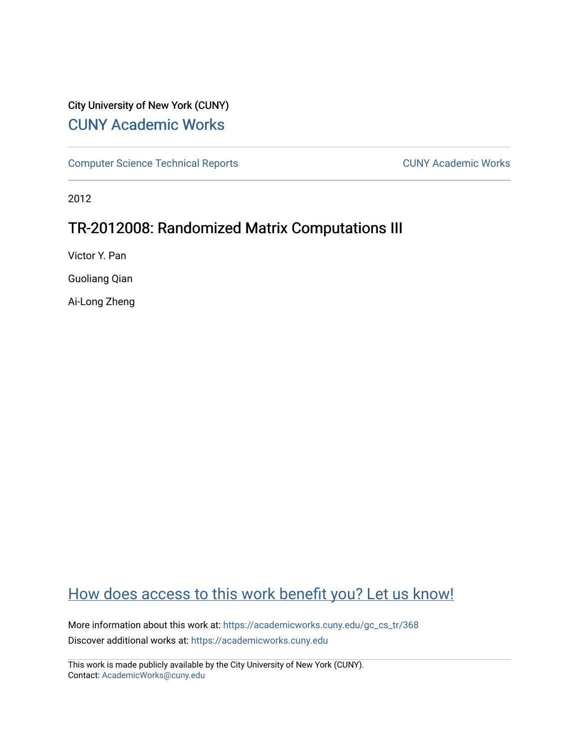# City University of New York (CUNY) [CUNY Academic Works](https://academicworks.cuny.edu/)

[Computer Science Technical Reports](https://academicworks.cuny.edu/gc_cs_tr) **CUNY Academic Works** CUNY Academic Works

2012

# TR-2012008: Randomized Matrix Computations III

Victor Y. Pan

Guoliang Qian

Ai-Long Zheng

# [How does access to this work benefit you? Let us know!](http://ols.cuny.edu/academicworks/?ref=https://academicworks.cuny.edu/gc_cs_tr/368)

More information about this work at: https://academicworks.cuny.edu/gc\_cs\_tr/368 Discover additional works at: [https://academicworks.cuny.edu](https://academicworks.cuny.edu/?)

This work is made publicly available by the City University of New York (CUNY). Contact: [AcademicWorks@cuny.edu](mailto:AcademicWorks@cuny.edu)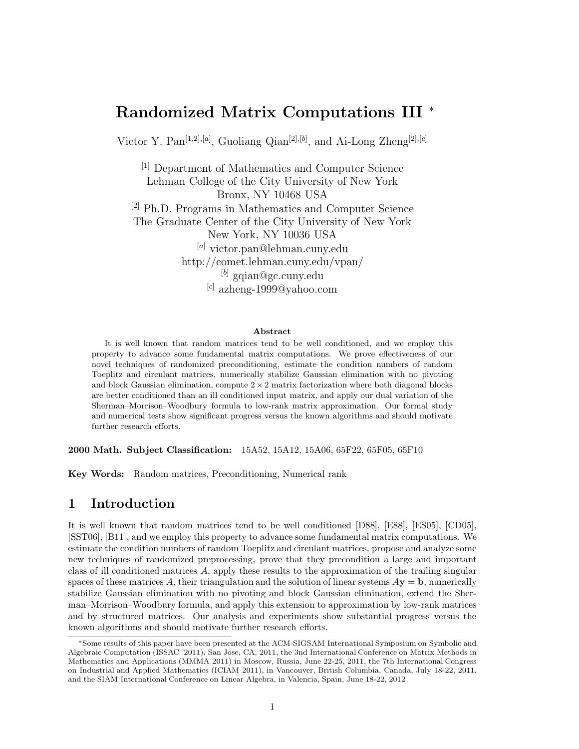## **Randomized Matrix Computations III** <sup>∗</sup>

Victor Y. Pan[1*,*2]*,*[*a*] , Guoliang Qian[2]*,*[*b*] , and Ai-Long Zheng[2]*,*[*c*]

[1] Department of Mathematics and Computer Science Lehman College of the City University of New York Bronx, NY 10468 USA [2] Ph.D. Programs in Mathematics and Computer Science The Graduate Center of the City University of New York New York, NY 10036 USA [*a*] victor.pan@lehman.cuny.edu http://comet.lehman.cuny.edu/vpan/ [*b*] gqian@gc.cuny.edu [*c*] azheng-1999@yahoo.com

#### **Abstract**

It is well known that random matrices tend to be well conditioned, and we employ this property to advance some fundamental matrix computations. We prove effectiveness of our novel techniques of randomized preconditioning, estimate the condition numbers of random Toeplitz and circulant matrices, numerically stabilize Gaussian elimination with no pivoting and block Gaussian elimination, compute  $2 \times 2$  matrix factorization where both diagonal blocks are better conditioned than an ill conditioned input matrix, and apply our dual variation of the Sherman–Morrison–Woodbury formula to low-rank matrix approximation. Our formal study and numerical tests show significant progress versus the known algorithms and should motivate further research efforts.

**2000 Math. Subject Classification:** 15A52, 15A12, 15A06, 65F22, 65F05, 65F10

**Key Words:** Random matrices, Preconditioning, Numerical rank

## **1 Introduction**

It is well known that random matrices tend to be well conditioned [D88], [E88], [ES05], [CD05], [SST06], [B11], and we employ this property to advance some fundamental matrix computations. We estimate the condition numbers of random Toeplitz and circulant matrices, propose and analyze some new techniques of randomized preprocessing, prove that they precondition a large and important class of ill conditioned matrices *A*, apply these results to the approximation of the trailing singular spaces of these matrices A, their triangulation and the solution of linear systems  $A$ **y** = **b**, numerically stabilize Gaussian elimination with no pivoting and block Gaussian elimination, extend the Sherman–Morrison–Woodbury formula, and apply this extension to approximation by low-rank matrices and by structured matrices. Our analysis and experiments show substantial progress versus the known algorithms and should motivate further research efforts.

<sup>∗</sup>Some results of this paper have been presented at the ACM-SIGSAM International Symposium on Symbolic and Algebraic Computation (ISSAC '2011), San Jose, CA, 2011, the 3nd International Conference on Matrix Methods in Mathematics and Applications (MMMA 2011) in Moscow, Russia, June 22-25, 2011, the 7th International Congress on Industrial and Applied Mathematics (ICIAM 2011), in Vancouver, British Columbia, Canada, July 18-22, 2011, and the SIAM International Conference on Linear Algebra, in Valencia, Spain, June 18-22, 2012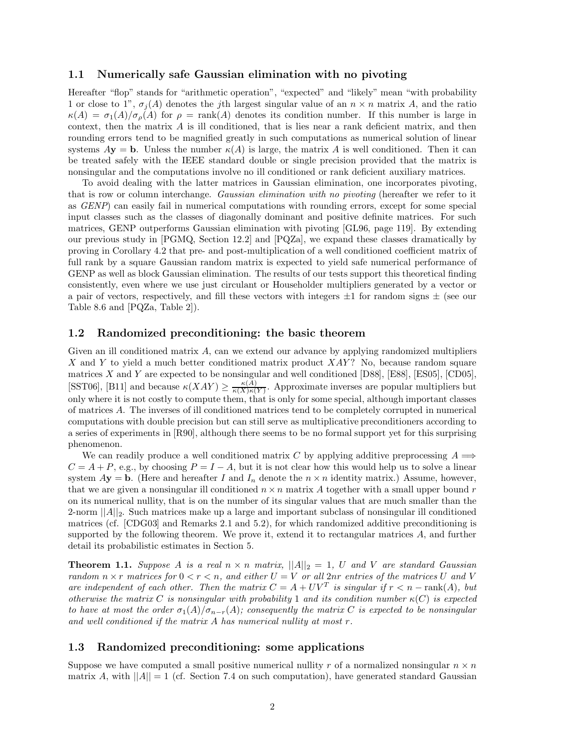#### **1.1 Numerically safe Gaussian elimination with no pivoting**

Hereafter "flop" stands for "arithmetic operation", "expected" and "likely" mean "with probability 1 or close to 1",  $\sigma_i(A)$  denotes the *j*th largest singular value of an  $n \times n$  matrix A, and the ratio  $\kappa(A) = \sigma_1(A)/\sigma_2(A)$  for  $\rho = \text{rank}(A)$  denotes its condition number. If this number is large in context, then the matrix *A* is ill conditioned, that is lies near a rank deficient matrix, and then rounding errors tend to be magnified greatly in such computations as numerical solution of linear systems  $A$ **y** = **b**. Unless the number  $\kappa(A)$  is large, the matrix *A* is well conditioned. Then it can be treated safely with the IEEE standard double or single precision provided that the matrix is nonsingular and the computations involve no ill conditioned or rank deficient auxiliary matrices.

To avoid dealing with the latter matrices in Gaussian elimination, one incorporates pivoting, that is row or column interchange. *Gaussian elimination with no pivoting* (hereafter we refer to it as *GENP*) can easily fail in numerical computations with rounding errors, except for some special input classes such as the classes of diagonally dominant and positive definite matrices. For such matrices, GENP outperforms Gaussian elimination with pivoting [GL96, page 119]. By extending our previous study in [PGMQ, Section 12.2] and [PQZa], we expand these classes dramatically by proving in Corollary 4.2 that pre- and post-multiplication of a well conditioned coefficient matrix of full rank by a square Gaussian random matrix is expected to yield safe numerical performance of GENP as well as block Gaussian elimination. The results of our tests support this theoretical finding consistently, even where we use just circulant or Householder multipliers generated by a vector or a pair of vectors, respectively, and fill these vectors with integers  $\pm 1$  for random signs  $\pm$  (see our Table 8.6 and [PQZa, Table 2]).

## **1.2 Randomized preconditioning: the basic theorem**

Given an ill conditioned matrix *A*, can we extend our advance by applying randomized multipliers *X* and *Y* to yield a much better conditioned matrix product *XAY* ? No, because random square matrices *X* and *Y* are expected to be nonsingular and well conditioned [D88], [E88], [ES05], [CD05], [SST06], [B11] and because  $\kappa(XAY) \geq \frac{\kappa(\widetilde{A})}{\kappa(X)\kappa(Y)}$ . Approximate inverses are popular multipliers but only where it is not costly to compute them, that is only for some special, although important classes of matrices *A*. The inverses of ill conditioned matrices tend to be completely corrupted in numerical computations with double precision but can still serve as multiplicative preconditioners according to a series of experiments in [R90], although there seems to be no formal support yet for this surprising phenomenon.

We can readily produce a well conditioned matrix *C* by applying additive preprocessing  $A \implies$  $C = A + P$ , e.g., by choosing  $P = I - A$ , but it is not clear how this would help us to solve a linear system  $A$ **y** = **b**. (Here and hereafter *I* and  $I_n$  denote the  $n \times n$  identity matrix.) Assume, however, that we are given a nonsingular ill conditioned  $n \times n$  matrix A together with a small upper bound  $r$ on its numerical nullity, that is on the number of its singular values that are much smaller than the 2-norm  $||A||_2$ . Such matrices make up a large and important subclass of nonsingular ill conditioned matrices (cf. [CDG03] and Remarks 2.1 and 5.2), for which randomized additive preconditioning is supported by the following theorem. We prove it, extend it to rectangular matrices *A*, and further detail its probabilistic estimates in Section 5.

**Theorem 1.1.** *Suppose A is a real*  $n \times n$  *matrix,*  $||A||_2 = 1$ , *U and V are standard Gaussian random*  $n \times r$  *matrices for*  $0 < r < n$ *, and either*  $U = V$  *or all* 2*nr entries of the matrices*  $U$  *and*  $V$ *are independent of each other. Then the matrix*  $C = A + UV^T$  *is singular if*  $r < n - \text{rank}(A)$ *, but otherwise the matrix C is nonsingular with probability* 1 *and its condition number*  $\kappa$ (*C*) *is expected to have at most the order*  $\sigma_1(A)/\sigma_{n-r}(A)$ ; consequently the matrix C is expected to be nonsingular *and well conditioned if the matrix A has numerical nullity at most r.*

## **1.3 Randomized preconditioning: some applications**

Suppose we have computed a small positive numerical nullity  $r$  of a normalized nonsingular  $n \times n$ matrix *A*, with  $||A|| = 1$  (cf. Section 7.4 on such computation), have generated standard Gaussian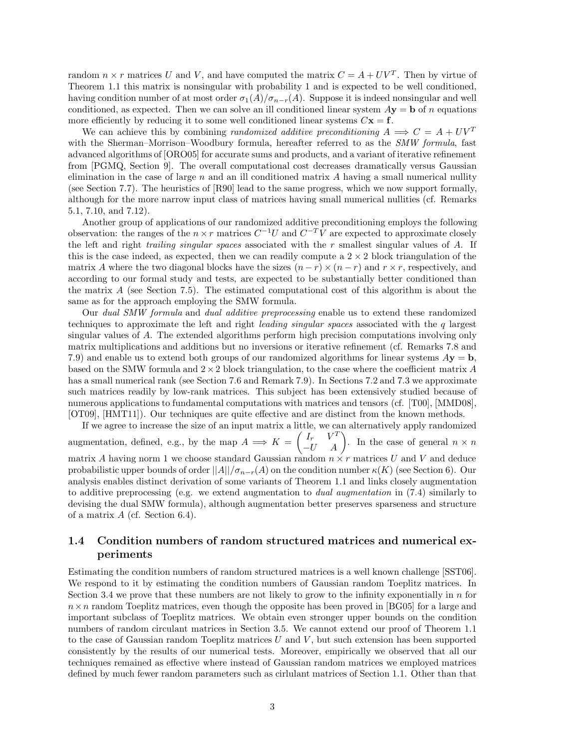random  $n \times r$  matrices U and V, and have computed the matrix  $C = A + UV^T$ . Then by virtue of Theorem 1.1 this matrix is nonsingular with probability 1 and is expected to be well conditioned, having condition number of at most order  $\sigma_1(A)/\sigma_{n-r}(A)$ . Suppose it is indeed nonsingular and well conditioned, as expected. Then we can solve an ill conditioned linear system  $Ay = b$  of *n* equations more efficiently by reducing it to some well conditioned linear systems  $C\mathbf{x} = \mathbf{f}$ .

We can achieve this by combining *randomized additive preconditioning*  $A \implies C = A + UV^T$ with the Sherman–Morrison–Woodbury formula, hereafter referred to as the *SMW formula*, fast advanced algorithms of [ORO05] for accurate sums and products, and a variant of iterative refinement from [PGMQ, Section 9]. The overall computational cost decreases dramatically versus Gaussian elimination in the case of large *n* and an ill conditioned matrix *A* having a small numerical nullity (see Section 7.7). The heuristics of [R90] lead to the same progress, which we now support formally, although for the more narrow input class of matrices having small numerical nullities (cf. Remarks 5.1, 7.10, and 7.12).

Another group of applications of our randomized additive preconditioning employs the following observation: the ranges of the  $n \times r$  matrices  $C^{-1}U$  and  $C^{-T}V$  are expected to approximate closely the left and right *trailing singular spaces* associated with the *r* smallest singular values of *A*. If this is the case indeed, as expected, then we can readily compute a  $2 \times 2$  block triangulation of the matrix *A* where the two diagonal blocks have the sizes  $(n - r) \times (n - r)$  and  $r \times r$ , respectively, and according to our formal study and tests, are expected to be substantially better conditioned than the matrix *A* (see Section 7.5). The estimated computational cost of this algorithm is about the same as for the approach employing the SMW formula.

Our *dual SMW formula* and *dual additive preprocessing* enable us to extend these randomized techniques to approximate the left and right *leading singular spaces* associated with the *q* largest singular values of *A*. The extended algorithms perform high precision computations involving only matrix multiplications and additions but no inversions or iterative refinement (cf. Remarks 7.8 and 7.9) and enable us to extend both groups of our randomized algorithms for linear systems *A***y** = **b**, based on the SMW formula and  $2 \times 2$  block triangulation, to the case where the coefficient matrix A has a small numerical rank (see Section 7.6 and Remark 7.9). In Sections 7.2 and 7.3 we approximate such matrices readily by low-rank matrices. This subject has been extensively studied because of numerous applications to fundamental computations with matrices and tensors (cf. [T00], [MMD08], [OT09], [HMT11]). Our techniques are quite effective and are distinct from the known methods.

If we agree to increase the size of an input matrix a little, we can alternatively apply randomized augmentation, defined, e.g., by the map  $A \implies K = \begin{pmatrix} I_r & V^T \\ -U & A \end{pmatrix}$ . In the case of general  $n \times n$ matrix *A* having norm 1 we choose standard Gaussian random  $n \times r$  matrices *U* and *V* and deduce probabilistic upper bounds of order  $||A||/\sigma_{n-r}(A)$  on the condition number  $\kappa(K)$  (see Section 6). Our analysis enables distinct derivation of some variants of Theorem 1.1 and links closely augmentation to additive preprocessing (e.g. we extend augmentation to *dual augmentation* in (7.4) similarly to devising the dual SMW formula), although augmentation better preserves sparseness and structure of a matrix *A* (cf. Section 6.4).

## **1.4 Condition numbers of random structured matrices and numerical experiments**

Estimating the condition numbers of random structured matrices is a well known challenge [SST06]. We respond to it by estimating the condition numbers of Gaussian random Toeplitz matrices. In Section 3.4 we prove that these numbers are not likely to grow to the infinity exponentially in *n* for  $n \times n$  random Toeplitz matrices, even though the opposite has been proved in [BG05] for a large and important subclass of Toeplitz matrices. We obtain even stronger upper bounds on the condition numbers of random circulant matrices in Section 3.5. We cannot extend our proof of Theorem 1.1 to the case of Gaussian random Toeplitz matrices *U* and *V* , but such extension has been supported consistently by the results of our numerical tests. Moreover, empirically we observed that all our techniques remained as effective where instead of Gaussian random matrices we employed matrices defined by much fewer random parameters such as cirlulant matrices of Section 1.1. Other than that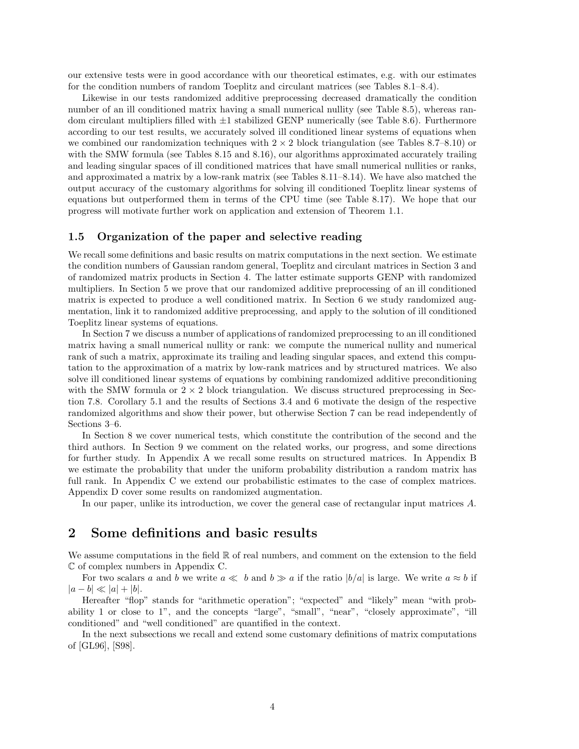our extensive tests were in good accordance with our theoretical estimates, e.g. with our estimates for the condition numbers of random Toeplitz and circulant matrices (see Tables 8.1–8.4).

Likewise in our tests randomized additive preprocessing decreased dramatically the condition number of an ill conditioned matrix having a small numerical nullity (see Table 8.5), whereas random circulant multipliers filled with  $\pm 1$  stabilized GENP numerically (see Table 8.6). Furthermore according to our test results, we accurately solved ill conditioned linear systems of equations when we combined our randomization techniques with  $2 \times 2$  block triangulation (see Tables 8.7–8.10) or with the SMW formula (see Tables 8.15 and 8.16), our algorithms approximated accurately trailing and leading singular spaces of ill conditioned matrices that have small numerical nullities or ranks, and approximated a matrix by a low-rank matrix (see Tables 8.11–8.14). We have also matched the output accuracy of the customary algorithms for solving ill conditioned Toeplitz linear systems of equations but outperformed them in terms of the CPU time (see Table 8.17). We hope that our progress will motivate further work on application and extension of Theorem 1.1.

### **1.5 Organization of the paper and selective reading**

We recall some definitions and basic results on matrix computations in the next section. We estimate the condition numbers of Gaussian random general, Toeplitz and circulant matrices in Section 3 and of randomized matrix products in Section 4. The latter estimate supports GENP with randomized multipliers. In Section 5 we prove that our randomized additive preprocessing of an ill conditioned matrix is expected to produce a well conditioned matrix. In Section 6 we study randomized augmentation, link it to randomized additive preprocessing, and apply to the solution of ill conditioned Toeplitz linear systems of equations.

In Section 7 we discuss a number of applications of randomized preprocessing to an ill conditioned matrix having a small numerical nullity or rank: we compute the numerical nullity and numerical rank of such a matrix, approximate its trailing and leading singular spaces, and extend this computation to the approximation of a matrix by low-rank matrices and by structured matrices. We also solve ill conditioned linear systems of equations by combining randomized additive preconditioning with the SMW formula or  $2 \times 2$  block triangulation. We discuss structured preprocessing in Section 7.8. Corollary 5.1 and the results of Sections 3.4 and 6 motivate the design of the respective randomized algorithms and show their power, but otherwise Section 7 can be read independently of Sections 3–6.

In Section 8 we cover numerical tests, which constitute the contribution of the second and the third authors. In Section 9 we comment on the related works, our progress, and some directions for further study. In Appendix A we recall some results on structured matrices. In Appendix B we estimate the probability that under the uniform probability distribution a random matrix has full rank. In Appendix C we extend our probabilistic estimates to the case of complex matrices. Appendix D cover some results on randomized augmentation.

In our paper, unlike its introduction, we cover the general case of rectangular input matrices *A*.

## **2 Some definitions and basic results**

We assume computations in the field  $\mathbb R$  of real numbers, and comment on the extension to the field C of complex numbers in Appendix C.

For two scalars *a* and *b* we write  $a \ll b$  and  $b \gg a$  if the ratio  $|b/a|$  is large. We write  $a \approx b$  if  $|a - b| \ll |a| + |b|.$ 

Hereafter "flop" stands for "arithmetic operation"; "expected" and "likely" mean "with probability 1 or close to 1", and the concepts "large", "small", "near", "closely approximate", "ill conditioned" and "well conditioned" are quantified in the context.

In the next subsections we recall and extend some customary definitions of matrix computations of [GL96], [S98].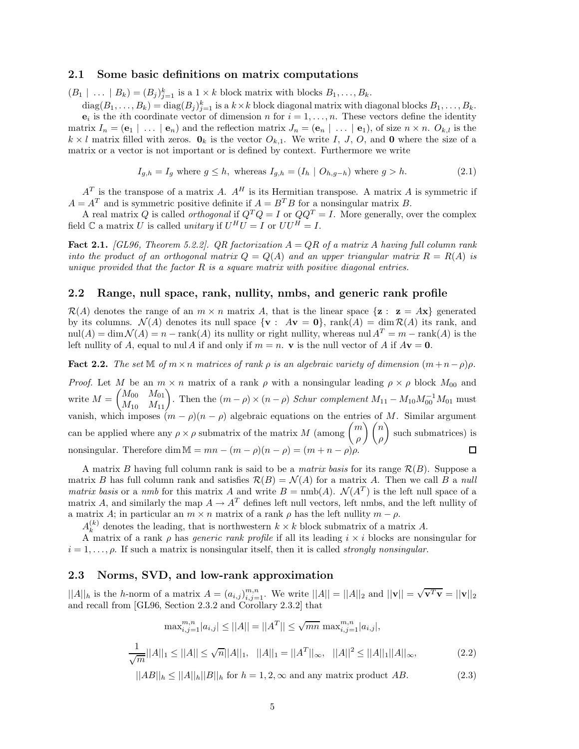#### **2.1 Some basic definitions on matrix computations**

 $(B_1 \mid \ldots \mid B_k) = (B_j)_{j=1}^k$  is a  $1 \times k$  block matrix with blocks  $B_1, \ldots, B_k$ .

 $\text{diag}(B_1,\ldots,B_k) = \text{diag}(B_j)_{j=1}^k$  is a  $k \times k$  block diagonal matrix with diagonal blocks  $B_1,\ldots,B_k$ .  $e_i$  is the *i*th coordinate vector of dimension *n* for  $i = 1, \ldots, n$ . These vectors define the identity matrix  $I_n = (\mathbf{e}_1 \mid \ldots \mid \mathbf{e}_n)$  and the reflection matrix  $J_n = (\mathbf{e}_n \mid \ldots \mid \mathbf{e}_1)$ , of size  $n \times n$ .  $O_{k,l}$  is the  $k \times l$  matrix filled with zeros.  $\mathbf{0}_k$  is the vector  $O_{k,1}$ . We write *I*, *J*, *O*, and **0** where the size of a matrix or a vector is not important or is defined by context. Furthermore we write

$$
I_{g,h} = I_g \text{ where } g \le h, \text{ whereas } I_{g,h} = (I_h \mid O_{h,g-h}) \text{ where } g > h. \tag{2.1}
$$

 $A<sup>T</sup>$  is the transpose of a matrix *A*.  $A<sup>H</sup>$  is its Hermitian transpose. A matrix *A* is symmetric if  $A = A<sup>T</sup>$  and is symmetric positive definite if  $A = B<sup>T</sup>B$  for a nonsingular matrix *B*.

A real matrix *Q* is called *orthogonal* if  $Q^T Q = I$  or  $QQ^T = I$ . More generally, over the complex field  $\mathbb C$  a matrix  $U$  is called *unitary* if  $U^H U = I$  or  $UU^H = I$ .

**Fact 2.1.** *[GL96, Theorem 5.2.2]. QR factorization A* = *QR of a matrix A having full column rank into the product of an orthogonal matrix*  $Q = Q(A)$  *and an upper triangular matrix*  $R = R(A)$  *is unique provided that the factor R is a square matrix with positive diagonal entries.*

## **2.2 Range, null space, rank, nullity, nmbs, and generic rank profile**

 $\mathcal{R}(A)$  denotes the range of an  $m \times n$  matrix A, that is the linear space  $\{z : z = Ax\}$  generated by its columns.  $\mathcal{N}(A)$  denotes its null space  $\{ \mathbf{v} : A\mathbf{v} = \mathbf{0} \}$ , rank $(A) = \dim \mathcal{R}(A)$  its rank, and  $\text{null}(A) = \dim \mathcal{N}(A) = n - \text{rank}(A)$  its nullity or right nullity, whereas nul  $A^T = m - \text{rank}(A)$  is the left nullity of *A*, equal to nul *A* if and only if  $m = n$ . **v** is the null vector of *A* if  $A$ **v** = **0**.

**Fact 2.2.** *The set*  $\mathbb{M}$  *of*  $m \times n$  *matrices of rank*  $\rho$  *is an algebraic variety of dimension*  $(m+n-\rho)\rho$ *.* 

*Proof.* Let *M* be an  $m \times n$  matrix of a rank *ρ* with a nonsingular leading  $\rho \times \rho$  block  $M_{00}$  and  $M = \begin{pmatrix} M_{00} & M_{01} \ M_{10} & M_{11} \end{pmatrix}$ . Then the  $(m - \rho) \times (n - \rho)$  *Schur complement*  $M_{11} - M_{10} M_{00}^{-1} M_{01}$  must vanish, which imposes  $(m - \rho)(n - \rho)$  algebraic equations on the entries of M. Similar argument can be applied where any  $\rho \times \rho$  submatrix of the matrix *M* (among  $\binom{m}{q}$ *ρ* - *n ρ* - such submatrices) is nonsingular. Therefore dim  $M = mn - (m - \rho)(n - \rho) = (m + n - \rho)\rho$ .

A matrix *B* having full column rank is said to be a *matrix basis* for its range  $\mathcal{R}(B)$ . Suppose a matrix *B* has full column rank and satisfies  $\mathcal{R}(B) = \mathcal{N}(A)$  for a matrix *A*. Then we call *B* a *null matrix basis* or a *nmb* for this matrix *A* and write  $B = \text{nmb}(A)$ .  $\mathcal{N}(A^T)$  is the left null space of a matrix *A*, and similarly the map  $A \to A^T$  defines left null vectors, left nmbs, and the left nullity of a matrix *A*; in particular an  $m \times n$  matrix of a rank  $\rho$  has the left nullity  $m - \rho$ .

 $A_k^{(k)}$  denotes the leading, that is northwestern  $k \times k$  block submatrix of a matrix *A*.

A matrix of a rank *ρ* has *generic rank profile* if all its leading *i* × *i* blocks are nonsingular for  $i = 1, \ldots, \rho$ . If such a matrix is nonsingular itself, then it is called *strongly nonsingular*.

#### **2.3 Norms, SVD, and low-rank approximation**

 $||A||_h$  is the *h*-norm of a matrix  $A = (a_{i,j})_{i,j=1}^{m,n}$ . We write  $||A|| = ||A||_2$  and  $||\mathbf{v}|| = \sqrt{\mathbf{v}^T \mathbf{v}} = ||\mathbf{v}||_2$ and recall from [GL96, Section 2.3.2 and Corollary 2.3.2] that

$$
\max_{i,j=1}^{m,n} |a_{i,j}| \le ||A|| = ||A^T|| \le \sqrt{mn} \max_{i,j=1}^{m,n} |a_{i,j}|,
$$
  

$$
\frac{1}{\sqrt{m}}||A||_1 \le ||A|| \le \sqrt{n}||A||_1, \quad ||A||_1 = ||A^T||_{\infty}, \quad ||A||^2 \le ||A||_1||A||_{\infty},
$$
 (2.2)

$$
||AB||_h \le ||A||_h ||B||_h \text{ for } h = 1, 2, \infty \text{ and any matrix product } AB.
$$
 (2.3)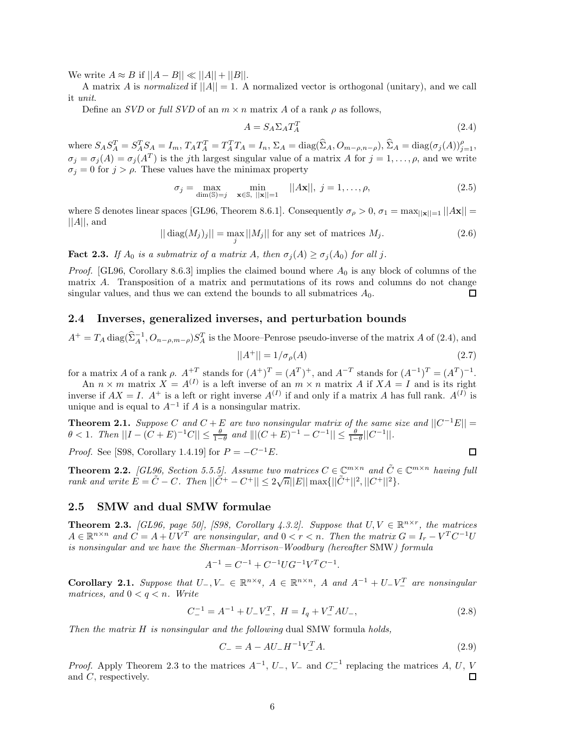We write  $A \approx B$  if  $||A - B|| \ll ||A|| + ||B||$ .

A matrix A is *normalized* if  $||A|| = 1$ . A normalized vector is orthogonal (unitary), and we call it *unit*.

Define an *SVD* or *full SVD* of an  $m \times n$  matrix *A* of a rank  $\rho$  as follows,

$$
A = S_A \Sigma_A T_A^T \tag{2.4}
$$

where  $S_A S_A^T = S_A^T S_A = I_m$ ,  $T_A T_A^T = T_A^T T_A = I_n$ ,  $\Sigma_A = \text{diag}(\widehat{\Sigma}_A, O_{m-\rho,n-\rho}), \widehat{\Sigma}_A = \text{diag}(\sigma_j(A))_{j=1}^{\rho},$  $\sigma_j = \sigma_j(A) = \sigma_j(A^T)$  is the *j*th largest singular value of a matrix *A* for  $j = 1, \ldots, \rho$ , and we write  $\sigma_j = 0$  for  $j > \rho$ . These values have the minimax property

$$
\sigma_j = \max_{\dim(\mathbb{S}) = j} \quad \min_{\mathbf{x} \in \mathbb{S}, \ |\mathbf{x}\| = 1} \quad ||A\mathbf{x}||, \ j = 1, \dots, \rho,
$$
\n(2.5)

where S denotes linear spaces [GL96, Theorem 8.6.1]. Consequently  $\sigma_{\rho} > 0$ ,  $\sigma_1 = \max_{\vert\vert \mathbf{x} \vert\vert = 1} \vert\vert \mathbf{Ax} \vert\vert =$  $||A||$ , and

$$
||diag(M_j)_j|| = \max_j ||M_j||
$$
 for any set of matrices  $M_j$ . (2.6)

**Fact 2.3.** *If*  $A_0$  *is a submatrix of a matrix*  $A$ *, then*  $\sigma_j(A) \geq \sigma_j(A_0)$  *for all j.* 

*Proof.* [GL96, Corollary 8.6.3] implies the claimed bound where *A*<sup>0</sup> is any block of columns of the matrix *A*. Transposition of a matrix and permutations of its rows and columns do not change singular values, and thus we can extend the bounds to all submatrices  $A_0$ .  $\Box$ 

## **2.4 Inverses, generalized inverses, and perturbation bounds**

$$
A^{+} = T_A \operatorname{diag}(\widehat{\Sigma}_A^{-1}, O_{n-\rho,m-\rho}) S_A^T
$$
 is the Moore-Penrose pseudo-inverse of the matrix A of (2.4), and

$$
||A^{+}|| = 1/\sigma_{\rho}(A)
$$
\n(2.7)

 $\Box$ 

for a matrix *A* of a rank  $\rho$ .  $A^{+T}$  stands for  $(A^+)^T = (A^T)^+$ , and  $A^{-T}$  stands for  $(A^{-1})^T = (A^T)^{-1}$ .

An  $n \times m$  matrix  $X = A^{(I)}$  is a left inverse of an  $m \times n$  matrix A if  $XA = I$  and is its right inverse if  $AX = I$ .  $A^+$  is a left or right inverse  $A^{(I)}$  if and only if a matrix *A* has full rank.  $A^{(I)}$  is unique and is equal to  $A^{-1}$  if *A* is a nonsingular matrix.

**Theorem 2.1.** *Suppose C* and  $C + E$  are two nonsingular matrix of the same size and  $||C^{-1}E|| =$  $\theta$  < 1*.* Then  $||I - (C + E)^{-1}C|| \leq \frac{\theta}{1-\theta}$  and  $||[(C + E)^{-1} - C^{-1}|| \leq \frac{\theta}{1-\theta}||C^{-1}||$ .

*Proof.* See [S98, Corollary 1.4.19] for  $P = -C^{-1}E$ .

**Theorem 2.2.** [GL96, Section 5.5.5]. Assume two matrices 
$$
C \in \mathbb{C}^{m \times n}
$$
 and  $\tilde{C} \in \mathbb{C}^{m \times n}$  having full rank and write  $E = \tilde{C} - C$ . Then  $||\tilde{C}^+ - C^+|| \leq 2\sqrt{n}||E||\max\{||\tilde{C}^+||^2, ||C^+||^2\}$ .

#### **2.5 SMW and dual SMW formulae**

**Theorem 2.3.** *[GL96, page 50], [S98, Corollary 4.3.2]. Suppose that*  $U, V \in \mathbb{R}^{n \times r}$ *, the matrices*  $A \in \mathbb{R}^{n \times n}$  and  $C = A + UV^T$  are nonsingular, and  $0 < r < n$ . Then the matrix  $G = I_r - V^T C^{-1} U$ *is nonsingular and we have the Sherman–Morrison–Woodbury (hereafter* SMW*) formula*

$$
A^{-1} = C^{-1} + C^{-1} U G^{-1} V^T C^{-1}.
$$

**Corollary 2.1.** Suppose that  $U_-, V_- \in \mathbb{R}^{n \times q}$ ,  $A \in \mathbb{R}^{n \times n}$ ,  $A$  and  $A^{-1} + U_-V_-^T$  are nonsingular *matrices, and*  $0 < q < n$ *. Write* 

$$
C_{-}^{-1} = A^{-1} + U_{-}V_{-}^{T}, \ H = I_{q} + V_{-}^{T}AU_{-}, \tag{2.8}
$$

*Then the matrix H is nonsingular and the following* dual SMW formula *holds,*

$$
C_{-} = A - AU_{-}H^{-1}V_{-}^{T}A.
$$
\n(2.9)

*Proof.* Apply Theorem 2.3 to the matrices  $A^{-1}$ ,  $U_-, V_-\$  and  $C^{-1}$  replacing the matrices  $A, U, V$  and  $C$ , respectively. and *C*, respectively.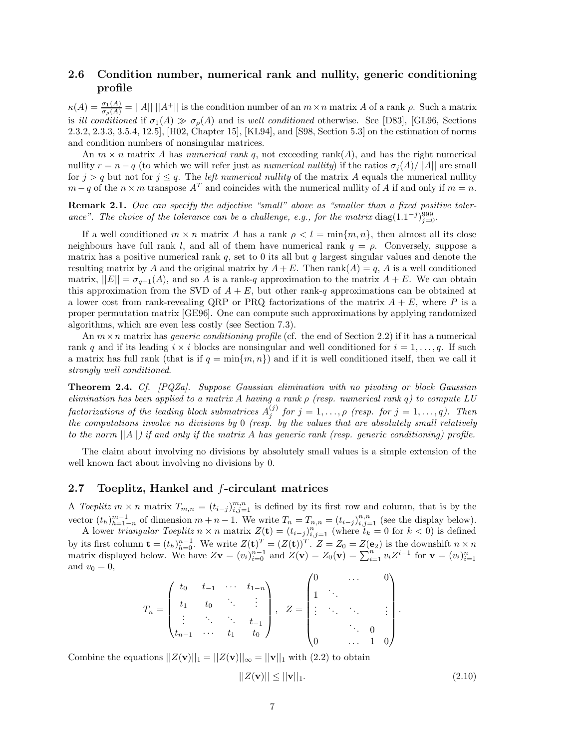## **2.6 Condition number, numerical rank and nullity, generic conditioning profile**

 $\kappa(A) = \frac{\sigma_1(A)}{\sigma_\rho(A)} = ||A|| \, ||A^+||$  is the condition number of an  $m \times n$  matrix *A* of a rank  $\rho$ . Such a matrix is *ill conditioned* if  $\sigma_1(A) \gg \sigma_2(A)$  and is *well conditioned* otherwise. See [D83], [GL96, Sections 2.3.2, 2.3.3, 3.5.4, 12.5], [H02, Chapter 15], [KL94], and [S98, Section 5.3] on the estimation of norms and condition numbers of nonsingular matrices.

An  $m \times n$  matrix A has *numerical rank q*, not exceeding rank(A), and has the right numerical nullity  $r = n - q$  (to which we will refer just as *numerical nullity*) if the ratios  $\sigma_j(A)/||A||$  are small for  $j > q$  but not for  $j \leq q$ . The *left numerical nullity* of the matrix *A* equals the numerical nullity  $m-q$  of the  $n \times m$  transpose  $A^T$  and coincides with the numerical nullity of *A* if and only if  $m = n$ .

**Remark 2.1.** *One can specify the adjective "small" above as "smaller than a fixed positive toler*ance". The choice of the tolerance can be a challenge, e.g., for the matrix diag(1.1<sup>-*j*)</sup> $j=0$ </sup>.

If a well conditioned  $m \times n$  matrix *A* has a rank  $\rho < l = \min\{m, n\}$ , then almost all its close neighbours have full rank *l*, and all of them have numerical rank *q* = *ρ*. Conversely, suppose a matrix has a positive numerical rank  $q$ , set to 0 its all but  $q$  largest singular values and denote the resulting matrix by *A* and the original matrix by  $A + E$ . Then rank $(A) = q$ , *A* is a well conditioned matrix,  $||E|| = \sigma_{q+1}(A)$ , and so A is a rank-q approximation to the matrix  $A + E$ . We can obtain this approximation from the SVD of  $A + E$ , but other rank-*q* approximations can be obtained at a lower cost from rank-revealing QRP or PRQ factorizations of the matrix  $A + E$ , where P is a proper permutation matrix [GE96]. One can compute such approximations by applying randomized algorithms, which are even less costly (see Section 7.3).

An *m*×*n* matrix has *generic conditioning profile* (cf. the end of Section 2.2) if it has a numerical rank *q* and if its leading  $i \times i$  blocks are nonsingular and well conditioned for  $i = 1, \ldots, q$ . If such a matrix has full rank (that is if  $q = \min\{m, n\}$ ) and if it is well conditioned itself, then we call it *strongly well conditioned*.

**Theorem 2.4.** *Cf. [PQZa]. Suppose Gaussian elimination with no pivoting or block Gaussian elimination has been applied to a matrix A having a rank ρ (resp. numerical rank q) to compute LU factorizations of the leading block submatrices*  $\overline{A}_j^{(j)}$  *for*  $j = 1, \ldots, \rho$  *(resp. for*  $j = 1, \ldots, q$ *). Then the computations involve no divisions by* 0 *(resp. by the values that are absolutely small relatively to the norm* ||*A*||*) if and only if the matrix A has generic rank (resp. generic conditioning) profile.*

The claim about involving no divisions by absolutely small values is a simple extension of the well known fact about involving no divisions by 0.

## **2.7 Toeplitz, Hankel and** *f***-circulant matrices**

A *Toeplitz*  $m \times n$  matrix  $T_{m,n} = (t_{i-j})_{i,j=1}^{m,n}$  is defined by its first row and column, that is by the vector  $(t_h)_{h=1-n}^{m-1}$  of dimension  $m+n-1$ . We write  $T_n = T_{n,n} = (t_{i-j})_{i,j=1}^{n,n}$  (see the display below).

A lower *triangular Toeplitz*  $n \times n$  matrix  $Z(\mathbf{t}) = (t_{i-j})_{i,j=1}^n$  (where  $t_k = 0$  for  $k < 0$ ) is defined by its first column  $\mathbf{t} = (t_h)_{h=0}^{n-1}$ . We write  $Z(\mathbf{t})^T = (Z(\mathbf{t}))^T$ .  $Z = Z_0 = Z(\mathbf{e}_2)$  is the downshift  $n \times n$ matrix displayed below. We have  $Z\mathbf{v} = (v_i)_{i=0}^{n-1}$  and  $Z(\mathbf{v}) = Z_0(\mathbf{v}) = \sum_{i=1}^{n-1} v_i Z^{i-1}$  for  $\mathbf{v} = (v_i)_{i=1}^n$ and  $v_0 = 0$ ,

$$
T_n = \begin{pmatrix} t_0 & t_{-1} & \cdots & t_{1-n} \\ t_1 & t_0 & \ddots & \vdots \\ \vdots & \ddots & \ddots & t_{-1} \\ t_{n-1} & \cdots & t_1 & t_0 \end{pmatrix}, \quad Z = \begin{pmatrix} 0 & \cdots & 0 \\ 1 & \ddots & & \\ \vdots & \ddots & \ddots & \vdots \\ 0 & \cdots & 1 & 0 \end{pmatrix}
$$

Combine the equations  $||Z(\mathbf{v})||_1 = ||Z(\mathbf{v})||_{\infty} = ||\mathbf{v}||_1$  with (2.2) to obtain

$$
||Z(\mathbf{v})|| \le ||\mathbf{v}||_1. \tag{2.10}
$$

*.*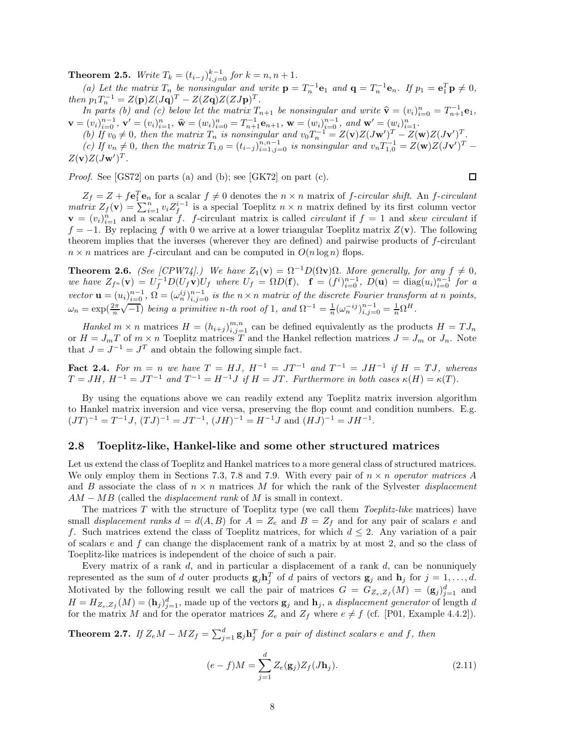**Theorem 2.5.** *Write*  $T_k = (t_{i-j})_{i,j=0}^{k-1}$  *for*  $k = n, n + 1$ *.* 

(a) Let the matrix  $T_n$  be nonsingular and write  $\mathbf{p} = T_n^{-1} \mathbf{e}_1$  and  $\mathbf{q} = T_n^{-1} \mathbf{e}_n$ . If  $p_1 = \mathbf{e}_1^T \mathbf{p} \neq 0$ , *then*  $p_1 T_n^{-1} = Z(p)Z(Jq)^T - Z(Zq)Z(ZJp)^T$ .

In parts (b) and (c) below let the matrix  $T_{n+1}$  be nonsingular and write  $\hat{\mathbf{v}} = (v_i)_{i=1}^n$ <br>  $\mathbf{v} = (v_i)_{i=0}^{n-1}$ ,  $\mathbf{v}' = (v_i)_{i=1}^n$ ,  $\hat{\mathbf{w}} = (w_i)_{i=0}^n = T_{n+1}^{-1} \mathbf{e}_{n+1}$ ,  $\mathbf{w} = (w_i)^{n-1}$ , and  $\mathbf{w$ *In parts (b) and (c) below let the matrix*  $T_{n+1}$  *be nonsingular and write*  $\hat{\mathbf{v}} = (v_i)_{i=0}^n = T_{n+1}^{-1} \mathbf{e}_1$ ,

(b) If  $v_0 \neq 0$ , then the matrix  $T_n$  is nonsingular and  $v_0 T_n^{-1} = Z(\mathbf{v})Z(J\mathbf{w}')^T - Z(\mathbf{w})Z(J\mathbf{v}')^T$ . (c) If  $v_n \neq 0$ , then the matrix  $T_{1,0} = (t_{i-j})_{i=1,j=0}^{n,n-1}$  is nonsingular and  $v_n T_{1,0}^{-1} = Z(\mathbf{w})Z(J\mathbf{v}')^T$  $Z(\mathbf{v})Z(J\mathbf{w}')^T$ .

*Proof.* See [GS72] on parts (a) and (b); see [GK72] on part (c).

$$
\square
$$

 $Z_f = Z + f\mathbf{e}_1^T\mathbf{e}_n$  for a scalar  $f \neq 0$  denotes the  $n \times n$  matrix of *f*-*circular shift*. An *f*-*circulant matrix*  $Z_f(\mathbf{v}) = \sum_{i=1}^n v_i Z_f^{i-1}$  is a special Toeplitz  $n \times n$  matrix defined by its first column vector  $\mathbf{v} = (v_i)_{i=1}^n$  and a scalar f. f-circulant matrix is called *circulant* if  $f = 1$  and *skew circulant* if  $f = -1$ . By replacing f with 0 we arrive at a lower triangular Toeplitz matrix  $Z(\mathbf{v})$ . The following theorem implies that the inverses (wherever they are defined) and pairwise products of *f*-circulant  $n \times n$  matrices are *f*-circulant and can be computed in  $O(n \log n)$  flops.

**Theorem 2.6.** *(See [CPW74].)* We have  $Z_1(\mathbf{v}) = \Omega^{-1}D(\Omega \mathbf{v})\Omega$ . More generally, for any  $f \neq 0$ , we have  $Z_{f^n}(\mathbf{v}) = U_f^{-1} D(U_f \mathbf{v}) U_f$  where  $U_f = \Omega D(\mathbf{f}), \quad \mathbf{f} = (f^i)_{i=0}^{n-1}, \ D(\mathbf{u}) = \text{diag}(u_i)_{i=0}^{n-1}$  for a vector  $\mathbf{u} = (u_i)_{i=0}^{n-1}$ ,  $\Omega = (\omega_n^{ij})_{i,j=0}^{n-1}$  is the  $n \times n$  matrix of the discrete Fourier transform at n points,  $\omega_n = \exp(\frac{2\pi}{n}\sqrt{-1})$  *being a primitive n*-th root of 1*, and*  $\Omega^{-1} = \frac{1}{n}(\omega_n^{-ij})_{i,j=0}^{n-1} = \frac{1}{n}\Omega^H$ .

*Hankel*  $m \times n$  matrices  $H = (h_{i+j})_{i,j=1}^{m,n}$  can be defined equivalently as the products  $H = T J_n$ or  $H = J_m T$  of  $m \times n$  Toeplitz matrices T and the Hankel reflection matrices  $J = J_m$  or  $J_n$ . Note that  $J = J^{-1} = J^T$  and obtain the following simple fact.

**Fact 2.4.** For  $m = n$  we have  $T = HJ$ ,  $H^{-1} = JT^{-1}$  and  $T^{-1} = JH^{-1}$  if  $H = TJ$ , whereas  $T = JH$ ,  $H^{-1} = JT^{-1}$  *and*  $T^{-1} = H^{-1}J$  *if*  $H = JT$ . Furthermore in both cases  $\kappa(H) = \kappa(T)$ .

By using the equations above we can readily extend any Toeplitz matrix inversion algorithm to Hankel matrix inversion and vice versa, preserving the flop count and condition numbers. E.g.  $(JT)^{-1} = T^{-1}J$ ,  $(TJ)^{-1} = JT^{-1}$ ,  $(JH)^{-1} = H^{-1}J$  and  $(HJ)^{-1} = JH^{-1}$ .

#### **2.8 Toeplitz-like, Hankel-like and some other structured matrices**

Let us extend the class of Toeplitz and Hankel matrices to a more general class of structured matrices. We only employ them in Sections 7.3, 7.8 and 7.9. With every pair of *n* × *n operator matrices A* and *B* associate the class of *n* × *n* matrices *M* for which the rank of the Sylvester *displacement AM* − *MB* (called the *displacement rank* of *M* is small in context.

The matrices *T* with the structure of Toeplitz type (we call them *Toeplitz-like* matrices) have small *displacement ranks*  $d = d(A, B)$  for  $A = Z_e$  and  $B = Z_f$  and for any pair of scalars *e* and *f*. Such matrices extend the class of Toeplitz matrices, for which  $d \leq 2$ . Any variation of a pair of scalars *e* and *f* can change the displacement rank of a matrix by at most 2, and so the class of Toeplitz-like matrices is independent of the choice of such a pair.

Every matrix of a rank *d*, and in particular a displacement of a rank *d*, can be nonuniquely represented as the sum of *d* outer products  $\mathbf{g}_j \mathbf{h}_j^T$  of *d* pairs of vectors  $\mathbf{g}_j$  and  $\mathbf{h}_j$  for  $j = 1, \ldots, d$ . Motivated by the following result we call the pair of matrices  $G = G_{Z_e, Z_f}(M) = (\mathbf{g}_j)_{j=1}^d$  and  $H = H_{Z_e, Z_f}(M) = (\mathbf{h}_j)_{j=1}^d$ , made up of the vectors  $\mathbf{g}_j$  and  $\mathbf{h}_j$ , a *displacement generator* of length *d* for the matrix *M* and for the operator matrices  $Z_e$  and  $Z_f$  where  $e \neq f$  (cf. [P01, Example 4.4.2]).

**Theorem 2.7.** If  $Z_eM - MZ_f = \sum_{j=1}^d g_j \mathbf{h}_j^T$  for a pair of distinct scalars  $e$  and  $f$ , then

$$
(e - f)M = \sum_{j=1}^{d} Z_e(\mathbf{g}_j) Z_f(J\mathbf{h}_j).
$$
 (2.11)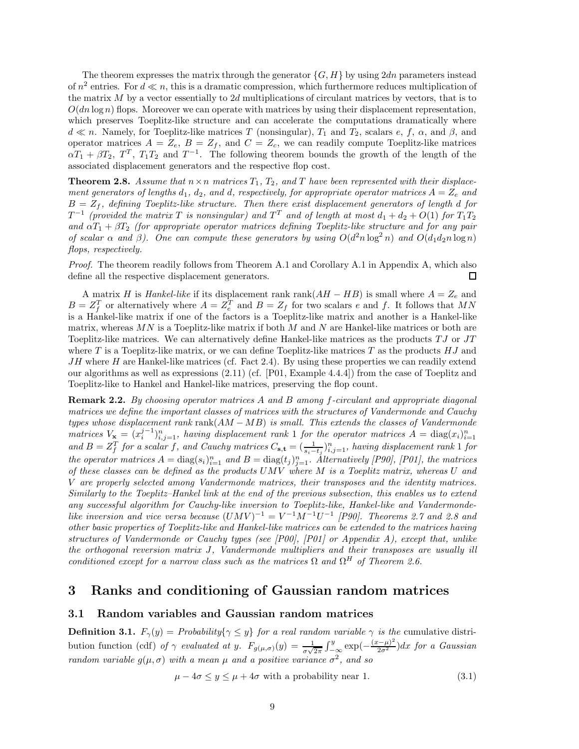The theorem expresses the matrix through the generator  ${G, H}$  by using  $2dn$  parameters instead of  $n^2$  entries. For  $d \ll n$ , this is a dramatic compression, which furthermore reduces multiplication of the matrix *M* by a vector essentially to 2*d* multiplications of circulant matrices by vectors, that is to  $O(dn \log n)$  flops. Moreover we can operate with matrices by using their displacement representation, which preserves Toeplitz-like structure and can accelerate the computations dramatically where  $d \ll n$ . Namely, for Toeplitz-like matrices *T* (nonsingular),  $T_1$  and  $T_2$ , scalars *e*, *f*, *α*, and *β*, and operator matrices  $A = Z_e$ ,  $B = Z_f$ , and  $C = Z_c$ , we can readily compute Toeplitz-like matrices  $aT_1 + \beta T_2$ ,  $T^T$ ,  $T_1T_2$  and  $T^{-1}$ . The following theorem bounds the growth of the length of the associated displacement generators and the respective flop cost.

**Theorem 2.8.** *Assume that*  $n \times n$  *matrices*  $T_1$ ,  $T_2$ *, and*  $T$  *have been represented with their displacement generators of lengths*  $d_1$ ,  $d_2$ , and  $d$ , respectively, for appropriate operator matrices  $A = Z_e$  and  $B = Z_f$ , defining Toeplitz-like structure. Then there exist displacement generators of length  $d$  for  $T^{-1}$  (provided the matrix *T* is nonsingular) and  $T^T$  and of length at most  $d_1 + d_2 + O(1)$  for  $T_1T_2$ *and*  $\alpha T_1 + \beta T_2$  (for appropriate operator matrices defining Toeplitz-like structure and for any pair *of scalar*  $\alpha$  *and*  $\beta$ ). One can compute these generators by using  $O(d^2n \log^2 n)$  *and*  $O(d_1d_2n \log n)$ *flops, respectively.*

*Proof.* The theorem readily follows from Theorem A.1 and Corollary A.1 in Appendix A, which also define all the respective displacement generators. П

A matrix *H* is *Hankel-like* if its displacement rank rank(*AH* − *HB*) is small where *A* = *Z<sup>e</sup>* and  $B = Z_f^T$  or alternatively where  $A = Z_e^T$  and  $B = Z_f$  for two scalars *e* and *f*. It follows that *MN* is a Hankel-like matrix if one of the factors is a Toeplitz-like matrix and another is a Hankel-like matrix, whereas *MN* is a Toeplitz-like matrix if both *M* and *N* are Hankel-like matrices or both are Toeplitz-like matrices. We can alternatively define Hankel-like matrices as the products *T J* or *JT* where *T* is a Toeplitz-like matrix, or we can define Toeplitz-like matrices *T* as the products *HJ* and *JH* where *H* are Hankel-like matrices (cf. Fact 2.4). By using these properties we can readily extend our algorithms as well as expressions (2.11) (cf. [P01, Example 4.4.4]) from the case of Toeplitz and Toeplitz-like to Hankel and Hankel-like matrices, preserving the flop count.

**Remark 2.2.** *By choosing operator matrices A and B among f-circulant and appropriate diagonal matrices we define the important classes of matrices with the structures of Vandermonde and Cauchy types whose displacement rank* rank(*AM* −*MB*) *is small. This extends the classes of Vandermonde matrices*  $V_x = (x_i^{j-1})_{i,j=1}^n$ , having displacement rank 1 for the operator matrices  $A = \text{diag}(x_i)_{i=1}^n$ and  $B = Z_f^T$  for a scalar f, and Cauchy matrices  $C_{s,t} = (\frac{1}{s_i-t_j})_{i,j=1}^n$ , having displacement rank 1 for *the operator matrices*  $A = \text{diag}(s_i)_{i=1}^n$  and  $B = \text{diag}(t_j)_{j=1}^n$ . Alternatively [P90], [P01], the matrices *of these classes can be defined as the products UMV where M is a Toeplitz matrix, whereas U and V are properly selected among Vandermonde matrices, their transposes and the identity matrices. Similarly to the Toeplitz–Hankel link at the end of the previous subsection, this enables us to extend any successful algorithm for Cauchy-like inversion to Toeplitz-like, Hankel-like and Vandermondelike inversion and vice versa because*  $(UMV)^{-1} = V^{-1}M^{-1}U^{-1}$  *[P90]. Theorems 2.7 and 2.8 and other basic properties of Toeplitz-like and Hankel-like matrices can be extended to the matrices having structures of Vandermonde or Cauchy types (see [P00], [P01] or Appendix A), except that, unlike the orthogonal reversion matrix J, Vandermonde multipliers and their transposes are usually ill conditioned except for a narrow class such as the matrices*  $\Omega$  *and*  $\Omega$ <sup>*H*</sup> *of Theorem 2.6.* 

## **3 Ranks and conditioning of Gaussian random matrices**

### **3.1 Random variables and Gaussian random matrices**

**Definition 3.1.**  $F_{\gamma}(y) =$  *Probability*{ $\gamma \leq y$ } *for a real random variable*  $\gamma$  *is the* cumulative distribution function (cdf) *of*  $\gamma$  *evaluated at y.*  $F_{g(\mu,\sigma)}(y) = \frac{1}{\sigma\sqrt{2\pi}} \int_{-\infty}^{y} \exp(-\frac{(x-\mu)^2}{2\sigma^2}) dx$  for a Gaussian *random variable*  $g(\mu, \sigma)$  *with* a mean  $\mu$  and a positive variance  $\sigma^2$ , and so

$$
\mu - 4\sigma \le y \le \mu + 4\sigma \text{ with a probability near 1.} \tag{3.1}
$$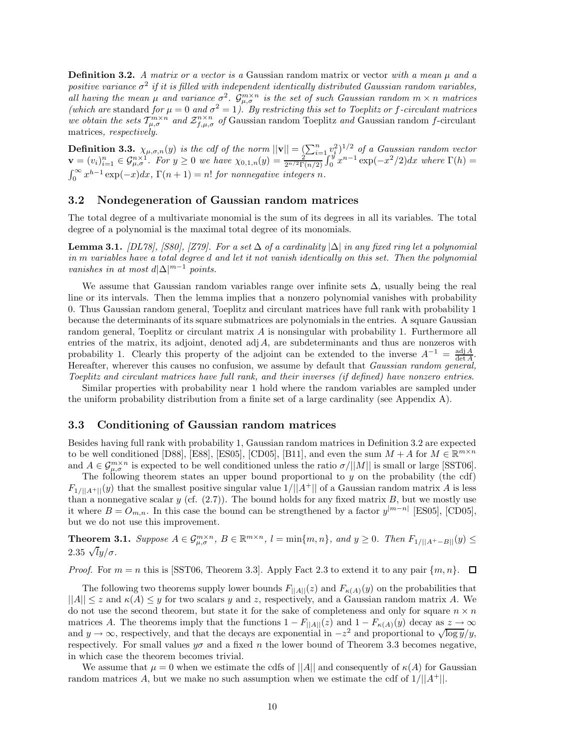**Definition 3.2.** *A matrix or a vector is a* Gaussian random matrix or vector *with a mean µ and a positive variance*  $\sigma^2$  *if it is filled with independent identically distributed Gaussian random variables,*  $\int$ *all having the mean*  $\mu$  *and variance*  $\sigma^2$ *.*  $\hat{G}^{m\times n}_{\mu,\sigma}$  *is the set of such Gaussian random*  $m \times n$  *matrices (which are* standard *for*  $\mu = 0$  *and*  $\sigma^2 = 1$ *). By restricting this set to Toeplitz or f-circulant matrices we obtain the sets*  $T_{\mu,\sigma}^{m\times n}$  *and*  $\mathcal{Z}_{f,\mu,\sigma}^{n\times n}$  *of* Gaussian random Toeplitz *and* Gaussian random *f*-circulant matrices*, respectively.*

**Definition 3.3.**  $\chi_{\mu,\sigma,n}(y)$  is the cdf of the norm  $||\mathbf{v}|| = \left(\sum_{i=1}^{n} v_i^2\right)^{1/2}$  of a Gaussian random vector  $\mathbf{v} = (v_i)_{i=1}^n \in \mathcal{G}_{\mu,\sigma}^{n \times 1}$ . For  $y \ge 0$  we have  $\chi_{0,1,n}(y) = \frac{y_i}{2^{n/2} \Gamma(n/2)} \int_0^y x^{n-1} \exp(-x^2/2) dx$  where  $\Gamma(h) =$  $\int_0^\infty x^{h-1} \exp(-x) dx$ ,  $\Gamma(n+1) = n!$  *for nonnegative integers n.* 

## **3.2 Nondegeneration of Gaussian random matrices**

The total degree of a multivariate monomial is the sum of its degrees in all its variables. The total degree of a polynomial is the maximal total degree of its monomials.

**Lemma 3.1.** *[DL78], [S80], [Z79]. For a set* ∆ *of a cardinality* |∆| *in any fixed ring let a polynomial in m variables have a total degree d and let it not vanish identically on this set. Then the polynomial vanishes in at most*  $d|\Delta|^{m-1}$  *points.* 

We assume that Gaussian random variables range over infinite sets  $\Delta$ , usually being the real line or its intervals. Then the lemma implies that a nonzero polynomial vanishes with probability 0. Thus Gaussian random general, Toeplitz and circulant matrices have full rank with probability 1 because the determinants of its square submatrices are polynomials in the entries. A square Gaussian random general, Toeplitz or circulant matrix *A* is nonsingular with probability 1. Furthermore all entries of the matrix, its adjoint, denoted adj*A*, are subdeterminants and thus are nonzeros with probability 1. Clearly this property of the adjoint can be extended to the inverse  $A^{-1} = \frac{\text{adj }A}{\text{det }A}$ . Hereafter, wherever this causes no confusion, we assume by default that *Gaussian random general, Toeplitz and circulant matrices have full rank, and their inverses (if defined) have nonzero entries*.

Similar properties with probability near 1 hold where the random variables are sampled under the uniform probability distribution from a finite set of a large cardinality (see Appendix A).

#### **3.3 Conditioning of Gaussian random matrices**

Besides having full rank with probability 1, Gaussian random matrices in Definition 3.2 are expected to be well conditioned [D88], [E88], [ES05], [CD05], [B11], and even the sum  $M + A$  for  $M \in \mathbb{R}^{m \times n}$ and  $A \in \mathcal{G}_{\mu,\sigma}^{m \times n}$  is expected to be well conditioned unless the ratio  $\sigma/||M||$  is small or large [SST06].

The following theorem states an upper bound proportional to *y* on the probability (the cdf)  $F_{1/||A^+||}(y)$  that the smallest positive singular value  $1/||A^+||$  of a Gaussian random matrix *A* is less than a nonnegative scalar  $y$  (cf.  $(2.7)$ ). The bound holds for any fixed matrix  $B$ , but we mostly use it where  $B = O_{m,n}$ . In this case the bound can be strengthened by a factor  $y^{|m-n|}$  [ES05], [CD05], but we do not use this improvement.

**Theorem 3.1.** Suppose  $A \in \mathcal{G}_{\mu,\sigma}^{m \times n}$ ,  $B \in \mathbb{R}^{m \times n}$ ,  $l = \min\{m,n\}$ , and  $y \geq 0$ . Then  $F_{1/||A^+ - B||}(y) \leq$ 2.35  $\sqrt{y}/\sigma$ .

*Proof.* For  $m = n$  this is [SST06, Theorem 3.3]. Apply Fact 2.3 to extend it to any pair  $\{m, n\}$ .  $\Box$ 

The following two theorems supply lower bounds  $F_{\parallel A \parallel}(z)$  and  $F_{\kappa(A)}(y)$  on the probabilities that  $||A|| \leq z$  and  $\kappa(A) \leq y$  for two scalars y and z, respectively, and a Gaussian random matrix A. We do not use the second theorem, but state it for the sake of completeness and only for square  $n \times n$ matrices *A*. The theorems imply that the functions  $1 - F_{\vert A \vert \vert}(z)$  and  $1 - F_{\kappa(A)}(y)$  decay as  $z \to \infty$ and  $y \to \infty$ , respectively, and that the decays are exponential in  $-z^2$  and proportional to  $\sqrt{\log y}/y$ , respectively. For small values  $y\sigma$  and a fixed *n* the lower bound of Theorem 3.3 becomes negative, in which case the theorem becomes trivial.

We assume that  $\mu = 0$  when we estimate the cdfs of  $||A||$  and consequently of  $\kappa(A)$  for Gaussian random matrices *A*, but we make no such assumption when we estimate the cdf of 1*/*||*A*<sup>+</sup>||.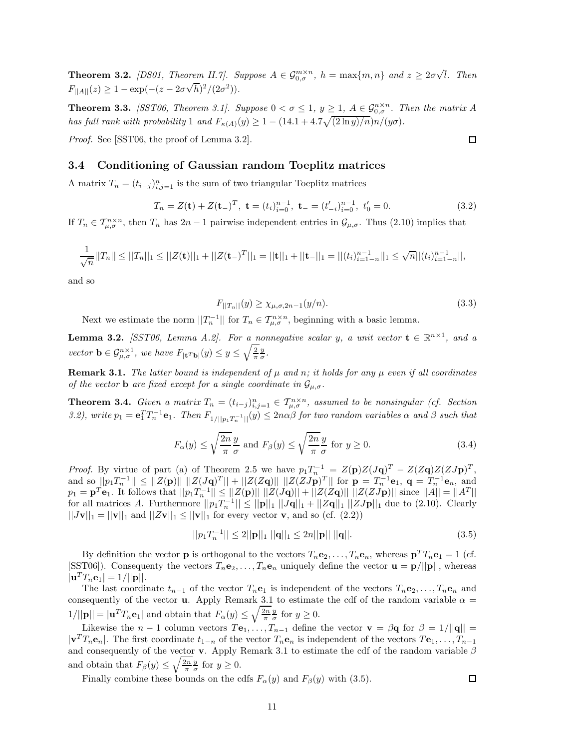**Theorem 3.2.** *[DS01, Theorem II.7]. Suppose*  $A \in \mathcal{G}_{0,\sigma}^{m \times n}$ ,  $h = \max\{m,n\}$  and  $z \geq 2\sigma\sqrt{l}$ . Then  $F_{\vert A \vert}(z) \geq 1 - \exp(-(z - 2\sigma\sqrt{h})^2/(2\sigma^2)).$ 

**Theorem 3.3.** *[SST06, Theorem 3.1]. Suppose*  $0 < \sigma \leq 1$ ,  $y \geq 1$ ,  $A \in \mathcal{G}_{0,\sigma}^{n \times n}$ . Then the matrix A *has full rank with probability* 1 *and*  $F_{\kappa(A)}(y) \geq 1 - (14.1 + 4.7\sqrt{(2 \ln y)/n})n/(y\sigma)$ .

*Proof.* See [SST06, the proof of Lemma 3.2].

#### **3.4 Conditioning of Gaussian random Toeplitz matrices**

A matrix  $T_n = (t_{i-j})_{i,j=1}^n$  is the sum of two triangular Toeplitz matrices

$$
T_n = Z(\mathbf{t}) + Z(\mathbf{t}_-)^T, \ \mathbf{t} = (t_i)_{i=0}^{n-1}, \ \mathbf{t}_- = (t'_{-i})_{i=0}^{n-1}, \ t'_0 = 0. \tag{3.2}
$$

If  $T_n \in \mathcal{T}_{\mu,\sigma}^{n \times n}$ , then  $T_n$  has  $2n-1$  pairwise independent entries in  $\mathcal{G}_{\mu,\sigma}$ . Thus (2.10) implies that

$$
\frac{1}{\sqrt{n}}||T_n|| \leq ||T_n||_1 \leq ||Z(\mathbf{t})||_1 + ||Z(\mathbf{t})||_1 = ||\mathbf{t}||_1 + ||\mathbf{t}||_1 = ||(t_i)_{i=1-n}^{n-1}||_1 \leq \sqrt{n}||(t_i)_{i=1-n}^{n-1}||,
$$

and so

$$
F_{||T_n||}(y) \ge \chi_{\mu,\sigma,2n-1}(y/n). \tag{3.3}
$$

Next we estimate the norm  $||T_n^{-1}||$  for  $T_n \in T_{\mu,\sigma}^{n \times n}$ , beginning with a basic lemma.

**Lemma 3.2.** *[SST06, Lemma A.2]. For a nonnegative scalar y, a unit vector*  $\mathbf{t} \in \mathbb{R}^{n \times 1}$ *, and a vector*  $\mathbf{b} \in \mathcal{G}_{\mu,\sigma}^{n\times 1}$ , we have  $F_{|\mathbf{t}^T\mathbf{b}|}(y) \leq y \leq \sqrt{\frac{2}{\pi}} \frac{y}{\sigma}$ .

**Remark 3.1.** *The latter bound is independent of*  $\mu$  *and*  $n$ *; it holds for any*  $\mu$  *even if all coordinates of the vector* **b** *are fixed except for a single coordinate in*  $\mathcal{G}_{\mu,\sigma}$ *.* 

**Theorem 3.4.** Given a matrix  $T_n = (t_{i-j})_{i,j=1}^n \in \mathcal{T}_{\mu,\sigma}^{n \times n}$ , assumed to be nonsingular (cf. Section 3.2), write  $p_1 = \mathbf{e}_1^T T_n^{-1} \mathbf{e}_1$ . Then  $F_{1/||p_1T_n^{-1}||}(y) \le 2n\alpha\beta$  for two random variables  $\alpha$  and  $\beta$  such that

$$
F_{\alpha}(y) \le \sqrt{\frac{2n}{\pi}} \frac{y}{\sigma} \text{ and } F_{\beta}(y) \le \sqrt{\frac{2n}{\pi}} \frac{y}{\sigma} \text{ for } y \ge 0.
$$
 (3.4)

*Proof.* By virtue of part (a) of Theorem 2.5 we have  $p_1T_n^{-1} = Z(\mathbf{p})Z(J\mathbf{q})^T - Z(Z\mathbf{q})Z(ZJ\mathbf{p})^T$ , and so  $||p_1T_n^{-1}|| \le ||Z(\mathbf{p})|| ||Z(J\mathbf{q})^T|| + ||Z(Z\mathbf{q})|| ||Z(ZJ\mathbf{p})^T||$  for  $\mathbf{p} = T_n^{-1}\mathbf{e}_1$ ,  $\mathbf{q} = T_n^{-1}\mathbf{e}_n$ , and  $p_1 = \mathbf{p}^T \mathbf{e}_1$ . It follows that  $||p_1 T_n^{-1}|| \le ||Z(\mathbf{p})|| ||Z(J\mathbf{q})|| + ||Z(Z\mathbf{q})|| ||Z(ZJ\mathbf{p})||$  since  $||A|| = ||A||$ for all matrices *A*. Furthermore  $||p_1T_n^{-1}|| \le ||\mathbf{p}||_1 ||J\mathbf{q}||_1 + ||Z\mathbf{q}||_1 ||ZJ\mathbf{p}||_1$  due to (2.10). Clearly  $||J\mathbf{v}||_1 = ||\mathbf{v}||_1$  and  $||Z\mathbf{v}||_1 \le ||\mathbf{v}||_1$  for every vector **v**, and so (cf. (2.2))

$$
||p_1 T_n^{-1}|| \le 2||\mathbf{p}||_1 ||\mathbf{q}||_1 \le 2n||\mathbf{p}|| ||\mathbf{q}||. \tag{3.5}
$$

By definition the vector **p** is orthogonal to the vectors  $T_n \mathbf{e}_2, \ldots, T_n \mathbf{e}_n$ , whereas  $\mathbf{p}^T T_n \mathbf{e}_1 = 1$  (cf. [SST06]). Consequenty the vectors  $T_n \mathbf{e}_2, \ldots, T_n \mathbf{e}_n$  uniquely define the vector  $\mathbf{u} = \mathbf{p}/||\mathbf{p}||$ , whereas  $|\mathbf{u}^T T_n \mathbf{e}_1| = 1/||\mathbf{p}||.$ 

The last coordinate  $t_{n-1}$  of the vector  $T_n$ **e**<sub>1</sub> is independent of the vectors  $T_n$ **e**<sub>2</sub>*,...,*  $T_n$ **e**<sub>*n*</sub> and consequently of the vector **u**. Apply Remark 3.1 to estimate the cdf of the random variable  $\alpha$  =  $1/||\mathbf{p}|| = |\mathbf{u}^T T_n \mathbf{e}_1|$  and obtain that  $F_\alpha(y) \leq \sqrt{\frac{2n}{\pi}} \frac{y}{\sigma}$  for  $y \geq 0$ .

Likewise the *n* − 1 column vectors  $T\mathbf{e}_1, \ldots, T_{n-1}$  define the vector  $\mathbf{v} = \beta \mathbf{q}$  for  $\beta = 1/||\mathbf{q}||$  =  $|\mathbf{v}^T T_n \mathbf{e}_n|$ . The first coordinate  $t_{1-n}$  of the vector  $T_n \mathbf{e}_n$  is independent of the vectors  $T \mathbf{e}_1, \ldots, T_{n-1}$ and consequently of the vector **v**. Apply Remark 3.1 to estimate the cdf of the random variable *β* and obtain that  $F_\beta(y) \leq \sqrt{\frac{2n}{\pi}} \frac{y}{\sigma}$  for  $y \geq 0$ .

Finally combine these bounds on the cdfs  $F_\alpha(y)$  and  $F_\beta(y)$  with (3.5).

 $\Box$ 

 $\Box$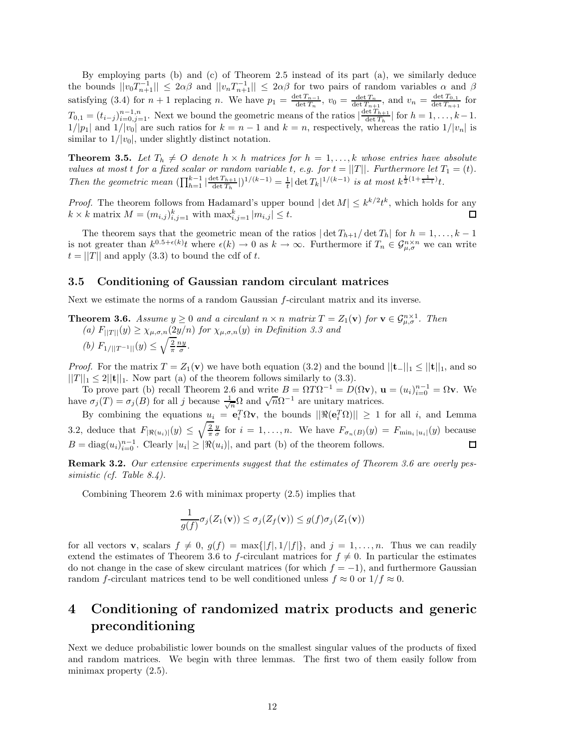By employing parts (b) and (c) of Theorem 2.5 instead of its part (a), we similarly deduce the bounds  $||v_0T_{n+1}^{-1}|| \le 2\alpha\beta$  and  $||v_nT_{n+1}^{-1}|| \le 2\alpha\beta$  for two pairs of random variables  $\alpha$  and  $\beta$ satisfying (3.4) for  $n + 1$  replacing *n*. We have  $p_1 = \frac{\det T_{n-1}}{\det T_n}$ ,  $v_0 = \frac{\det T_n}{\det T_{n+1}}$ , and  $v_n = \frac{\det T_{0,1}}{\det T_{n+1}}$  for  $T_{0,1} = (t_{i-j})_{i=0,j=1}^{n-1,n}$ . Next we bound the geometric means of the ratios  $\left|\frac{\det T_{h+1}}{\det T_h}\right|$  for  $h = 1, \ldots, k-1$ .  $1/|p_1|$  and  $1/|v_0|$  are such ratios for  $k = n - 1$  and  $k = n$ , respectively, whereas the ratio  $1/|v_n|$  is similar to  $1/|v_0|$ , under slightly distinct notation.

**Theorem 3.5.** Let  $T_h \neq O$  denote  $h \times h$  matrices for  $h = 1, \ldots, k$  whose entries have absolute *values at most t for a fixed scalar or random variable t*, *e.g. for*  $t = ||T||$ *. Furthermore let*  $T_1 = (t)$ *.* Then the geometric mean  $(\prod_{h=1}^{k-1} |\frac{\det T_{h+1}}{\det T_h}|)^{1/(k-1)} = \frac{1}{t} |\det T_k|^{1/(k-1)}$  is at most  $k^{\frac{1}{2}(1+\frac{1}{k-1})}t$ .

*Proof.* The theorem follows from Hadamard's upper bound  $|\det M| \leq k^{k/2}t^k$ , which holds for any  $k \times k$  matrix  $M = (m_{i,j})_{i,j=1}^k$  with  $\max_{i,j=1}^k |m_{i,j}| \leq t$ . 口

The theorem says that the geometric mean of the ratios  $|\det T_{h+1}/\det T_h|$  for  $h = 1, \ldots, k - 1$ is not greater than  $k^{0.5+\epsilon(k)}$  where  $\epsilon(k) \to 0$  as  $k \to \infty$ . Furthermore if  $T_n \in \mathcal{G}_{\mu,\sigma}^{n \times n}$  we can write  $t = ||T||$  and apply (3.3) to bound the cdf of *t*.

#### **3.5 Conditioning of Gaussian random circulant matrices**

Next we estimate the norms of a random Gaussian *f*-circulant matrix and its inverse.

**Theorem 3.6.** *Assume*  $y \ge 0$  *and a circulant*  $n \times n$  *matrix*  $T = Z_1(\mathbf{v})$  *for*  $\mathbf{v} \in \mathcal{G}_{\mu,\sigma}^{n \times 1}$ *. Then*  $(a)$   $F_{\vert\vert T\vert\vert}(y) \geq \chi_{\mu,\sigma,n}(2y/n)$  *for*  $\chi_{\mu,\sigma,n}(y)$  *in Definition 3.3 and (b)*  $F_{1/||T^{-1}||}(y) \leq \sqrt{\frac{2}{\pi}} \frac{ny}{\sigma}$ .

*Proof.* For the matrix  $T = Z_1(\mathbf{v})$  we have both equation (3.2) and the bound  $||\mathbf{t}−||_1 \leq ||\mathbf{t}||_1$ , and so  $||T||_1 \leq 2||{\bf t}||_1$ . Now part (a) of the theorem follows similarly to (3.3).

To prove part (b) recall Theorem 2.6 and write  $B = \Omega T \Omega^{-1} = D(\Omega \mathbf{v}), \mathbf{u} = (u_i)_{i=0}^{n-1} = \Omega \mathbf{v}.$  We have *σ*<sub>*j*</sub>(*T*) = *σ*<sub>*j*</sub>(*B*) for all *j* because  $\frac{1}{\sqrt{n}}Ω$  and  $\sqrt{n}Ω^{-1}$  are unitary matrices.

By combining the equations  $u_i = e_i^T \Omega v$ , the bounds  $||\Re(e_i^T \Omega)|| \ge 1$  for all *i*, and Lemma 3.2, deduce that  $F_{|\Re(u_i)|}(y) \le \sqrt{\frac{2}{\pi}} \frac{y}{\sigma}$  for  $i = 1, \ldots, n$ . We have  $F_{\sigma_n(B)}(y) = F_{\min_i |u_i|}(y)$  because  $B = \text{diag}(u_i)_{i=0}^{n-1}$ . Clearly  $|u_i| \geq |\Re(u_i)|$ , and part (b) of the theorem follows. ◻

**Remark 3.2.** *Our extensive experiments suggest that the estimates of Theorem 3.6 are overly pessimistic (cf. Table 8.4).*

Combining Theorem 2.6 with minimax property (2.5) implies that

$$
\frac{1}{g(f)}\sigma_j(Z_1(\mathbf{v})) \le \sigma_j(Z_f(\mathbf{v})) \le g(f)\sigma_j(Z_1(\mathbf{v}))
$$

for all vectors **v**, scalars  $f \neq 0$ ,  $g(f) = \max\{|f|, 1/|f|\}$ , and  $j = 1, \ldots, n$ . Thus we can readily extend the estimates of Theorem 3.6 to *f*-circulant matrices for  $f \neq 0$ . In particular the estimates do not change in the case of skew circulant matrices (for which  $f = -1$ ), and furthermore Gaussian random *f*-circulant matrices tend to be well conditioned unless  $f \approx 0$  or  $1/f \approx 0$ .

## **4 Conditioning of randomized matrix products and generic preconditioning**

Next we deduce probabilistic lower bounds on the smallest singular values of the products of fixed and random matrices. We begin with three lemmas. The first two of them easily follow from minimax property  $(2.5)$ .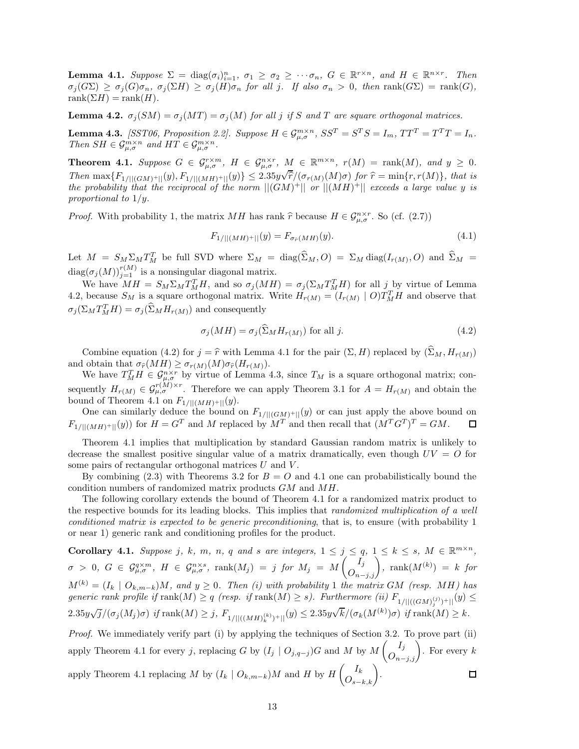**Lemma 4.1.** *Suppose*  $\Sigma = \text{diag}(\sigma_i)_{i=1}^n$ ,  $\sigma_1 \geq \sigma_2 \geq \cdots \sigma_n$ ,  $G \in \mathbb{R}^{r \times n}$ , and  $H \in \mathbb{R}^{n \times r}$ . Then  $\sigma_i(G\Sigma) \geq \sigma_i(G)\sigma_n$ ,  $\sigma_i(\Sigma H) \geq \sigma_i(H)\sigma_n$  for all j. If also  $\sigma_n > 0$ , then rank $(G\Sigma) = \text{rank}(G)$ ,  $rank(\Sigma H) = rank(H)$ .

**Lemma 4.2.**  $\sigma_i(SM) = \sigma_i(MT) = \sigma_i(M)$  for all *j* if *S* and *T* are square orthogonal matrices.

**Lemma 4.3.** [SST06, Proposition 2.2]. Suppose  $H \in \mathcal{G}_{\mu,\sigma}^{m \times n}$ ,  $SS^T = S^T S = I_m$ ,  $TT^T = T^T T = I_n$ . *Then*  $SH \in \mathcal{G}_{\mu,\sigma}^{m \times n}$  *and*  $HT \in \mathcal{G}_{\mu,\sigma}^{m \times n}$ .

**Theorem 4.1.** Suppose  $G \in \mathcal{G}_{\mu,\sigma}^{r \times m}$ ,  $H \in \mathcal{G}_{\mu,\sigma}^{n \times r}$ ,  $M \in \mathbb{R}^{m \times n}$ ,  $r(M) = \text{rank}(M)$ , and  $y \geq 0$ . Then  $\max\{F_{1/||(GM)^+||}(y), F_{1/||(MH)^+||}(y)\} \leq 2.35y\sqrt{\hat{r}}/(\sigma_{r(M)}(M)\sigma)$  for  $\hat{r} = \min\{r, r(M)\}$ , that is the probability that the reciprocal of the norm  $||(GM)^+||$  or  $||(MH)^+||$  exceeds a large value y is *proportional to* 1*/y.*

*Proof.* With probability 1, the matrix *MH* has rank  $\hat{r}$  because  $H \in \mathcal{G}_{\mu,\sigma}^{n \times r}$ . So (cf. (2.7))

$$
F_{1/||(MH)^{+}||}(y) = F_{\sigma_{\hat{r}}(MH)}(y). \tag{4.1}
$$

Let  $M = S_M \Sigma_M T_M^T$  be full SVD where  $\Sigma_M = \text{diag}(\widehat{\Sigma}_M, O) = \Sigma_M \text{diag}(I_{r(M)}, O)$  and  $\widehat{\Sigma}_M =$  $diag(\sigma_j(M))_{j=1}^{r(M)}$  is a nonsingular diagonal matrix.

We have  $MH = S_M \Sigma_M T_M^T H$ , and so  $\sigma_j(MH) = \sigma_j(\Sigma_M T_M^T H)$  for all *j* by virtue of Lemma 4.2, because  $S_M$  is a square orthogonal matrix. Write  $H_{r(M)} = (I_{r(M)} \mid O)T_M^T H$  and observe that  $\sigma_j(\Sigma_M T_M^T H) = \sigma_j(\widehat{\Sigma}_M H_{r(M)})$  and consequently

$$
\sigma_j(MH) = \sigma_j(\Sigma_M H_{r(M)}) \text{ for all } j.
$$
\n(4.2)

Combine equation (4.2) for  $j = \hat{r}$  with Lemma 4.1 for the pair  $(\Sigma, H)$  replaced by  $(\widehat{\Sigma}_M, H_{r(M)})$ 

and obtain that  $\sigma_{\widehat{r}}(MH) \geq \sigma_{r(M)}(M)\sigma_{\widehat{r}}(H_{r(M)})$ .<br>We have  $T_M^TH \in \mathcal{G}_{\mu,\sigma}^{n \times r}$  by virtue of Lemma 4.3, since  $T_M$  is a square orthogonal matrix; consequently  $H_{r(M)} \in \mathcal{G}_{\mu,\sigma}^{r(M)\times r}$ . Therefore we can apply Theorem 3.1 for  $A = H_{r(M)}$  and obtain the bound of Theorem 4.1 on  $F_{1/}||(MH)^+||(y)$ .

One can similarly deduce the bound on  $F_{1/||(GM)^+||}(y)$  or can just apply the above bound on  $F_{1/||(MH)^+||}(y)$  for  $H = G^T$  and M replaced by  $M^T$  and then recall that  $(M^T G^T)^T = GM$ .  $F_{1/||(MH)+||}(y)$  for  $H = G^T$  and *M* replaced by  $M^T$  and then recall that  $(M^T G^T)^T = GM$ .

Theorem 4.1 implies that multiplication by standard Gaussian random matrix is unlikely to decrease the smallest positive singular value of a matrix dramatically, even though  $UV = Q$  for some pairs of rectangular orthogonal matrices *U* and *V* .

By combining  $(2.3)$  with Theorems 3.2 for  $B = O$  and 4.1 one can probabilistically bound the condition numbers of randomized matrix products *GM* and *MH*.

The following corollary extends the bound of Theorem 4.1 for a randomized matrix product to the respective bounds for its leading blocks. This implies that *randomized multiplication of a well conditioned matrix is expected to be generic preconditioning*, that is, to ensure (with probability 1 or near 1) generic rank and conditioning profiles for the product.

**Corollary 4.1.** Suppose j, k, m, n, q and s are integers,  $1 \le j \le q$ ,  $1 \le k \le s$ ,  $M \in \mathbb{R}^{m \times n}$ ,  $\sigma > 0, \ G \in \mathcal G^{q \times m}_{\mu, \sigma}, \ H \in \mathcal G^{n \times s}_{\mu, \sigma}, \ \text{rank}(M_j) = j \ \text{for} \ M_j = M \begin{pmatrix} I_j \ O_{n-j,j} \end{pmatrix}, \ \text{rank}(M^{(k)}) = k \ \text{for}$  $M^{(k)} = (I_k \mid O_{k,m-k})M$ , and  $y \geq 0$ . Then (i) with probability 1 *the matrix GM* (resp. MH) has  $generic$  rank profile if  $\text{rank}(M) \geq q$  (resp. if  $\text{rank}(M) \geq s$ ). Furthermore (ii)  $F_{1/||((GM)_j^{(j)})+||}(y) \leq$  $2.35y\sqrt{j}/(\sigma_j(M_j)\sigma)$  *if* rank $(M) \geq j$ ,  $F_{1/||((MH)_k^{(k)})+||}(y) \leq 2.35y$  $\sqrt{k}/(\sigma_k(M^{(k)})\sigma)$  *if* rank $(M) \geq k$ .

*Proof.* We immediately verify part (i) by applying the techniques of Section 3.2. To prove part (ii) apply Theorem 4.1 for every *j*, replacing *G* by  $(I_j \mid O_{j,q-j})$ *G* and *M* by  $M\begin{pmatrix}I_j \ O_{n-j,j}\end{pmatrix}$ . For every *k* apply Theorem 4.1 replacing *M* by  $(I_k \mid O_{k,m-k})M$  and *H* by  $H\left(O_{s-k,k}\right)$ .  $\Box$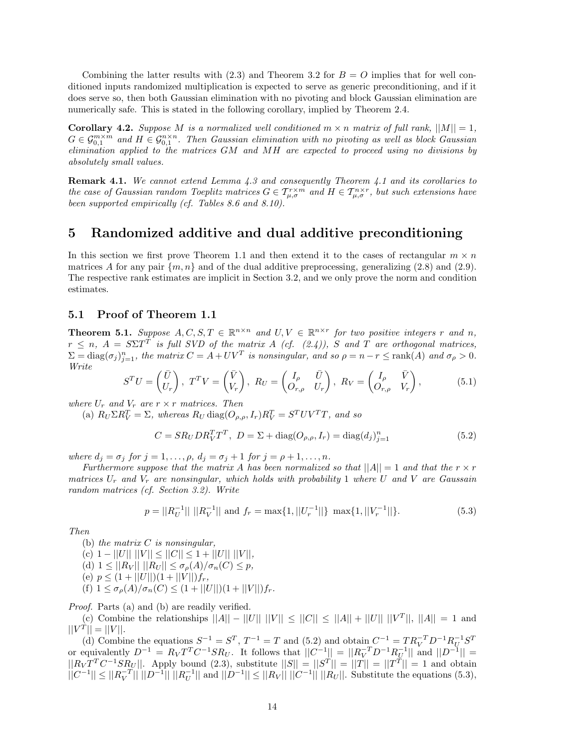Combining the latter results with  $(2.3)$  and Theorem 3.2 for  $B = O$  implies that for well conditioned inputs randomized multiplication is expected to serve as generic preconditioning, and if it does serve so, then both Gaussian elimination with no pivoting and block Gaussian elimination are numerically safe. This is stated in the following corollary, implied by Theorem 2.4.

**Corollary 4.2.** *Suppose M is a normalized well conditioned*  $m \times n$  *matrix of full rank,*  $||M|| = 1$ *,*  $G \in \mathcal{G}_{0,1}^{m \times m}$  and  $H \in \mathcal{G}_{0,1}^{n \times n}$ . Then Gaussian elimination with no pivoting as well as block Gaussian *elimination applied to the matrices GM and MH are expected to proceed using no divisions by absolutely small values.*

**Remark 4.1.** *We cannot extend Lemma 4.3 and consequently Theorem 4.1 and its corollaries to the case of Gaussian random Toeplitz matrices*  $G \in T_{\mu,\sigma}^{r \times m}$  *and*  $H \in T_{\mu,\sigma}^{n \times r}$ *, but such extensions have been supported empirically (cf. Tables 8.6 and 8.10).*

## **5 Randomized additive and dual additive preconditioning**

In this section we first prove Theorem 1.1 and then extend it to the cases of rectangular  $m \times n$ matrices A for any pair  $\{m, n\}$  and of the dual additive preprocessing, generalizing (2.8) and (2.9). The respective rank estimates are implicit in Section 3.2, and we only prove the norm and condition estimates.

## **5.1 Proof of Theorem 1.1**

**Theorem 5.1.** *Suppose*  $A, C, S, T \in \mathbb{R}^{n \times n}$  *and*  $U, V \in \mathbb{R}^{n \times r}$  *for two positive integers r and n*,  $r \leq n$ ,  $A = S\Sigma T$ <sup> $\dot{T}$ </sup> is full SVD of the matrix *A* (cf. (2.4)), *S* and *T* are orthogonal matrices,  $\Sigma = diag(\sigma_j)_{j=1}^n$ , the matrix  $C = A + UV^T$  is nonsingular, and so  $\rho = n - r \leq \text{rank}(A)$  and  $\sigma_\rho > 0$ . *Write*

$$
S^{T}U = \begin{pmatrix} \bar{U} \\ U_{r} \end{pmatrix}, T^{T}V = \begin{pmatrix} \bar{V} \\ V_{r} \end{pmatrix}, R_{U} = \begin{pmatrix} I_{\rho} & \bar{U} \\ O_{r,\rho} & U_{r} \end{pmatrix}, R_{V} = \begin{pmatrix} I_{\rho} & \bar{V} \\ O_{r,\rho} & V_{r} \end{pmatrix},
$$
(5.1)

*where*  $U_r$  *and*  $V_r$  *are*  $r \times r$  *matrices. Then* 

(a)  $R_U \Sigma R_V^T = \Sigma$ , whereas  $R_U \text{ diag}(O_{\rho,\rho}, I_r) R_V^T = S^T UV^T T$ , and so

$$
C = SR_U DR_V^TT^T, \ D = \Sigma + \text{diag}(O_{\rho,\rho}, I_r) = \text{diag}(d_j)_{j=1}^n
$$
\n(5.2)

*where*  $d_j = \sigma_j$  *for*  $j = 1, ..., \rho$ *,*  $d_j = \sigma_j + 1$  *for*  $j = \rho + 1, ..., n$ *.* 

*Furthermore suppose that the matrix A has been normalized so that*  $||A|| = 1$  *and that the*  $r \times r$ *matrices U<sup>r</sup> and V<sup>r</sup> are nonsingular, which holds with probability* 1 *where U and V are Gaussain random matrices (cf. Section 3.2). Write*

$$
p = ||R_U^{-1}|| \, ||R_V^{-1}|| \text{ and } f_r = \max\{1, ||U_r^{-1}||\} \, \max\{1, ||V_r^{-1}||\}. \tag{5.3}
$$

*Then*

(b) *the matrix C is nonsingular,*  $(C)$  1 -  $||U||$   $||V|| \leq ||C|| \leq 1 + ||U||$   $||V||$ ,  $(d)$   $1 \leq ||R_V|| \, ||R_U|| \leq \sigma_{\rho}(A)/\sigma_n(C) \leq p$ (e)  $p \leq (1 + ||U||)(1 + ||V||)f_r$ , (f)  $1 \leq \sigma_p(A)/\sigma_n(C) \leq (1+||U||)(1+||V||)f_r.$ 

*Proof.* Parts (a) and (b) are readily verified.

(c) Combine the relationships  $||A|| - ||U|| ||V|| \leq ||C|| \leq ||A|| + ||U|| ||V^T||$ ,  $||A|| = 1$  and  $||V^T|| = ||V||.$ 

(d) Combine the equations  $S^{-1} = S^T$ ,  $T^{-1} = T$  and (5.2) and obtain  $C^{-1} = TR_V^{-T}D^{-1}R_U^{-1}S^T$ or equivalently  $D^{-1} = R_V T^T C^{-1} S R_U$ . It follows that  $||C^{-1}|| = ||R_V^{-T} D^{-1} R_U^{-1}||$  and  $||D^{-1}|| =$  $||R_V T^T C^{-1} S R_U||$ . Apply bound (2.3), substitute  $||S|| = ||S^T|| = ||T|| = ||T^T|| = 1$  and obtain  $||C^{-1}|| \leq ||R_V^{-T}|| ||D^{-1}|| ||R_U^{-1}||$  and  $||D^{-1}|| \leq ||R_V|| ||C^{-1}|| ||R_U||$ . Substitute the equations (5.3),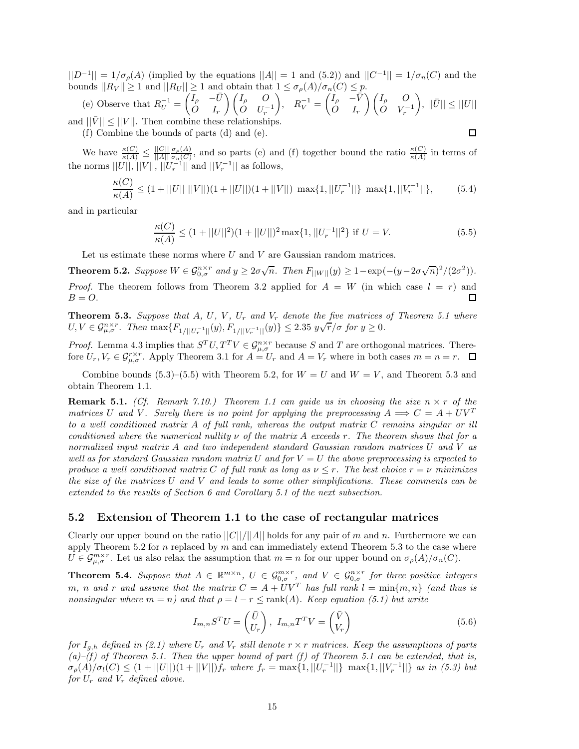$||D^{-1}|| = 1/\sigma_{\rho}(A)$  (implied by the equations  $||A|| = 1$  and (5.2)) and  $||C^{-1}|| = 1/\sigma_{n}(C)$  and the bounds  $||R_V|| \ge 1$  and  $||R_U|| \ge 1$  and obtain that  $1 \le \sigma_p(A)/\sigma_n(C) \le p$ .

(e) Observe that  $R_U^{-1} = \begin{pmatrix} I_\rho & -\bar{U} & 0 \\ 0 & I_\rho & 0 \end{pmatrix}$ *O I<sup>r</sup>* - *I<sup>ρ</sup> O*  $\dot{O}$  *U<sub>r</sub>*<sup>-1</sup>  $R_V^{-1} = \begin{pmatrix} I_\rho & -\bar{V} & \bar{V} \\ O & I \end{pmatrix}$ *O I<sup>r</sup>* - *I<sup>ρ</sup> O*  $\dot{O}$  *V*<sub>r</sub><sup>-1</sup>  $\Big), \, ||\bar{U}|| \leq ||U||$ and  $||\bar{V}|| \leq ||V||$ . Then combine these relationships.

(f) Combine the bounds of parts (d) and (e).

◻

We have  $\frac{\kappa(C)}{\kappa(A)} \leq \frac{||C||}{||A||}$ *σ*<sub>ρ</sub>(*A*), and so parts (e) and (f) together bound the ratio  $\frac{\kappa(C)}{\kappa(A)}$  in terms of the norms  $||U||, ||V||, ||U_r^{-1}||$  and  $||V_r^{-1}||$  as follows,

$$
\frac{\kappa(C)}{\kappa(A)} \le (1 + ||U|| \, ||V||)(1 + ||U||)(1 + ||V||) \, \max\{1, ||U_r^{-1}||\} \, \max\{1, ||V_r^{-1}||\},\tag{5.4}
$$

and in particular

$$
\frac{\kappa(C)}{\kappa(A)} \le (1 + ||U||^2)(1 + ||U||)^2 \max\{1, ||U_r^{-1}||^2\} \text{ if } U = V. \tag{5.5}
$$

Let us estimate these norms where *U* and *V* are Gaussian random matrices.

**Theorem 5.2.** Suppose  $W \in \mathcal{G}_{0,\sigma}^{n \times r}$  and  $y \geq 2\sigma\sqrt{n}$ . Then  $F_{||W||}(y) \geq 1 - \exp(-(y - 2\sigma\sqrt{n})^2/(2\sigma^2))$ . *Proof.* The theorem follows from Theorem 3.2 applied for  $A = W$  (in which case  $l = r$ ) and  $B = O$ . 囗

**Theorem 5.3.** Suppose that  $A$ ,  $U$ ,  $V$ ,  $U_r$  and  $V_r$  denote the five matrices of Theorem 5.1 where *U, V*  $\in$   $\mathcal{G}_{\mu,\sigma}^{n\times r}$ . Then max $\{F_{1/||U_{r}^{-1}||}(y), F_{1/||V_{r}^{-1}||}(y)\}$   $\leq$  2.35  $y\sqrt{r}/\sigma$  for  $y \geq 0$ .

*Proof.* Lemma 4.3 implies that  $S^T U, T^T V \in \mathcal{G}_{\mu,\sigma}^{n \times r}$  because *S* and *T* are orthogonal matrices. Therefore  $U_r$ ,  $V_r \in \mathcal{G}_{\mu,\sigma}^{r\times r}$ . Apply Theorem 3.1 for  $A = U_r$  and  $A = V_r$  where in both cases  $m = n = r$ .  $\Box$ 

Combine bounds  $(5.3)$ – $(5.5)$  with Theorem 5.2, for  $W = U$  and  $W = V$ , and Theorem 5.3 and obtain Theorem 1.1.

**Remark 5.1.** *(Cf. Remark 7.10.) Theorem 1.1 can guide us in choosing the size*  $n \times r$  *of the matrices U* and *V*. Surely there is no point for applying the preprocessing  $A \implies C = A + UV^T$ *to a well conditioned matrix A of full rank, whereas the output matrix C remains singular or ill conditioned where the numerical nullity*  $\nu$  *of the matrix*  $A$  *exceeds*  $r$ *. The theorem shows that for a normalized input matrix A and two independent standard Gaussian random matrices U and V as well as for standard Gaussian random matrix*  $U$  *and for*  $V = U$  *the above preprocessing is expected to produce a well conditioned matrix C of full rank as long as*  $\nu \leq r$ *. The best choice*  $r = \nu$  *minimizes the size of the matrices U and V and leads to some other simplifications. These comments can be extended to the results of Section 6 and Corollary 5.1 of the next subsection.*

### **5.2 Extension of Theorem 1.1 to the case of rectangular matrices**

Clearly our upper bound on the ratio  $||C||/||A||$  holds for any pair of *m* and *n*. Furthermore we can apply Theorem 5.2 for  $n$  replaced by  $m$  and can immediately extend Theorem 5.3 to the case where  $U \in \mathcal{G}_{\mu,\sigma}^{m \times r}$ . Let us also relax the assumption that  $m = n$  for our upper bound on  $\sigma_{\rho}(A)/\sigma_n(C)$ .

**Theorem 5.4.** Suppose that  $A \in \mathbb{R}^{m \times n}$ ,  $U \in \mathcal{G}_{0,\sigma}^{m \times r}$ , and  $V \in \mathcal{G}_{0,\sigma}^{n \times r}$  for three positive integers *m*, *n* and *r* and assume that the matrix  $C = A + UV^T$  has full rank  $l = \min\{m, n\}$  (and thus is *nonsingular where*  $m = n$ *)* and that  $\rho = l - r \leq \text{rank}(A)$ . Keep equation (5.1) but write

$$
I_{m,n}S^{T}U = \begin{pmatrix} \bar{U} \\ U_{r} \end{pmatrix}, I_{m,n}T^{T}V = \begin{pmatrix} \bar{V} \\ V_{r} \end{pmatrix}
$$
\n(5.6)

*for*  $I_{q,h}$  *defined in* (2.1) where  $U_r$  and  $V_r$  still denote  $r \times r$  matrices. Keep the assumptions of parts  $(a)$ –(f) of Theorem 5.1. Then the upper bound of part (f) of Theorem 5.1 can be extended, that is,  $\sigma_{\rho}(A)/\sigma_l(C) \leq (1+||U||)(1+||V||)f_r$  where  $f_r = \max\{1, ||U_r^{-1}||\}$   $\max\{1, ||V_r^{-1}||\}$  as in (5.3) but *for*  $U_r$  *and*  $V_r$  *defined above.*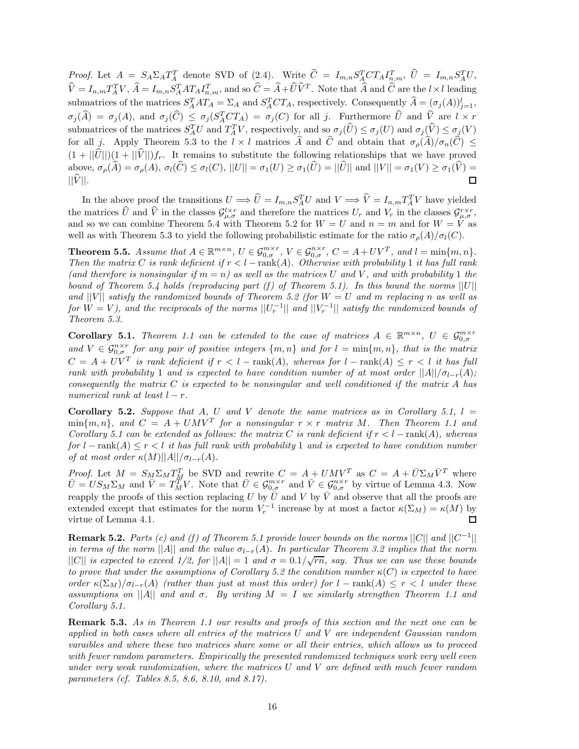*Proof.* Let  $A = S_A \Sigma_A T_A^T$  denote SVD of (2.4). Write  $\hat{C} = I_{m,n} S_A^T C T_A I_{n,m}^T$ ,  $\hat{U} = I_{m,n} S_A^T U$ ,  $\hat{V} = I_{n,m} T_A^T V$ ,  $\hat{A} = I_{m,n} S_A^T A T_A I_{n,m}^T$ , and so  $\hat{C} = \hat{A} + \hat{U} \hat{V}^T$ . Note that  $\hat{A}$  and  $\hat{C}$  are the  $l \times l$  leading submatrices of the matrices  $S_A^T AT_A = \sum_A$  and  $S_A^TCT_A$ , respectively. Consequently  $\hat{A} = (\sigma_j(A))_{j=1}^l$ ,  $\sigma_j(\widehat{A}) = \sigma_j(A)$ , and  $\sigma_j(\widehat{C}) \leq \sigma_j(S_A^T C T_A) = \sigma_j(C)$  for all j. Furthermore  $\widehat{U}$  and  $\widehat{V}$  are  $l \times r$ submatrices of the matrices  $S_A^T U$  and  $T_A^T V$ , respectively, and so  $\sigma_j(\hat{U}) \leq \sigma_j(U)$  and  $\sigma_j(\hat{V}) \leq \sigma_j(V)$ for all *j*. Apply Theorem 5.3 to the  $l \times l$  matrices  $\hat{A}$  and  $\hat{C}$  and obtain that  $\sigma_{\rho}(\hat{A})/\sigma_n(\hat{C}) \leq$  $(1 + ||\hat{U}||)(1 + ||\hat{V}||)f_r$ . It remains to substitute the following relationships that we have proved above,  $\sigma_{\rho}(\widehat{A}) = \sigma_{\rho}(A), \sigma_{l}(\widehat{C}) \leq \sigma_{l}(C), ||U|| = \sigma_{1}(U) \geq \sigma_{1}(\widehat{U}) = ||\widehat{U}||$  and  $||V|| = \sigma_{1}(V) \geq \sigma_{1}(\widehat{V}) = ||\widehat{V}||.$  $||V||.$ 

In the above proof the transitions  $U \implies \hat{U} = I_{m,n} S_A^T U$  and  $V \implies \hat{V} = I_{n,m} T_A^T V$  have yielded the matrices  $\hat{U}$  and  $\hat{V}$  in the classes  $\mathcal{G}^{l \times r}_{\mu,\sigma}$  and therefore the matrices  $U_r$  and  $V_r$  in the classes  $\mathcal{G}^{r \times r}_{\mu,\sigma}$ , and so we can combine Theorem 5.4 with Theorem 5.2 for  $W = U$  and  $n = m$  and f well as with Theorem 5.3 to yield the following probabilistic estimate for the ratio  $\sigma_{\rho}(A)/\sigma_l(C)$ .

**Theorem 5.5.** Assume that  $A \in \mathbb{R}^{m \times n}$ ,  $U \in \mathcal{G}_{0,\sigma}^{m \times r}$ ,  $V \in \mathcal{G}_{0,\sigma}^{n \times r}$ ,  $C = A + UV^T$ , and  $l = \min\{m, n\}$ . *Then the matrix C is rank deficient if*  $r < l - \text{rank}(A)$ *. Otherwise with probability* 1 *it has full rank* (and therefore is nonsingular if  $m = n$ ) as well as the matrices U and V, and with probability 1 the *bound of Theorem 5.4 holds (reproducing part (f) of Theorem 5.1). In this bound the norms*  $||U||$ *and* ||V|| *satisfy the randomized bounds of Theorem 5.2 (for*  $W = U$  *and*  $m$  *replacing*  $n$  *as well as for*  $W = V$ , and the reciprocals of the norms  $||U_r^{-1}||$  and  $||V_r^{-1}||$  satisfy the randomized bounds of *Theorem 5.3.*

**Corollary 5.1.** *Theorem 1.1 can be extended to the case of matrices*  $A \in \mathbb{R}^{m \times n}$ ,  $U \in \mathcal{G}_{0,\sigma}^{m \times r}$ and  $V \text{ }\in \mathcal{G}_{0,\sigma}^{n\times r}$  *for any pair of positive integers*  $\{m,n\}$  *and for*  $l = \min\{m,n\}$ *, that is the matrix*  $C = A + UV^T$  *is rank deficient if*  $r < l$  − rank(*A*)*, whereas for*  $l$  − rank(*A*)  $\leq r < l$  *it has full rank with probability* 1 *and is expected to have condition number of at most order*  $||A||/\sigma_{l-r}(A)$ ; *consequently the matrix C is expected to be nonsingular and well conditioned if the matrix A has numerical rank at least*  $l - r$ *.* 

**Corollary 5.2.** *Suppose that*  $A$ *,*  $U$  *and*  $V$  *denote the same matrices as in Corollary 5.1,*  $l =$  $\min\{m, n\}$ *, and*  $C = A + UMV^T$  *for a nonsingular*  $r \times r$  *matrix M. Then Theorem 1.1 and Corollary 5.1 can be extended as follows: the matrix C* is rank deficient if  $r < l - \text{rank}(A)$ *, whereas for*  $l$  − rank( $A$ )  $\leq$  *r*  $\lt$  *l it has full rank with probability* 1 *and is expected to have condition number of at most order*  $\kappa(M)||A||/\sigma_{l-r}(A)$ *.* 

*Proof.* Let  $M = S_M \Sigma_M T_M^T$  be SVD and rewrite  $C = A + UMV^T$  as  $C = A + \overline{U} \Sigma_M \overline{V}^T$  where  $\bar{U} = US_M \Sigma_M$  and  $\bar{V} = T_M^{\tilde{T}} V$ . Note that  $\bar{U} \in \mathcal{G}_{0,\sigma}^{m \times r}$  and  $\bar{V} \in \mathcal{G}_{0,\sigma}^{n \times r}$  by virtue of Lemma 4.3. Now reapply the proofs of this section replacing *U* by  $\bar{U}$  and *V* by  $\bar{V}$  and observe that all the proofs are extended except that estimates for the norm  $V_r^{-1}$  increase by at most a factor  $\kappa(\Sigma_M) = \kappa(M)$  by virtue of Lemma 4.1. virtue of Lemma 4.1.

**Remark 5.2.** *Parts (c) and (f) of Theorem 5.1 provide lower bounds on the norms*  $||C||$  *and*  $||C^{-1}||$ *in terms of the norm*  $||A||$  *and the value*  $\sigma_{l-r}(A)$ *. In particular Theorem 3.2 implies that the norm*  $||C||$  *is expected to exceed*  $1/2$ , for  $||A|| = 1$  and  $\sigma = 0.1/\sqrt{rn}$ , say. Thus we can use these bounds *to prove that under the assumptions of Corollary 5.2 the condition number*  $\kappa(C)$  *is expected to have order*  $\kappa(\Sigma_M)/\sigma_{l-r}(A)$  *(rather than just at most this order) for*  $l$  – rank( $A$ )  $\leq r < l$  *under these assumptions on* ||A|| *and and*  $\sigma$ *. By writing*  $M = I$  *we similarly strengthen Theorem 1.1 and Corollary 5.1.*

**Remark 5.3.** *As in Theorem 1.1 our results and proofs of this section and the next one can be applied in both cases where all entries of the matrices U and V are independent Gaussian random varaibles and where these two matrices share some or all their entries, which allows us to proceed with fewer random parameters. Empirically the presented randomized techniques work very well even under very weak randomization, where the matrices U and V are defined with much fewer random parameters (cf. Tables 8.5, 8.6, 8.10, and 8.17).*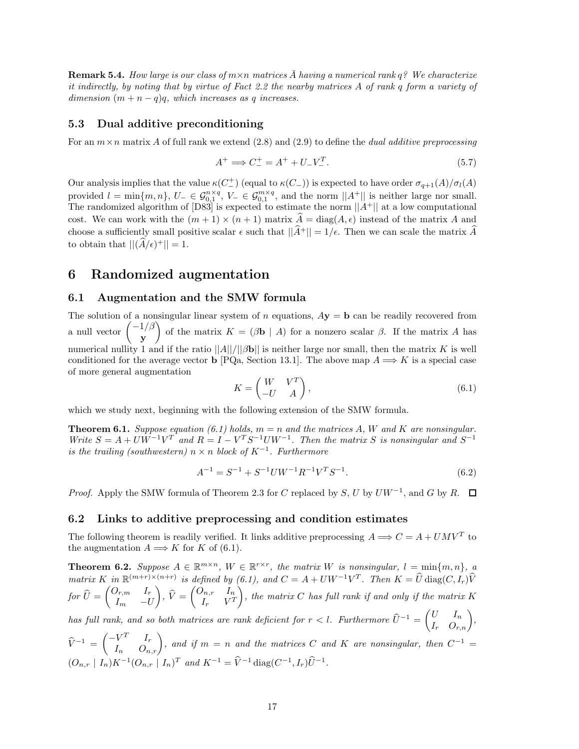**Remark 5.4.** *How large is our class of*  $m \times n$  *matrices*  $\overline{A}$  *having a numerical rank*  $q$ *? We characterize it indirectly, by noting that by virtue of Fact 2.2 the nearby matrices A of rank q form a variety of dimension*  $(m + n - q)q$ *, which increases as q increases.* 

### **5.3 Dual additive preconditioning**

For an *m*×*n* matrix *A* of full rank we extend (2.8) and (2.9) to define the *dual additive preprocessing*

$$
A^{+} \implies C_{-}^{+} = A^{+} + U_{-}V_{-}^{T}.
$$
\n(5.7)

Our analysis implies that the value  $κ(C_{-}^{+})$  (equal to  $κ(C_{-})$ ) is expected to have order  $σ_{q+1}(A)/σ_l(A)$ provided  $l = \min\{m, n\}$ ,  $U_{-} \in \mathcal{G}_{0,1}^{n \times q}$ ,  $V_{-} \in \mathcal{G}_{0,1}^{m \times q}$ , and the norm  $||A^+||$  is neither large nor small. The randomized algorithm of  $[D83]$  is expected to estimate the norm  $||A^+||$  at a low computational cost. We can work with the  $(m + 1) \times (n + 1)$  matrix  $\widehat{A} = \text{diag}(A, \epsilon)$  instead of the matrix A and choose a sufficiently small positive scalar  $\epsilon$  such that  $||\hat{A}^+|| = 1/\epsilon$ . Then we can scale the matrix  $\hat{A}$ to obtain that  $||(\widehat{A}/\epsilon)^+|| = 1$ .

## **6 Randomized augmentation**

## **6.1 Augmentation and the SMW formula**

The solution of a nonsingular linear system of *n* equations,  $A\mathbf{y} = \mathbf{b}$  can be readily recovered from a null vector  $\begin{pmatrix} -1/\beta \\ -1 \end{pmatrix}$ **y** of the matrix  $K = (\beta \mathbf{b} \mid A)$  for a nonzero scalar  $\beta$ . If the matrix *A* has numerical nullity 1 and if the ratio  $||A||/||Bb||$  is neither large nor small, then the matrix *K* is well conditioned for the average vector **b** [PQa, Section 13.1]. The above map  $A \Longrightarrow K$  is a special case of more general augmentation

$$
K = \begin{pmatrix} W & V^T \\ -U & A \end{pmatrix},\tag{6.1}
$$

which we study next, beginning with the following extension of the SMW formula.

**Theorem 6.1.** *Suppose equation (6.1) holds,*  $m = n$  *and the matrices*  $A$ *, W and*  $K$  *are nonsingular. Write*  $S = A + UW^{-1}V^{T}$  *and*  $R = I - V^{T}S^{-1}UW^{-1}$ . Then the matrix *S* is nonsingular and  $S^{-1}$ *is the trailing (southwestern)*  $n \times n$  *block of*  $K^{-1}$ *. Furthermore* 

$$
A^{-1} = S^{-1} + S^{-1}UW^{-1}R^{-1}V^{T}S^{-1}.
$$
\n(6.2)

*Proof.* Apply the SMW formula of Theorem 2.3 for *C* replaced by *S*, *U* by  $UW^{-1}$ , and *G* by *R*.  $\Box$ 

### **6.2 Links to additive preprocessing and condition estimates**

The following theorem is readily verified. It links additive preprocessing  $A \Longrightarrow C = A + UMV^T$  to the augmentation  $A \Longrightarrow K$  for  $K$  of (6.1).

**Theorem 6.2.** *Suppose*  $A \in \mathbb{R}^{m \times n}$ ,  $W \in \mathbb{R}^{r \times r}$ , the matrix W is nonsingular,  $l = \min\{m, n\}$ , a *matrix K in*  $\mathbb{R}^{(m+r)\times(n+r)}$  *is defined by* (6.1), and  $C = A + UW^{-1}V^{T}$ . Then  $K = \hat{U}$  diag(*C, I*<sub>*r*</sub>) $\hat{V}$  ${\displaystyle f\!or\!\!\!}\,\,\widehat{U}=\begin{pmatrix} O_{r,m} & I_r \ I_m & -U_r \end{pmatrix}$ *I<sup>m</sup>* −*U*  $\hat{V} = \begin{pmatrix} O_{n,r} & I_n \ I_r & V^T \end{pmatrix}$  $I_r$   $V^T$  $\bigg)$ , the matrix  $C$  has full rank if and only if the matrix  $K$ 

*has full rank, and so both matrices are rank deficient for*  $r < l$ . Furthermore  $\hat{U}^{-1} = \begin{pmatrix} U & I_n \ I_r & O_{r,n} \end{pmatrix}$ ,

 $\widehat{V}^{-1} = \begin{pmatrix} -V^T & I_r \ I_n & O_{n,r} \end{pmatrix}$ , and if  $m = n$  and the matrices  $C$  and  $K$  are nonsingular, then  $C^{-1} =$  $(O_{n,r} | I_n)K^{-1}(O_{n,r} | I_n)^T$  *and*  $K^{-1} = \hat{V}^{-1}$  diag $(C^{-1}, I_r)\hat{U}^{-1}$ .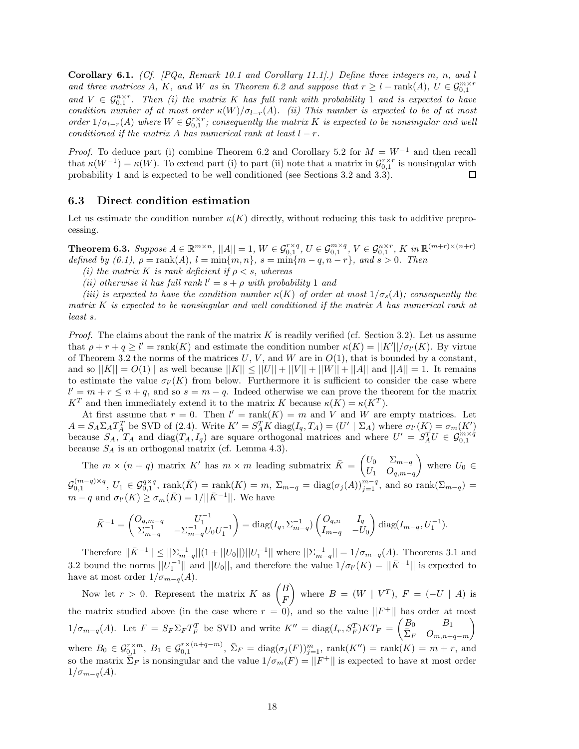**Corollary 6.1.** *(Cf. [PQa, Remark 10.1 and Corollary 11.1].) Define three integers m, n, and l and three matrices A*, *K*, and *W* as in Theorem 6.2 and suppose that  $r \geq l - \text{rank}(A)$ ,  $U \in \mathcal{G}_{0,1}^{m \times r}$ and  $V \in \mathcal{G}_{0,1}^{n \times r}$ . Then (i) the matrix K has full rank with probability 1 and is expected to have *condition number of at most order*  $\kappa(W)/\sigma_{l-r}(A)$ *. (ii) This number is expected to be of at most order*  $1/\sigma_{l-r}(A)$  *where*  $W \in \mathcal{G}_{0,1}^{r\times r}$ *; consequently the matrix K is expected to be nonsingular and well conditioned if the matrix A has numerical rank at least*  $l - r$ *.* 

*Proof.* To deduce part (i) combine Theorem 6.2 and Corollary 5.2 for  $M = W^{-1}$  and then recall that  $\kappa(W^{-1}) = \kappa(W)$ . To extend part (i) to part (ii) note that a matrix in  $\mathcal{G}_{0,1}^{r\times r}$  is nonsingular with probability 1 and is expected to be well conditioned (see Sections 3.2 and 3.3). □

## **6.3 Direct condition estimation**

Let us estimate the condition number  $\kappa(K)$  directly, without reducing this task to additive preprocessing.

**Theorem 6.3.** Suppose  $A \in \mathbb{R}^{m \times n}$ ,  $||A|| = 1$ ,  $W \in \mathcal{G}_{0,1}^{r \times q}$ ,  $U \in \mathcal{G}_{0,1}^{m \times q}$ ,  $V \in \mathcal{G}_{0,1}^{n \times r}$ ,  $K$  in  $\mathbb{R}^{(m+r) \times (n+r)}$ *defined by*  $(6.1)$ *,*  $\rho = \text{rank}(A)$ *,*  $l = \min\{m, n\}$ *,*  $s = \min\{m - q, n - r\}$ *, and*  $s > 0$ *. Then* 

*(i)* the matrix K is rank deficient if  $\rho < s$ , whereas

*(ii) otherwise it has full rank*  $l' = s + \rho$  *with probability* 1 *and* 

*(iii) is expected to have the condition number*  $\kappa(K)$  *of order at most*  $1/\sigma_s(A)$ *; consequently the matrix K is expected to be nonsingular and well conditioned if the matrix A has numerical rank at least s.*

*Proof.* The claims about the rank of the matrix  $K$  is readily verified (cf. Section 3.2). Let us assume that  $\rho + r + q \ge l' = \text{rank}(K)$  and estimate the condition number  $\kappa(K) = ||K'|| / \sigma_{l'}(K)$ . By virtue of Theorem 3.2 the norms of the matrices  $U, V$ , and  $W$  are in  $O(1)$ , that is bounded by a constant, and so  $||K|| = O(1)||$  as well because  $||K|| \le ||U|| + ||V|| + ||W|| + ||A||$  and  $||A|| = 1$ . It remains to estimate the value  $\sigma$ <sup>*l*</sup> (*K*) from below. Furthermore it is sufficient to consider the case where  $l' = m + r \leq n + q$ , and so  $s = m - q$ . Indeed otherwise we can prove the theorem for the matrix *K*<sup>*T*</sup> and then immediately extend it to the matrix *K* because  $\kappa(K) = \kappa(K^T)$ .

At first assume that  $r = 0$ . Then  $l' = \text{rank}(K) = m$  and V and W are empty matrices. Let  $A = S_A \Sigma_A T_A^T$  be SVD of (2.4). Write  $K' = S_A^T K \text{ diag}(I_q, T_A) = (U' | \Sigma_A)$  where  $\sigma_{l'}(K) = \sigma_m(K')$ because  $S_A$ ,  $T_A$  and  $diag(T_A, I_q)$  are square orthogonal matrices and where  $U' = S_A^T U \in \mathcal{G}_{0,1}^{m \times q}$ because *S<sup>A</sup>* is an orthogonal matrix (cf. Lemma 4.3).

The  $m \times (n + q)$  matrix K' has  $m \times m$  leading submatrix  $\bar{K} = \begin{pmatrix} U_0 & \Sigma_{m-q} \\ I & Q \end{pmatrix}$ *U*<sup>1</sup> *Oq,m*−*<sup>q</sup>* where  $U_0 \in$  $\mathcal{G}_{0,1}^{(m-q)\times q}$ ,  $U_1 \in \mathcal{G}_{0,1}^{q\times q}$ ,  $\text{rank}(\bar{K}) = \text{rank}(K) = m$ ,  $\Sigma_{m-q} = \text{diag}(\sigma_j(A))_{j=1}^{m-q}$ , and so  $\text{rank}(\Sigma_{m-q}) =$  $m-q$  and  $\sigma_{l'}(K) \geq \sigma_m(\bar{K})=1/||\bar{K}^{-1}||$ . We have

$$
\bar{K}^{-1} = \begin{pmatrix} O_{q,m-q} & U_1^{-1} \\ \Sigma_{m-q}^{-1} & -\Sigma_{m-q}^{-1} U_0 U_1^{-1} \end{pmatrix} = \text{diag}(I_q, \Sigma_{m-q}^{-1}) \begin{pmatrix} O_{q,n} & I_q \\ I_{m-q} & -U_0 \end{pmatrix} \text{diag}(I_{m-q}, U_1^{-1}).
$$

Therefore  $||\bar{K}^{-1}|| \leq ||\sum_{m-q}^{-1}||(1+||U_0||)||U_1^{-1}||$  where  $||\sum_{m-q}^{-1}|| = 1/\sigma_{m-q}(A)$ . Theorems 3.1 and 3.2 bound the norms  $||U_1^{-1}||$  and  $||U_0||$ , and therefore the value  $1/\sigma_l(K) = ||\bar{K}^{-1}||$  is expected to have at most order  $1/\sigma_{m-q}(A)$ .

Now let  $r > 0$ . Represent the matrix  $K$  as  $\begin{pmatrix} B \\ E \end{pmatrix}$ *F* where  $B = (W \mid V^T)$ ,  $F = (-U \mid A)$  is the matrix studied above (in the case where  $r = 0$ ), and so the value  $||F^+||$  has order at most  $1/\sigma_{m-q}(A)$ . Let  $F = S_F \Sigma_F T_F^T$  be SVD and write  $K'' = \text{diag}(I_r, S_F^T)KT_F = \begin{pmatrix} B_0 & B_1 \\ \bar{\Sigma}_F & O_{m,n} \end{pmatrix}$  $\bar{\Sigma}_F$  *O*<sub>*m*,*n*+*q*−*m*</sub>  $\setminus$ where  $B_0 \in \mathcal{G}_{0,1}^{r \times m}$ ,  $B_1 \in \mathcal{G}_{0,1}^{r \times (n+q-m)}$ ,  $\bar{\Sigma}_F = \text{diag}(\sigma_j(F))_{j=1}^m$ ,  $\text{rank}(K'') = \text{rank}(K) = m + r$ , and so the matrix  $\overline{\Sigma}_F$  is nonsingular and the value  $1/\sigma_m(F) = ||F^+||$  is expected to have at most order  $1/\sigma_{m-q}(A)$ .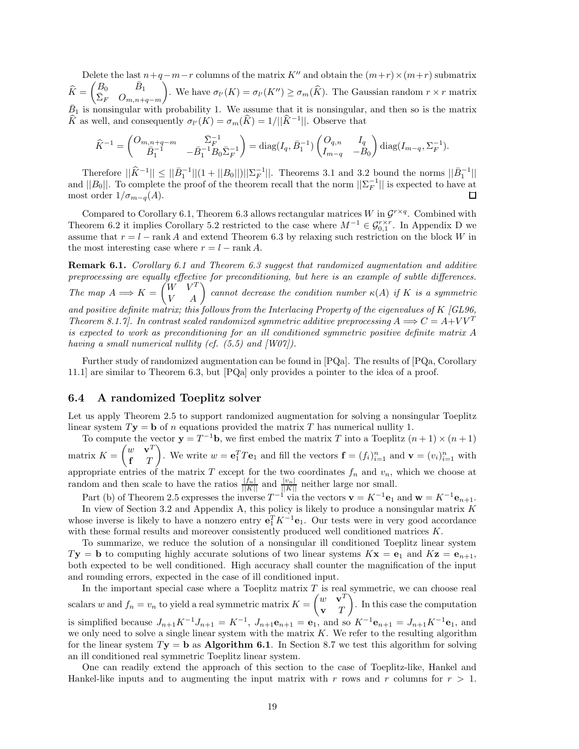Delete the last  $n+q-m-r$  columns of the matrix *K*<sup>"</sup> and obtain the  $(m+r) \times (m+r)$  submatrix  $\widehat{K} = \begin{pmatrix} B_0 & \bar{B}_1 \\ \bar{\Sigma}_F & O_{m,n+1} \end{pmatrix}$  $\bar{\Sigma}_F$  *O*<sub>*m*,*n*+*q*−*m*</sub> ). We have  $\sigma_{l'}(K) = \sigma_{l'}(K'') \ge \sigma_m(\widehat{K})$ . The Gaussian random  $r \times r$  matrix  $\bar{B}_1$  is nonsingular with probability 1. We assume that it is nonsingular, and then so is the matrix  $\hat{K}$  as well, and consequently  $\sigma_{l'}(K) = \sigma_m(\hat{K}) = 1/||\hat{K}^{-1}||$ . Observe that

$$
\widehat{K}^{-1} = \begin{pmatrix} O_{m,n+q-m} & \bar{\Sigma}_F^{-1} \\ \bar{B}_1^{-1} & -\bar{B}_1^{-1}B_0\bar{\Sigma}_F^{-1} \end{pmatrix} = \text{diag}(I_q, \bar{B}_1^{-1}) \begin{pmatrix} O_{q,n} & I_q \\ I_{m-q} & -B_0 \end{pmatrix} \text{diag}(I_{m-q}, \Sigma_F^{-1}).
$$

Therefore  $||\hat{K}^{-1}|| \le ||\bar{B}_1^{-1}||(1+||B_0||)||\Sigma_F^{-1}||$ . Theorems 3.1 and 3.2 bound the norms  $||\bar{B}_1^{-1}||$ and  $||B_0||$ . To complete the proof of the theorem recall that the norm  $||\Sigma_F^{-1}||$  is expected to have at most order  $1/\sigma_{m-q}(A)$ .

Compared to Corollary 6.1, Theorem 6.3 allows rectangular matrices *W* in  $\mathcal{G}^{r \times q}$ . Combined with Theorem 6.2 it implies Corollary 5.2 restricted to the case where  $M^{-1} \in \mathcal{G}_{0,1}^{r\times r}$ . In Appendix D we assume that *r* = *l* − rank *A* and extend Theorem 6.3 by relaxing such restriction on the block *W* in the most interesting case where  $r = l - \text{rank } A$ .

**Remark 6.1.** *Corollary 6.1 and Theorem 6.3 suggest that randomized augmentation and additive preprocessing are equally effective for preconditioning, but here is an example of subtle differences. The map*  $A \Longrightarrow K = \begin{pmatrix} W & V^T \\ V & A \end{pmatrix}$  cannot decrease the condition number  $\kappa(A)$  *if*  $K$  *is a symmetric and positive definite matrix; this follows from the Interlacing Property of the eigenvalues of K [GL96, Theorem 8.1.7].* In contrast scaled randomized symmetric additive preprocessing  $A \Longrightarrow C = A + VV^T$ *is expected to work as preconditioning for an ill conditioned symmetric positive definite matrix A having a small numerical nullity (cf. (5.5) and [W07]).*

Further study of randomized augmentation can be found in [PQa]. The results of [PQa, Corollary 11.1] are similar to Theorem 6.3, but [PQa] only provides a pointer to the idea of a proof.

## **6.4 A randomized Toeplitz solver**

Let us apply Theorem 2.5 to support randomized augmentation for solving a nonsingular Toeplitz linear system  $T$ **y** = **b** of *n* equations provided the matrix *T* has numerical nullity 1.

To compute the vector  $\mathbf{y} = T^{-1}\mathbf{b}$ , we first embed the matrix *T* into a Toeplitz  $(n+1) \times (n+1)$ matrix  $K = \begin{pmatrix} w & \mathbf{v}^T \\ \mathbf{r} & T \end{pmatrix}$ **f** *T* ). We write  $w = \mathbf{e}_1^T T \mathbf{e}_1$  and fill the vectors  $\mathbf{f} = (f_i)_{i=1}^n$  and  $\mathbf{v} = (v_i)_{i=1}^n$  with appropriate entries of the matrix  $T$  except for the two coordinates  $f_n$  and  $v_n$ , which we choose at random and then scale to have the ratios  $\frac{|f_n|}{||K||}$  and  $\frac{|v_n|}{||K||}$  neither large nor small.

Part (b) of Theorem 2.5 expresses the inverse  $T^{-1}$  via the vectors  $\mathbf{v} = K^{-1} \mathbf{e}_1$  and  $\mathbf{w} = K^{-1} \mathbf{e}_{n+1}$ .

In view of Section 3.2 and Appendix A, this policy is likely to produce a nonsingular matrix *K* whose inverse is likely to have a nonzero entry  $\mathbf{e}_1^T K^{-1} \mathbf{e}_1$ . Our tests were in very good accordance with these formal results and moreover consistently produced well conditioned matrices *K*.

To summarize, we reduce the solution of a nonsingular ill conditioned Toeplitz linear system  $T$ **y** = **b** to computing highly accurate solutions of two linear systems  $K$ **x** = **e**<sub>1</sub> and  $K$ **z** = **e**<sub>*n*+1</sub>, both expected to be well conditioned. High accuracy shall counter the magnification of the input and rounding errors, expected in the case of ill conditioned input.

In the important special case where a Toeplitz matrix *T* is real symmetric, we can choose real scalars *w* and  $f_n = v_n$  to yield a real symmetric matrix  $K = \begin{pmatrix} w & \mathbf{v}^T \\ \mathbf{v} & T \end{pmatrix}$ **v** *T* - . In this case the computation is simplified because  $J_{n+1}K^{-1}J_{n+1} = K^{-1}$ ,  $J_{n+1}\mathbf{e}_{n+1} = \mathbf{e}_1$ , and so  $K^{-1}\mathbf{e}_{n+1} = J_{n+1}K^{-1}\mathbf{e}_1$ , and we only need to solve a single linear system with the matrix *K*. We refer to the resulting algorithm for the linear system  $T$ **y** = **b** as **Algorithm 6.1**. In Section 8.7 we test this algorithm for solving an ill conditioned real symmetric Toeplitz linear system.

One can readily extend the approach of this section to the case of Toeplitz-like, Hankel and Hankel-like inputs and to augmenting the input matrix with r rows and r columns for  $r > 1$ .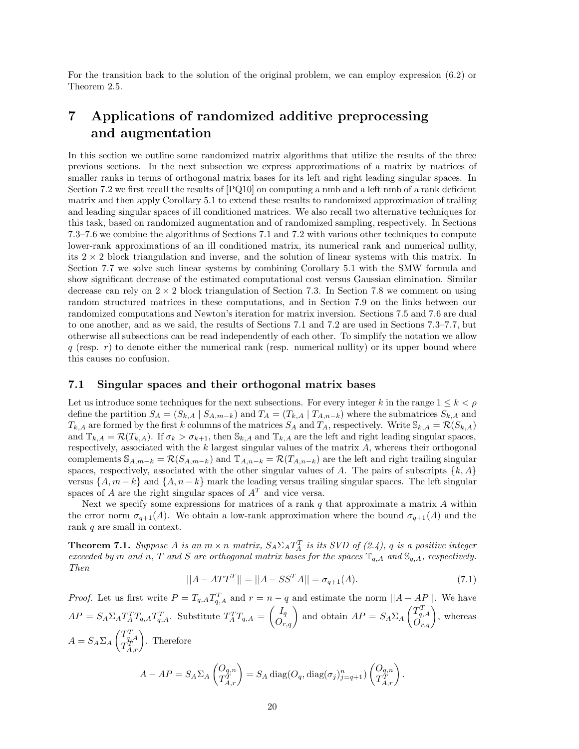For the transition back to the solution of the original problem, we can employ expression (6.2) or Theorem 2.5.

## **7 Applications of randomized additive preprocessing and augmentation**

In this section we outline some randomized matrix algorithms that utilize the results of the three previous sections. In the next subsection we express approximations of a matrix by matrices of smaller ranks in terms of orthogonal matrix bases for its left and right leading singular spaces. In Section 7.2 we first recall the results of [PQ10] on computing a nmb and a left nmb of a rank deficient matrix and then apply Corollary 5.1 to extend these results to randomized approximation of trailing and leading singular spaces of ill conditioned matrices. We also recall two alternative techniques for this task, based on randomized augmentation and of randomized sampling, respectively. In Sections 7.3–7.6 we combine the algorithms of Sections 7.1 and 7.2 with various other techniques to compute lower-rank approximations of an ill conditioned matrix, its numerical rank and numerical nullity, its  $2 \times 2$  block triangulation and inverse, and the solution of linear systems with this matrix. In Section 7.7 we solve such linear systems by combining Corollary 5.1 with the SMW formula and show significant decrease of the estimated computational cost versus Gaussian elimination. Similar decrease can rely on  $2 \times 2$  block triangulation of Section 7.3. In Section 7.8 we comment on using random structured matrices in these computations, and in Section 7.9 on the links between our randomized computations and Newton's iteration for matrix inversion. Sections 7.5 and 7.6 are dual to one another, and as we said, the results of Sections 7.1 and 7.2 are used in Sections 7.3–7.7, but otherwise all subsections can be read independently of each other. To simplify the notation we allow *q* (resp. *r*) to denote either the numerical rank (resp. numerical nullity) or its upper bound where this causes no confusion.

## **7.1 Singular spaces and their orthogonal matrix bases**

Let us introduce some techniques for the next subsections. For every integer *k* in the range  $1 \leq k < \rho$ define the partition  $S_A = (S_{k,A} | S_{A,m-k})$  and  $T_A = (T_{k,A} | T_{A,n-k})$  where the submatrices  $S_{k,A}$  and  $T_{k,A}$  are formed by the first *k* columns of the matrices  $S_A$  and  $T_A$ , respectively. Write  $\mathbb{S}_{k,A} = \mathcal{R}(S_{k,A})$ and  $\mathbb{T}_{k,A} = \mathcal{R}(T_{k,A})$ . If  $\sigma_k > \sigma_{k+1}$ , then  $\mathbb{S}_{k,A}$  and  $\mathbb{T}_{k,A}$  are the left and right leading singular spaces, respectively, associated with the *k* largest singular values of the matrix *A*, whereas their orthogonal complements  $\mathbb{S}_{A,m-k} = \mathcal{R}(S_{A,m-k})$  and  $\mathbb{T}_{A,n-k} = \mathcal{R}(T_{A,n-k})$  are the left and right trailing singular spaces, respectively, associated with the other singular values of *A*. The pairs of subscripts  $\{k, A\}$ versus  $\{A, m-k\}$  and  $\{A, n-k\}$  mark the leading versus trailing singular spaces. The left singular spaces of *A* are the right singular spaces of  $A<sup>T</sup>$  and vice versa.

Next we specify some expressions for matrices of a rank *q* that approximate a matrix *A* within the error norm  $\sigma_{q+1}(A)$ . We obtain a low-rank approximation where the bound  $\sigma_{q+1}(A)$  and the rank *q* are small in context.

**Theorem 7.1.** *Suppose A is an*  $m \times n$  *matrix,*  $S_A \Sigma_A T_A^T$  *is its SVD of (2.4), q is a positive integer exceeded by m and n*, *T and S are orthogonal matrix bases for the spaces*  $\mathbb{T}_{q,A}$  *and*  $\mathbb{S}_{q,A}$ *, respectively. Then*

$$
||A - ATTT|| = ||A - SSTA|| = \sigma_{q+1}(A).
$$
\n(7.1)

*Proof.* Let us first write  $P = T_{q,A}T_{q,A}^T$  and  $r = n - q$  and estimate the norm  $||A - AP||$ . We have  $AP = S_A \Sigma_A T_A^T T_{q,A} T_{q,A}^T$ . Substitute  $T_A^T T_{q,A} = \begin{pmatrix} I_q \\ O_{r,q} \end{pmatrix}$  and obtain  $AP = S_A \Sigma_A \begin{pmatrix} T_{q,A}^T \\ O_{r,q} \end{pmatrix}$ , whereas  $A = S_A \Sigma_A \begin{pmatrix} T_{q,A}^T \\ T_{A,r}^T \end{pmatrix}$ . Therefore  $A - AP = S_A \Sigma_A \begin{pmatrix} O_{q,n} \\ T^T \end{pmatrix}$  $\begin{pmatrix} O_{q,n} \ T_{A,r}^T \end{pmatrix} = S_A \, \text{diag}(O_q, \text{diag}(\sigma_j)_{j=q+1}^n) \begin{pmatrix} O_{q,n} \ T_{A,r}^T \end{pmatrix}$  $\left(\begin{matrix} O_{q,n}\ T_{A,r}^T\end{matrix}\right).$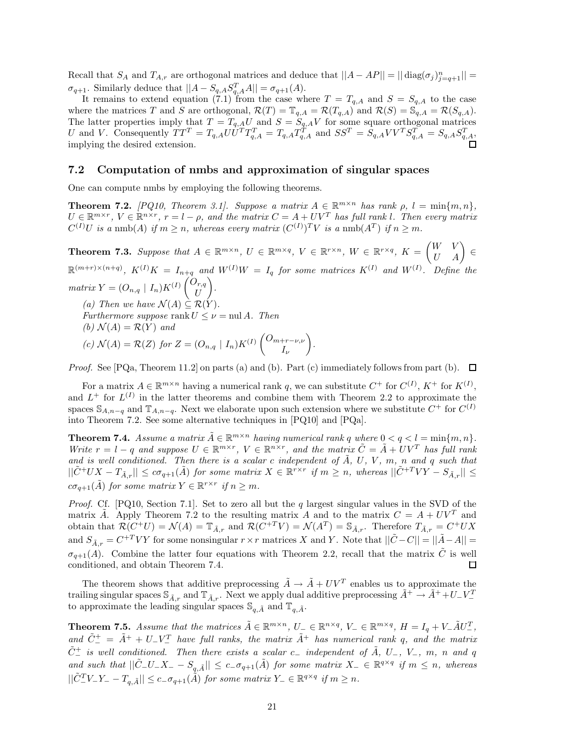Recall that  $S_A$  and  $T_{A,r}$  are orthogonal matrices and deduce that  $||A - AP|| = || \text{diag}(\sigma_j)_{j=q+1}^n ||$  $\sigma_{q+1}$ . Similarly deduce that  $||A - S_{q,A}S_{q,A}^T A|| = \sigma_{q+1}(A)$ .

It remains to extend equation (7.1) from the case where  $T = T_{q,A}$  and  $S = S_{q,A}$  to the case where the matrices *T* and *S* are orthogonal,  $\mathcal{R}(T) = \mathbb{T}_{q,A} = \mathcal{R}(T_{q,A})$  and  $\mathcal{R}(S) = \mathbb{S}_{q,A}^{\sim} = \mathcal{R}(S_{q,A})$ . The latter properties imply that  $T = T_{q,A}U$  and  $S = S_{q,A}V$  for some square orthogonal matrices U and V. Consequently  $TT^T = T_{q,A}UU^TT_{q,A}^T = T_{q,A}T_{q,A}^T$  and  $SS^T = S_{q,A}VV^TS_{q,A}^T = S_{q,A}S_{q,A}^T$ , implying the desired extension.

### **7.2 Computation of nmbs and approximation of singular spaces**

One can compute nmbs by employing the following theorems.

**Theorem 7.2.** *[PQ10, Theorem 3.1]. Suppose a matrix*  $A \in \mathbb{R}^{m \times n}$  *has rank*  $\rho$ ,  $l = \min\{m, n\}$ ,  $U \in \mathbb{R}^{m \times r}$ ,  $V \in \mathbb{R}^{n \times r}$ ,  $r = l - \rho$ , and the matrix  $C = A + UV^T$  has full rank l. Then every matrix  $C^{(I)}U$  is a nmb(*A*) if  $m \ge n$ , whereas every matrix  $(C^{(I)})^T V$  is a nmb( $A^T$ ) if  $n \ge m$ .

**Theorem 7.3.** Suppose that  $A \in \mathbb{R}^{m \times n}$ ,  $U \in \mathbb{R}^{m \times q}$ ,  $V \in \mathbb{R}^{r \times n}$ ,  $W \in \mathbb{R}^{r \times q}$ ,  $K = \begin{pmatrix} W & V \\ U & A \end{pmatrix} \in$  $\mathbb{R}^{(m+r)\times (n+q)}$ ,  $K^{(I)}K = I_{n+q}$  and  $W^{(I)}W = I_q$  for some matrices  $K^{(I)}$  and  $W^{(I)}$ . Define the  $matrix\ Y=(O_{n,q}\mid I_n)K^{(I)}\begin{pmatrix}O_{r,q}\ I^T\end{pmatrix}$ *U* -*. (a)* Then we have  $\mathcal{N}(A) \subseteq \mathcal{R}(Y)$ . *Furthermore suppose* rank  $U \leq \nu = \text{null } A$ *. Then (b)*  $\mathcal{N}(A) = \mathcal{R}(Y)$  *and*  $f(c)$   $\mathcal{N}(A) = \mathcal{R}(Z)$  *for*  $Z = (O_{n,q} | I_n)K^{(I)} \begin{pmatrix} O_{m+r-\nu,\nu} \\ I \end{pmatrix}$ *Iν* - *.*

*Proof.* See [PQa, Theorem 11.2] on parts (a) and (b). Part (c) immediately follows from part (b).  $\Box$ 

For a matrix  $A \in \mathbb{R}^{m \times n}$  having a numerical rank q, we can substitute  $C^+$  for  $C^{(I)}$ ,  $K^+$  for  $K^{(I)}$ , and  $L^+$  for  $L^{(I)}$  in the latter theorems and combine them with Theorem 2.2 to approximate the spaces  $\mathbb{S}_{A,n-q}$  and  $\mathbb{T}_{A,n-q}$ . Next we elaborate upon such extension where we substitute  $C^+$  for  $C^{(I)}$ into Theorem 7.2. See some alternative techniques in [PQ10] and [PQa].

**Theorem 7.4.** *Assume a matrix*  $\tilde{A} \in \mathbb{R}^{m \times n}$  *having numerical rank q where*  $0 < q < l = \min\{m, n\}$ *. Write*  $r = l - q$  *and suppose*  $U \in \mathbb{R}^{m \times r}$ ,  $V \in \mathbb{R}^{n \times r}$ , and the matrix  $\tilde{C} = \tilde{A} + UV^T$  has full rank and is well conditioned. Then there is a scalar c independent of  $\tilde{A}$ ,  $U$ ,  $V$ ,  $m$ ,  $n$  and  $q$  such that  $||\tilde{C}^+UX - T_{\tilde{A},r}|| \leq c\sigma_{q+1}(\tilde{A})$  for some matrix  $X \in \mathbb{R}^{r \times r}$  if  $m \geq n$ , whereas  $||\tilde{C}^{+T}VY - S_{\tilde{A},r}|| \leq$  $c\sigma_{q+1}(\tilde{A})$  *for some matrix*  $Y \in \mathbb{R}^{r \times r}$  *if*  $n \geq m$ *.* 

*Proof.* Cf. [PQ10, Section 7.1]. Set to zero all but the *q* largest singular values in the SVD of the matrix  $\tilde{A}$ . Apply Theorem 7.2 to the resulting matrix *A* and to the matrix  $C = A + UV^T$  and obtain that  $\mathcal{R}(C^+U) = \mathcal{N}(A) = \mathbb{T}_{\tilde{A},r}$  and  $\mathcal{R}(C^{+T}V) = \mathcal{N}(A^T) = \mathbb{S}_{\tilde{A},r}$ . Therefore  $T_{\tilde{A},r} = C^+UX$ and  $S_{\tilde{A},r} = C^{+T}VY$  for some nonsingular  $r \times r$  matrices X and Y. Note that  $||\tilde{C} - C|| = ||\tilde{A} - A||$  $\sigma_{q+1}(A)$ . Combine the latter four equations with Theorem 2.2, recall that the matrix  $\tilde{C}$  is well conditioned, and obtain Theorem 7.4. 口

The theorem shows that additive preprocessing  $\tilde{A} \rightarrow \tilde{A} + UV^T$  enables us to approximate the trailing singular spaces  $\mathbb{S}_{\tilde{A},r}$  and  $\mathbb{T}_{\tilde{A},r}$ . Next we apply dual additive preprocessing  $\tilde{A}^+ \to \tilde{A}^+ + U^- V^$ to approximate the leading singular spaces  $\mathbb{S}_{q,\tilde{A}}$  and  $\mathbb{T}_{q,\tilde{A}}$ .

**Theorem 7.5.** Assume that the matrices  $\tilde{A} \in \mathbb{R}^{m \times n}$ ,  $U_{-} \in \mathbb{R}^{n \times q}$ ,  $V_{-} \in \mathbb{R}^{m \times q}$ ,  $H = I_q + V_{-} \tilde{A} U_{-}^T$ ,  $\tilde{C}_{-}^{+} = \tilde{A}^{+} + U_{-}V_{-}^{T}$  *have full ranks, the matrix*  $\tilde{A}^{+}$  *has numerical rank q, and the matrix*  $\tilde{C}^+_-$  *is well conditioned. Then there exists a scalar*  $c_-$  *independent of*  $\tilde{A}$ *,*  $U_-$ *,*  $V_-$ *,*  $m$ *,*  $n$  *and*  $q$  $\int$  *and such that*  $||\tilde{C}-U-X- -S_{q,\tilde{A}}|| \leq c-\sigma_{q+1}(\tilde{A})$  *for some matrix*  $X- \in \mathbb{R}^{q\times q}$  *if*  $m \leq n$ *, whereas*  $||\tilde{C}_{-}^{T}V_{-}Y_{-}-T_{q,\tilde{A}}|| \leq c_{-}\sigma_{q+1}(\tilde{A})$  *for some matrix*  $Y_{-} \in \mathbb{R}^{q \times q}$  *if*  $m \geq n$ *.*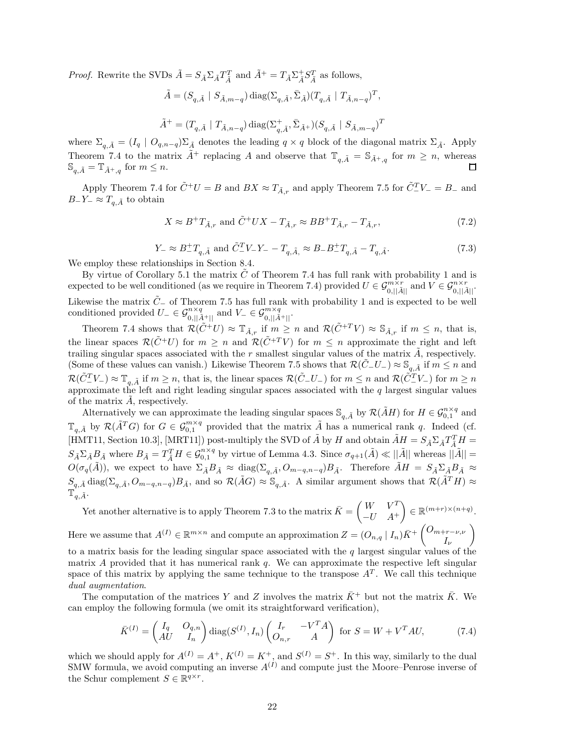*Proof.* Rewrite the SVDs  $\tilde{A} = S_{\tilde{A}} \Sigma_{\tilde{A}} T_{\tilde{A}}^T$  and  $\tilde{A}^+ = T_{\tilde{A}} \Sigma_{\tilde{A}}^+ S_{\tilde{A}}^T$  as follows,

$$
\tilde{A} = (S_{q,\tilde{A}}\ |\ S_{\tilde{A},m-q}) \operatorname{diag}(\Sigma_{q,\tilde{A}}, \bar{\Sigma}_{\tilde{A}}) (T_{q,\tilde{A}}\ |\ T_{\tilde{A},n-q})^T,
$$

$$
\tilde{A}^+ = (T_{q,\tilde{A}} \textrm{ } \vert \textrm{ } T_{\tilde{A},n-q}) \, \textrm{diag}(\Sigma_{q,\tilde{A}}^+, \bar{\Sigma}_{\tilde{A}^+})(S_{q,\tilde{A}} \textrm{ } \vert \textrm{ } S_{\tilde{A},m-q})^T
$$

where  $\Sigma_{q,\tilde{A}} = (I_q \mid O_{q,n-q})\Sigma_{\tilde{A}}$  denotes the leading  $q \times q$  block of the diagonal matrix  $\Sigma_{\tilde{A}}$ . Apply Theorem 7.4 to the matrix  $\tilde{A}^+$  replacing *A* and observe that  $\mathbb{T}_{q,\tilde{A}} = \mathbb{S}_{\tilde{A}^+,q}$  for  $m \geq n$ , whereas  $\mathbb{S}_{q,\tilde{A}} = \mathbb{T}_{\tilde{A}^+,q}$  for  $m \leq n$ .

Apply Theorem 7.4 for  $\tilde{C}$ <sup>+</sup> $U = B$  and  $BX \approx T_{\tilde{A},r}$  and apply Theorem 7.5 for  $\tilde{C}^{T}_{-}V_{-} = B_{-}$  and *B*−*Y*− ≈  $T_{q,\tilde{A}}$  to obtain

$$
X \approx B^+ T_{\tilde{A},r} \text{ and } \tilde{C}^+ U X - T_{\tilde{A},r} \approx B B^+ T_{\tilde{A},r} - T_{\tilde{A},r},\tag{7.2}
$$

$$
Y_{-} \approx B_{-}^{+}T_{q,\tilde{A}} \text{ and } \tilde{C}_{-}^{T}V_{-}Y_{-} - T_{q,\tilde{A},} \approx B_{-}B_{-}^{+}T_{q,\tilde{A}} - T_{q,\tilde{A}}.
$$
\n(7.3)

We employ these relationships in Section 8.4.

By virtue of Corollary 5.1 the matrix  $\tilde{C}$  of Theorem 7.4 has full rank with probability 1 and is expected to be well conditioned (as we require in Theorem 7.4) provided  $U \in \mathcal{G}_{0,||\tilde{A}||}^{m \times r}$  and  $V \in \mathcal{G}_{0,||\tilde{A}||}^{n \times r}$ . Likewise the matrix  $\tilde{C}$ − of Theorem 7.5 has full rank with probability 1 and is expected to be well conditioned provided  $U_{-} \in \mathcal{G}_{0,||\tilde{A}^+||}^{n \times q}$  and  $V_{-} \in \mathcal{G}_{0,||\tilde{A}^+||}^{m \times q}$ .

Theorem 7.4 shows that  $\mathcal{R}(\tilde{C}^+U) \approx \mathbb{T}_{\tilde{A},r}$  if  $m \geq n$  and  $\mathcal{R}(\tilde{C}^{+T}V) \approx \mathbb{S}_{\tilde{A},r}$  if  $m \leq n$ , that is, the linear spaces  $\mathcal{R}(\tilde{C}^+U)$  for  $m \geq n$  and  $\mathcal{R}(\tilde{C}^{+T}V)$  for  $m \leq n$  approximate the right and left trailing singular spaces associated with the  $r$  smallest singular values of the matrix  $\tilde{A}$ , respectively. (Some of these values can vanish.) Likewise Theorem 7.5 shows that  $\mathcal{R}(\tilde{C}_-U_-) \approx \mathbb{S}_{q,\tilde{A}}$  if  $m \leq n$  and  $\mathcal{R}(\tilde{C}_{-}^{T}V_{-}) \approx \mathbb{T}_{q,\tilde{A}}$  if  $m \geq n$ , that is, the linear spaces  $\mathcal{R}(\tilde{C}_{-}^{T}V_{-})$  for  $m \leq n$  and  $\mathcal{R}(\tilde{C}_{-}^{T}V_{-})$  for  $m \geq n$ approximate the left and right leading singular spaces associated with the *q* largest singular values of the matrix *A*˜, respectively.

Alternatively we can approximate the leading singular spaces  $\mathcal{S}_{q,\tilde{A}}$  by  $\mathcal{R}(\tilde{A}H)$  for  $H \in \mathcal{G}_{0,1}^{n \times q}$  and  $\mathbb{T}_{q,\tilde{A}}$  by  $\mathcal{R}(\tilde{A}^T G)$  for  $G \in \mathcal{G}_{0,1}^{m \times q}$  provided that the matrix  $\tilde{A}$  has a numerical rank *q*. Indeed (cf.  $[\text{HMT11, Section 10.3}], [\text{MRT11}])$  post-multiply the SVD of  $\tilde{A}$  by  $H$  and obtain  $\tilde{A}H = S_{\tilde{A}}\Sigma_{\tilde{A}}T_{\tilde{A}}^TH =$  $S_{\tilde{A}}\Sigma_{\tilde{A}}B_{\tilde{A}}$  where  $B_{\tilde{A}}=T_{\tilde{A}}^TH\in\mathcal{G}_{0,1}^{n\times q}$  by virtue of Lemma 4.3. Since  $\sigma_{q+1}(\tilde{A})\ll||\tilde{A}||$  whereas  $||\tilde{A}||=$  $O(\sigma_q(\tilde{A}))$ , we expect to have  $\Sigma_{\tilde{A}}B_{\tilde{A}} \approx \text{diag}(\Sigma_{q,\tilde{A}}, O_{m-q,n-q})B_{\tilde{A}}$ . Therefore  $\tilde{A}H = S_{\tilde{A}}\Sigma_{\tilde{A}}B_{\tilde{A}} \approx$  $S_{q,\tilde{A}}$  diag( $\Sigma_{q,\tilde{A}}$ ,  $O_{m-q,n-q}$ ) $B_{\tilde{A}}$ , and so  $\mathcal{R}(\tilde{A}G) \approx \mathbb{S}_{q,\tilde{A}}$ . A similar argument shows that  $\mathcal{R}(\tilde{A}^TH) \approx$  $\mathbb{T}_{q,\tilde{A}}^{n,\alpha}$ .

Yet another alternative is to apply Theorem 7.3 to the matrix  $\bar{K} = \begin{pmatrix} W & V^T \\ V^T & A^T \end{pmatrix}$ −*U A*<sup>+</sup>  $\Big\} \in \mathbb{R}^{(m+r)\times (n+q)}$ . Here we assume that  $A^{(I)} \in \mathbb{R}^{m \times n}$  and compute an approximation  $Z = (O_{n,q} | I_n) \bar{K}^+ \begin{pmatrix} O_{m+r-\nu,\nu} \\ I_n \end{pmatrix}$ *Iν*  $\setminus$ to a matrix basis for the leading singular space associated with the *q* largest singular values of the

matrix *A* provided that it has numerical rank *q*. We can approximate the respective left singular space of this matrix by applying the same technique to the transpose  $A<sup>T</sup>$ . We call this technique *dual augmentation*.

The computation of the matrices *Y* and *Z* involves the matrix  $\bar{K}^+$  but not the matrix  $\bar{K}$ . We can employ the following formula (we omit its straightforward verification),

$$
\bar{K}^{(I)} = \begin{pmatrix} I_q & O_{q,n} \\ AU & I_n \end{pmatrix} \text{diag}(S^{(I)}, I_n) \begin{pmatrix} I_r & -V^T A \\ O_{n,r} & A \end{pmatrix} \text{ for } S = W + V^T A U,
$$
\n(7.4)

which we should apply for  $A^{(I)} = A^+, K^{(I)} = K^+,$  and  $S^{(I)} = S^+$ . In this way, similarly to the dual SMW formula, we avoid computing an inverse  $A^{(I)}$  and compute just the Moore–Penrose inverse of the Schur complement  $S \in \mathbb{R}^{q \times r}$ .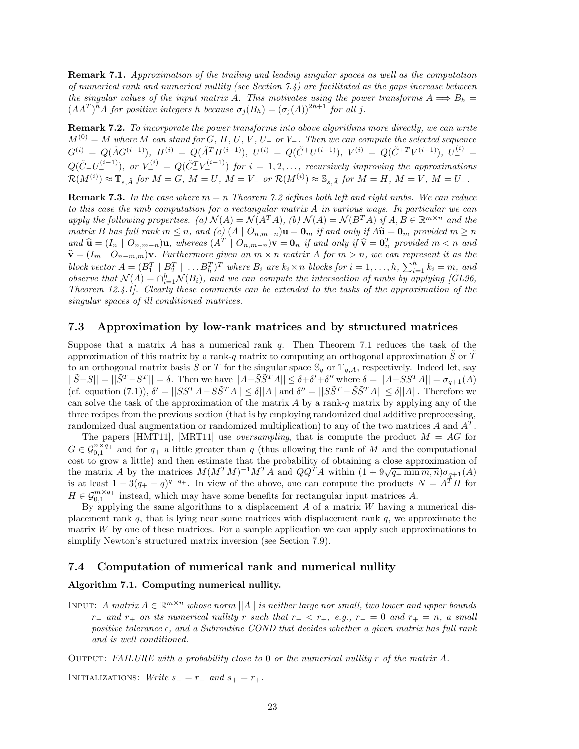**Remark 7.1.** *Approximation of the trailing and leading singular spaces as well as the computation of numerical rank and numerical nullity (see Section 7.4) are facilitated as the gaps increase between the singular values of the input matrix A. This motivates using the power transforms*  $A \Longrightarrow B_h =$  $(AA^T)^h A$  *for positive integers h because*  $\sigma_j(B_h) = (\sigma_j(A))^{2h+1}$  *for all j*.

**Remark 7.2.** *To incorporate the power transforms into above algorithms more directly, we can write*  $M^{(0)} = M$  where *M* can stand for *G*, *H*, *U*, *V*, *U*<sub>−</sub> or *V*<sub>−</sub>. Then we can compute the selected sequence  $G^{(i)} = Q(\tilde{A}G^{(i-1)}), H^{(i)} = Q(\tilde{A}^TH^{(i-1)}), U^{(i)} = Q(\tilde{C}^+U^{(i-1)}), V^{(i)} = Q(\tilde{C}^{+T}V^{(i-1)}), U^{(i)} =$  $Q(\tilde{C}_{-}U_{-}^{(i-1)}),$  or  $V_{-}^{(i)} = Q(\tilde{C}_{-}^{T}V_{-}^{(i-1)})$  for  $i = 1, 2, ...,$  recursively improving the approximations  $\mathcal{R}(M^{(i)}) \approx \mathbb{T}_{s,\tilde{A}}$  for  $M = G, M = U, M = V$  or  $\mathcal{R}(M^{(i)}) \approx \mathbb{S}_{s,\tilde{A}}$  for  $M = H, M = V, M = U$ .

**Remark 7.3.** In the case where  $m = n$  Theorem 7.2 defines both left and right nmbs. We can reduce *to this case the nmb computation for a rectangular matrix A in various ways. In particular we can apply the following properties.* (a)  $\mathcal{N}(A) = \mathcal{N}(A^T A)$ , (b)  $\mathcal{N}(A) = \mathcal{N}(B^T A)$  *if*  $A, B \in \mathbb{R}^{m \times n}$  *and the* matrix B has full rank  $m \leq n$ , and (c)  $(A \mid O_{n,m-n})\mathbf{u} = \mathbf{0}_m$  if and only if  $A\hat{\mathbf{u}} = \mathbf{0}_m$  provided  $m \geq n$ and  $\hat{\mathbf{u}} = (I_n \mid O_{n,m-n})\mathbf{u}$ , whereas  $(A^T \mid O_{n,m-n})\mathbf{v} = \mathbf{0}_n$  if and only if  $\hat{\mathbf{v}} = \mathbf{0}_n^T$  provided  $m < n$  and  $\hat{\mathbf{v}} = (I_n \mid O_{n,m-n})\mathbf{v}$ . Each provided  $m < n$  and  $\hat{\mathbf{v}} = (I_m \mid O_{n-m,m})\mathbf{v}$ *. Furthermore given an*  $m \times n$  *matrix A for*  $m > n$ *, we can represent it as the* block vector  $A = (B_1^T \mid B_2^T \mid \dots B_h^T)^T$  where  $B_i$  are  $k_i \times n$  blocks for  $i = 1, \dots, h$ ,  $\sum_{i=1}^h k_i = m$ , and *observe that*  $\mathcal{N}(A) = \bigcap_{i=1}^h \mathcal{N}(B_i)$ *, and we can compute the intersection of nmbs by applying [GL96, Theorem 12.4.1]. Clearly these comments can be extended to the tasks of the approximation of the singular spaces of ill conditioned matrices.*

#### **7.3 Approximation by low-rank matrices and by structured matrices**

Suppose that a matrix *A* has a numerical rank *q*. Then Theorem 7.1 reduces the task of the approximation of this matrix by a rank-*q* matrix to computing an orthogonal approximation *S* or *T* to an orthogonal matrix basis *S* or *T* for the singular space  $\mathbb{S}_q$  or  $\mathbb{T}_{q,A}$ , respectively. Indeed let, say  $||\tilde{S}-S||=||\tilde{S}^T-S^T||=\delta$ . Then we have  $||A-\tilde{S}\tilde{S}^T A|| \leq \delta+\delta'+\delta''$  where  $\delta=||A-SS^TA|| = \sigma_{q+1}(A)$ (cf. equation (7.1)),  $\delta' = ||S S^T A - S \tilde{S}^T A|| < \delta ||A||$  and  $\delta'' = ||S \tilde{S}^T - \tilde{S} \tilde{S}^T A|| < \delta ||A||$ . Therefore we can solve the task of the approximation of the matrix *A* by a rank-*q* matrix by applying any of the three recipes from the previous section (that is by employing randomized dual additive preprocessing, randomized dual augmentation or randomized multiplication) to any of the two matrices *A* and *A<sup>T</sup>* .

The papers [HMT11], [MRT11] use *oversampling*, that is compute the product *M* = *AG* for  $G \in \mathcal{G}_{0,1}^{n \times q_+}$  and for  $q_+$  a little greater than *q* (thus allowing the rank of *M* and the computational cost to grow a little) and then estimate that the probability of obtaining a close approximation of  $\frac{d}{dx}$  by the matrices  $M(M^TM)^{-1}M^TA$  and  $QQ^TA$  within  $(1 + 9\sqrt{q_+\min m, n})\sigma_{q+1}(A)$ is at least  $1 - 3(q_{+} - q)^{q-q_{+}}$ . In view of the above, one can compute the products  $N = A^{T}H$  for  $H \in \mathcal{G}_{0,1}^{m \times q_+}$  instead, which may have some benefits for rectangular input matrices *A*.

By applying the same algorithms to a displacement *A* of a matrix *W* having a numerical displacement rank *q*, that is lying near some matrices with displacement rank *q*, we approximate the matrix *W* by one of these matrices. For a sample application we can apply such approximations to simplify Newton's structured matrix inversion (see Section 7.9).

### **7.4 Computation of numerical rank and numerical nullity**

## **Algorithm 7.1. Computing numerical nullity.**

INPUT: *A matrix*  $A \in \mathbb{R}^{m \times n}$  *whose norm*  $||A||$  *is neither large nor small, two lower and upper bounds*  $r_$ − *and*  $r_+$  *on its numerical nullity*  $r$  *such that*  $r_− < r_+$ *, e.g.,*  $r_− = 0$  *and*  $r_+ = n$ *, a small positive tolerance , and a Subroutine COND that decides whether a given matrix has full rank and is well conditioned.*

Output: *FAILURE with a probability close to* 0 *or the numerical nullity r of the matrix A.*

INITIALIZATIONS: *Write*  $s_-=r_-\text{ and } s_+=r_+$ .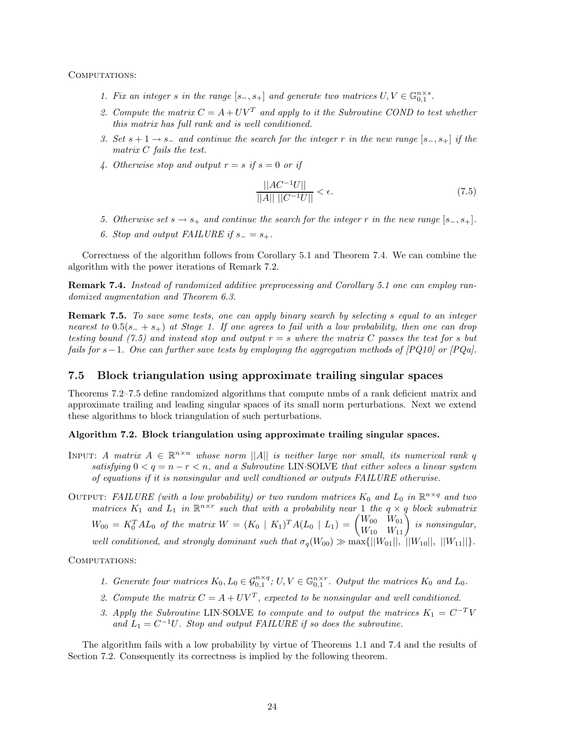COMPUTATIONS:

- *1. Fix an integer s in the range*  $[s_-, s_+]$  *and generate two matrices*  $U, V \in \mathbb{G}_{0,1}^{n \times s}$ .
- 2. Compute the matrix  $C = A + UV^T$  and apply to it the Subroutine COND to test whether *this matrix has full rank and is well conditioned.*
- *3. Set s* + 1 → *s*<sup>−</sup> *and continue the search for the integer r in the new range* [*s*−*, s*+] *if the matrix C fails the test.*
- 4. Otherwise stop and output  $r = s$  if  $s = 0$  or if

$$
\frac{||AC^{-1}U||}{||A|| ||C^{-1}U||} < \epsilon.
$$
\n(7.5)

- *5. Otherwise set s* → *s*<sub>+</sub> *and continue the search for the integer r in the new range*  $[s_-, s_+]$ *.*
- 6. Stop and output FAILURE if  $s_-=s_+$ .

Correctness of the algorithm follows from Corollary 5.1 and Theorem 7.4. We can combine the algorithm with the power iterations of Remark 7.2.

**Remark 7.4.** *Instead of randomized additive preprocessing and Corollary 5.1 one can employ randomized augmentation and Theorem 6.3.*

**Remark 7.5.** *To save some tests, one can apply binary search by selecting s equal to an integer nearest to* 0*.*5(*s*<sup>−</sup> + *s*+) *at Stage 1. If one agrees to fail with a low probability, then one can drop testing bound (7.5) and instead stop and output*  $r = s$  where the matrix C passes the test for *s* but *fails for s*−1*. One can further save tests by employing the aggregation methods of [PQ10] or [PQa].*

## **7.5 Block triangulation using approximate trailing singular spaces**

Theorems 7.2–7.5 define randomized algorithms that compute nmbs of a rank deficient matrix and approximate trailing and leading singular spaces of its small norm perturbations. Next we extend these algorithms to block triangulation of such perturbations.

## **Algorithm 7.2. Block triangulation using approximate trailing singular spaces.**

INPUT: *A matrix*  $A \in \mathbb{R}^{n \times n}$  whose norm ||*A*|| *is neither large nor small, its numerical rank q satisfying*  $0 \leq q = n - r \leq n$ , and a Subroutine LIN·SOLVE that either solves a linear system *of equations if it is nonsingular and well condtioned or outputs FAILURE otherwise.*

OUTPUT: *FAILURE* (with a low probability) or two random matrices  $K_0$  and  $L_0$  in  $\mathbb{R}^{n \times q}$  and two *matrices*  $K_1$  *and*  $L_1$  *in*  $\mathbb{R}^{n \times r}$  *such that with a probability near* 1 *the*  $q \times q$  *block submatrix*  $W_{00} = K_0^T A L_0$  *of the matrix*  $W = (K_0 \mid K_1)^T A (L_0 \mid L_1) = \begin{pmatrix} W_{00} & W_{01} \ W_{10} & W_{11} \end{pmatrix}$  *is nonsingular, well conditioned, and strongly dominant such that*  $\sigma_q(W_{00}) \gg \max\{||W_{01}||, ||W_{10}||, ||W_{11}||\}$ .

COMPUTATIONS:

- *1. Generate four matrices*  $K_0, L_0 \in \mathcal{G}_{0,1}^{n \times q}$ ;  $U, V \in \mathbb{G}_{0,1}^{n \times r}$ . Output the matrices  $K_0$  and  $L_0$ .
- 2. Compute the matrix  $C = A + UV^T$ , expected to be nonsingular and well conditioned.
- *3. Apply the Subroutine* LIN·SOLVE *to compute and to output the matrices*  $K_1 = C^{-T}V$ and  $L_1 = C^{-1}U$ *. Stop and output FAILURE if so does the subroutine.*

The algorithm fails with a low probability by virtue of Theorems 1.1 and 7.4 and the results of Section 7.2. Consequently its correctness is implied by the following theorem.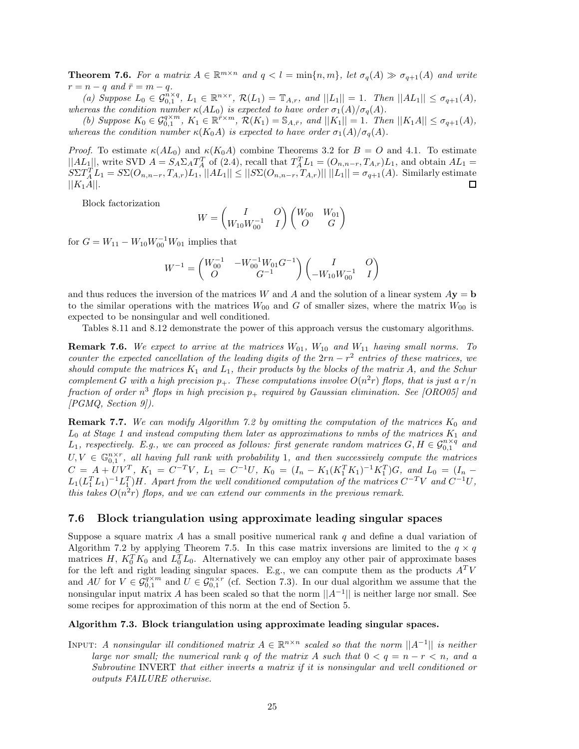**Theorem 7.6.** For a matrix  $A \in \mathbb{R}^{m \times n}$  and  $q < l = \min\{n, m\}$ , let  $\sigma_q(A) \gg \sigma_{q+1}(A)$  and write  $r = n - q$  and  $\bar{r} = m - q$ .

(a) Suppose  $L_0 \in \mathcal{G}_{0,1}^{n \times q}$ ,  $L_1 \in \mathbb{R}^{n \times r}$ ,  $\mathcal{R}(L_1) = \mathbb{T}_{A,r}$ , and  $||L_1|| = 1$ . Then  $||AL_1|| \leq \sigma_{q+1}(A)$ , *whereas the condition number*  $\kappa(AL_0)$  *is expected to have order*  $\sigma_1(A)/\sigma_q(A)$ *.* 

(b) Suppose  $K_0 \in \mathcal{G}_{0,1}^{q \times m}$ ,  $K_1 \in \mathbb{R}^{\tilde{r} \times m}$ ,  $\mathcal{R}(K_1) = \mathbb{S}_{A,\tilde{r}}$ , and  $||K_1|| = 1$ . Then  $||K_1A|| \leq \sigma_{q+1}(A)$ , *whereas the condition number*  $\kappa(K_0A)$  *is expected to have order*  $\sigma_1(A)/\sigma_q(A)$ *.* 

*Proof.* To estimate  $\kappa(AL_0)$  and  $\kappa(K_0A)$  combine Theorems 3.2 for  $B = O$  and 4.1. To estimate  $||AL_1||$ , write SVD  $A = S_A \Sigma_A T_A^T$  of (2.4), recall that  $T_A^T L_1 = (O_{n,n-r}, T_{A,r})L_1$ , and obtain  $AL_1 =$  $S\Sigma T_A^T L_1 = S\Sigma(O_{n,n-r}, T_{A,r})L_1, ||AL_1|| \leq ||S\Sigma(O_{n,n-r}, T_{A,r})|| ||L_1|| = \sigma_{q+1}(A).$  Similarly estimate  $||K_1A||.$ 

Block factorization

$$
W = \begin{pmatrix} I & O \\ W_{10} W_{00}^{-1} & I \end{pmatrix} \begin{pmatrix} W_{00} & W_{01} \\ O & G \end{pmatrix}
$$

for  $G = W_{11} - W_{10}W_{00}^{-1}W_{01}$  implies that

$$
W^{-1} = \begin{pmatrix} W_{00}^{-1} & -W_{00}^{-1}W_{01}G^{-1} \\ O & G^{-1} \end{pmatrix} \begin{pmatrix} I & O \\ -W_{10}W_{00}^{-1} & I \end{pmatrix}
$$

and thus reduces the inversion of the matrices *W* and *A* and the solution of a linear system  $A$ **y** = **b** to the similar operations with the matrices  $W_{00}$  and *G* of smaller sizes, where the matrix  $W_{00}$  is expected to be nonsingular and well conditioned.

Tables 8.11 and 8.12 demonstrate the power of this approach versus the customary algorithms.

**Remark 7.6.** We expect to arrive at the matrices  $W_{01}$ ,  $W_{10}$  and  $W_{11}$  having small norms. To *counter the expected cancellation of the leading digits of the*  $2rn - r^2$  *entries of these matrices, we should compute the matrices*  $K_1$  *and*  $L_1$ *, their products by the blocks of the matrix*  $A$ *, and the Schur complement G* with a high precision  $p_+$ . These computations involve  $O(n^2r)$  flops, that is just a  $r/n$ *fraction of order n*<sup>3</sup> *flops in high precision p*<sup>+</sup> *required by Gaussian elimination. See [ORO05] and [PGMQ, Section 9]).*

**Remark 7.7.** *We can modify Algorithm 7.2 by omitting the computation of the matrices K*<sup>0</sup> *and*  $L_0$  *at Stage 1 and instead computing them later as approximations to nmbs of the matrices*  $K_1$  *and*  $L_1$ , respectively. E.g., we can proceed as follows: first generate random matrices  $G, H \in \mathcal{G}_{0,1}^{n \times q}$  and  $U, V \in \mathbb{G}_{0,1}^{n \times r}$ , all having full rank with probability 1, and then successively compute the matrices  $C = A + UV^T$ ,  $K_1 = C^{-T}V$ ,  $L_1 = C^{-1}U$ ,  $K_0 = (I_n - K_1(K_1^T K_1)^{-1} K_1^T)G$ , and  $L_0 = (I_n - K_1(K_1^T K_1)^{-1} K_1^T)G$  $L_1(L_1^T L_1)^{-1} L_1^T$  *H*. Apart from the well conditioned computation of the matrices  $C^{-T}V$  and  $C^{-1}U$ , *this takes*  $O(n^2r)$  *flops, and we can extend our comments in the previous remark.* 

### **7.6 Block triangulation using approximate leading singular spaces**

Suppose a square matrix *A* has a small positive numerical rank *q* and define a dual variation of Algorithm 7.2 by applying Theorem 7.5. In this case matrix inversions are limited to the  $q \times q$ matrices *H*,  $K_0^T K_0$  and  $L_0^T L_0$ . Alternatively we can employ any other pair of approximate bases for the left and right leading singular spaces. E.g., we can compute them as the products  $A<sup>T</sup>V$ and *AU* for  $V \in \mathcal{G}_{0,1}^{q \times m}$  and  $U \in \mathcal{G}_{0,1}^{n \times r}$  (cf. Section 7.3). In our dual algorithm we assume that the nonsingular input matrix *A* has been scaled so that the norm  $||A^{-1}||$  is neither large nor small. See some recipes for approximation of this norm at the end of Section 5.

### **Algorithm 7.3. Block triangulation using approximate leading singular spaces.**

INPUT: *A nonsingular ill conditioned matrix*  $A \in \mathbb{R}^{n \times n}$  *scaled so that the norm*  $||A^{-1}||$  *is neither large nor small; the numerical rank q of the matrix* A such that  $0 < q = n - r < n$ , and a *Subroutine* INVERT *that either inverts a matrix if it is nonsingular and well conditioned or outputs FAILURE otherwise.*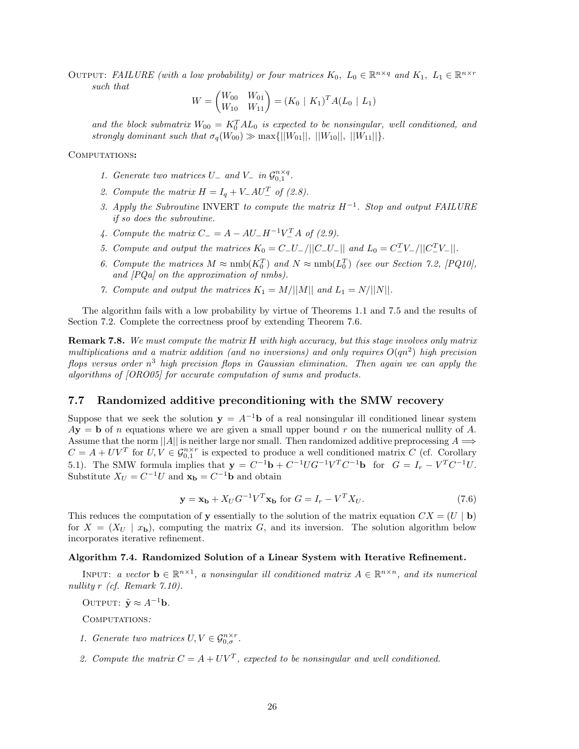OUTPUT: *FAILURE (with a low probability) or four matrices*  $K_0$ ,  $L_0 \in \mathbb{R}^{n \times q}$  and  $K_1$ ,  $L_1 \in \mathbb{R}^{n \times r}$ *such that*

$$
W = \begin{pmatrix} W_{00} & W_{01} \\ W_{10} & W_{11} \end{pmatrix} = (K_0 \mid K_1)^T A (L_0 \mid L_1)
$$

and the block submatrix  $W_{00} = K_0^T A L_0$  is expected to be nonsingular, well conditioned, and *strongly dominant such that*  $\sigma_q(W_{00}) \gg \max\{||W_{01}||, ||W_{10}||, ||W_{11}||\}.$ 

Computations**:**

- *1. Generate two matrices*  $U_{-}$  *and*  $V_{-}$  *in*  $\mathcal{G}_{0,1}^{n \times q}$ .
- 2. Compute the matrix  $H = I_q + V_-AU_-^T$  of (2.8).
- *3. Apply the Subroutine* INVERT *to compute the matrix H*−1*. Stop and output FAILURE if so does the subroutine.*
- *4. Compute the matrix*  $C_{-} = A AU_{-}H^{-1}V_{-}^{T}A$  *of (2.9).*
- *5. Compute and output the matrices*  $K_0 = C_-U_- / ||C_-U_-||$  *and*  $L_0 = C_-^T V_- / ||C_-^T V_-||$ .
- 6. Compute the matrices  $M \approx \text{nmb}(K_0^T)$  and  $N \approx \text{nmb}(L_0^T)$  (see our Section 7.2, [PQ10], *and [PQa] on the approximation of nmbs).*
- *7. Compute and output the matrices*  $K_1 = M/||M||$  *and*  $L_1 = N/||N||$ .

The algorithm fails with a low probability by virtue of Theorems 1.1 and 7.5 and the results of Section 7.2. Complete the correctness proof by extending Theorem 7.6.

**Remark 7.8.** *We must compute the matrix H with high accuracy, but this stage involves only matrix multiplications and a matrix addition (and no inversions) and only requires*  $O(qn^2)$  *high precision flops versus order n*<sup>3</sup> *high precision flops in Gaussian elimination. Then again we can apply the algorithms of [ORO05] for accurate computation of sums and products.*

## **7.7 Randomized additive preconditioning with the SMW recovery**

Suppose that we seek the solution  $\mathbf{v} = A^{-1}\mathbf{b}$  of a real nonsingular ill conditioned linear system  $A$ **y** = **b** of *n* equations where we are given a small upper bound *r* on the numerical nullity of *A*. Assume that the norm  $||A||$  is neither large nor small. Then randomized additive preprocessing  $A \Longrightarrow$  $C = A + UV^T$  for  $U, V \in \mathcal{G}_{0,1}^{n \times r}$  is expected to produce a well conditioned matrix *C* (cf. Corollary 5.1). The SMW formula implies that  $\mathbf{y} = C^{-1}\mathbf{b} + C^{-1}UG^{-1}V^{T}C^{-1}\mathbf{b}$  for  $G = I_{r} - V^{T}C^{-1}U$ . Substitute  $X_U = C^{-1}U$  and  $\mathbf{x}_\mathbf{b} = C^{-1}\mathbf{b}$  and obtain

$$
\mathbf{y} = \mathbf{x_b} + X_U G^{-1} V^T \mathbf{x_b} \text{ for } G = I_r - V^T X_U. \tag{7.6}
$$

This reduces the computation of **y** essentially to the solution of the matrix equation  $CX = (U | b)$ for  $X = (X_U \mid x_{\mathbf{b}})$ , computing the matrix G, and its inversion. The solution algorithm below incorporates iterative refinement.

### **Algorithm 7.4. Randomized Solution of a Linear System with Iterative Refinement.**

INPUT: *a vector*  $\mathbf{b} \in \mathbb{R}^{n \times 1}$ , *a nonsingular ill conditioned matrix*  $A \in \mathbb{R}^{n \times n}$ , *and its numerical nullity r (cf. Remark 7.10).*

OUTPUT:  $\tilde{\mathbf{y}} \approx A^{-1}\mathbf{b}$ *.* 

Computations*:*

- *1. Generate two matrices*  $U, V \in \mathcal{G}_{0,\sigma}^{n \times r}$ .
- 2. Compute the matrix  $C = A + UV^T$ , expected to be nonsingular and well conditioned.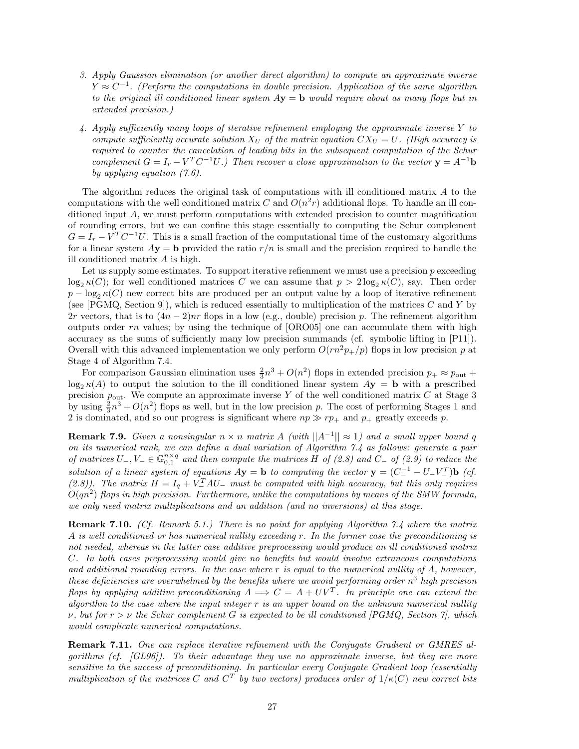- *3. Apply Gaussian elimination (or another direct algorithm) to compute an approximate inverse*  $Y \approx C^{-1}$ . (Perform the computations in double precision. Application of the same algorithm *to the original ill conditioned linear system A***y** = **b** *would require about as many flops but in extended precision.)*
- *4. Apply sufficiently many loops of iterative refinement employing the approximate inverse Y to compute sufficiently accurate solution*  $X_U$  *of the matrix equation*  $CX_U = U$ *. (High accuracy is required to counter the cancelation of leading bits in the subsequent computation of the Schur complement*  $G = I_r - V^T C^{-1} U$ *.)* Then recover a close approximation to the vector  $\mathbf{y} = A^{-1} \mathbf{b}$ *by applying equation (7.6).*

The algorithm reduces the original task of computations with ill conditioned matrix *A* to the computations with the well conditioned matrix *C* and  $O(n^2r)$  additional flops. To handle an ill conditioned input *A*, we must perform computations with extended precision to counter magnification of rounding errors, but we can confine this stage essentially to computing the Schur complement  $G = I_r - V^T C^{-1} U$ . This is a small fraction of the computational time of the customary algorithms for a linear system  $A$ **y** = **b** provided the ratio  $r/n$  is small and the precision required to handle the ill conditioned matrix *A* is high.

Let us supply some estimates. To support iterative refiemment we must use a precision *p* exceeding  $\log_2 \kappa(C)$ ; for well conditioned matrices *C* we can assume that  $p > 2\log_2 \kappa(C)$ , say. Then order  $p - \log_2 \kappa(C)$  new correct bits are produced per an output value by a loop of iterative refinement (see [PGMQ, Section 9]), which is reduced essentially to multiplication of the matrices *C* and *Y* by 2*r* vectors, that is to  $(4n - 2)nr$  flops in a low (e.g., double) precision *p*. The refinement algorithm outputs order *rn* values; by using the technique of [ORO05] one can accumulate them with high accuracy as the sums of sufficiently many low precision summands (cf. symbolic lifting in [P11]). Overall with this advanced implementation we only perform  $O(rn^2p_+/p)$  flops in low precision p at Stage 4 of Algorithm 7.4.

For comparison Gaussian elimination uses  $\frac{2}{3}n^3 + O(n^2)$  flops in extended precision  $p_+ \approx p_{\text{out}} +$  $\log_2 \kappa(A)$  to output the solution to the ill conditioned linear system  $A$ **y** = **b** with a prescribed precision  $p_{\text{out}}$ . We compute an approximate inverse Y of the well conditioned matrix  $C$  at Stage 3 by using  $\frac{2}{3}n^3 + O(n^2)$  flops as well, but in the low precision *p*. The cost of performing Stages 1 and 2 is dominated, and so our progress is significant where  $np \gg rp_+$  and  $p_+$  greatly exceeds p.

**Remark 7.9.** *Given a nonsingular*  $n \times n$  *matrix*  $A$  *(with*  $||A^{-1}|| \approx 1$ *) and a small upper bound q on its numerical rank, we can define a dual variation of Algorithm 7.4 as follows: generate a pair of matrices*  $U_-, V_-\in \mathbb{G}_{0,1}^{n\times q}$  *and then compute the matrices*  $H$  *of (2.8) and*  $C_−$  *of (2.9) to reduce the solution of a linear system of equations*  $A$ **y** = **b** *to computing the vector* **y** =  $(C_{-}^{-1} - U_{-}V_{-}^{T})$ **b** (*cf.*) (2.8)). The matrix  $H = I_q + V_{-}^T A U_{-}$  must be computed with high accuracy, but this only requires *O*(*qn*<sup>2</sup>) *flops in high precision. Furthermore, unlike the computations by means of the SMW formula, we only need matrix multiplications and an addition (and no inversions) at this stage.*

**Remark 7.10.** *(Cf. Remark 5.1.) There is no point for applying Algorithm 7.4 where the matrix A is well conditioned or has numerical nullity exceeding r. In the former case the preconditioning is not needed, whereas in the latter case additive preprocessing would produce an ill conditioned matrix C. In both cases preprocessing would give no benefits but would involve extraneous computations and additional rounding errors. In the case where r is equal to the numerical nullity of A, however, these deficiencies are overwhelmed by the benefits where we avoid performing order n*<sup>3</sup> *high precision flops by applying additive preconditioning*  $A \implies C = A + UV^T$ . In principle one can extend the *algorithm to the case where the input integer r is an upper bound on the unknown numerical nullity ν, but for r>ν the Schur complement G is expected to be ill conditioned [PGMQ, Section 7], which would complicate numerical computations.*

**Remark 7.11.** *One can replace iterative refinement with the Conjugate Gradient or GMRES algorithms (cf. [GL96]). To their advantage they use no approximate inverse, but they are more sensitive to the success of preconditioning. In particular every Conjugate Gradient loop (essentially multiplication of the matrices C* and  $C^T$  by two vectors) produces order of  $1/\kappa(C)$  new correct bits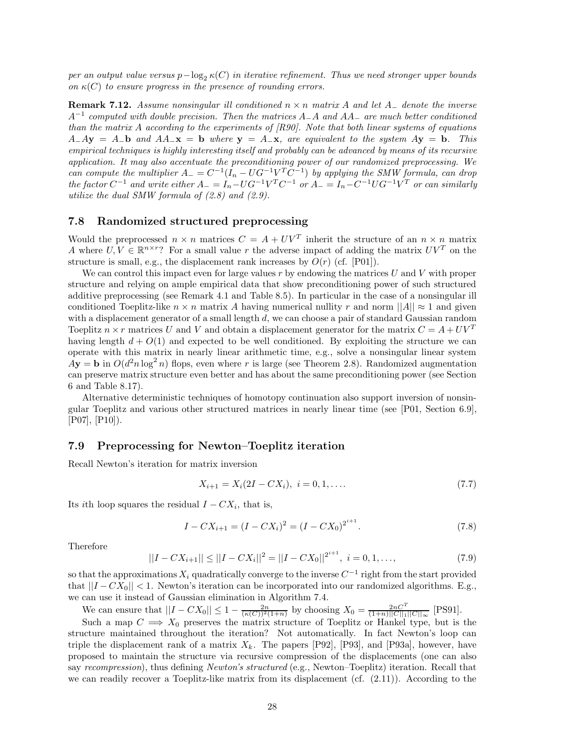*per an output value versus*  $p-\log_2 \kappa(C)$  *in iterative refinement. Thus we need stronger upper bounds on*  $\kappa(C)$  *to ensure progress in the presence of rounding errors.* 

**Remark 7.12.** *Assume nonsingular ill conditioned n* × *n matrix A and let A*<sup>−</sup> *denote the inverse <sup>A</sup>*−<sup>1</sup> *computed with double precision. Then the matrices <sup>A</sup>*−*<sup>A</sup> and AA*<sup>−</sup> *are much better conditioned than the matrix A according to the experiments of [R90]. Note that both linear systems of equations*  $A - A$ **y** =  $A - b$  and  $A - x$  = **b** where **y** =  $A - x$ , are equivalent to the system  $A$ **y** = **b**. This *empirical techniques is highly interesting itself and probably can be advanced by means of its recursive application. It may also accentuate the preconditioning power of our randomized preprocessing. We can compute the multiplier*  $A_{-} = C^{-1}(\tilde{I}_{n} - UG^{-1}V^{T}\tilde{C}^{-1})$  by applying the SMW formula, can drop  $\int$  *the factor*  $C^{-1}$  *and write either*  $A_{-} = I_n - U G^{-1} V^T C^{-1}$  *or*  $A_{-} = I_n - C^{-1} U G^{-1} V^T$  *or can similarly utilize the dual SMW formula of (2.8) and (2.9).*

## **7.8 Randomized structured preprocessing**

Would the preprocessed  $n \times n$  matrices  $C = A + UV^T$  inherit the structure of an  $n \times n$  matrix *A* where  $U, V \in \mathbb{R}^{n \times r}$ ? For a small value *r* the adverse impact of adding the matrix  $UV^T$  on the structure is small, e.g., the displacement rank increases by  $O(r)$  (cf. [P01]).

We can control this impact even for large values *r* by endowing the matrices *U* and *V* with proper structure and relying on ample empirical data that show preconditioning power of such structured additive preprocessing (see Remark 4.1 and Table 8.5). In particular in the case of a nonsingular ill conditioned Toeplitz-like  $n \times n$  matrix *A* having numerical nullity *r* and norm  $||A|| \approx 1$  and given with a displacement generator of a small length *d*, we can choose a pair of standard Gaussian random Toeplitz  $n \times r$  matrices U and V and obtain a displacement generator for the matrix  $C = A + UV^T$ having length  $d + O(1)$  and expected to be well conditioned. By exploiting the structure we can operate with this matrix in nearly linear arithmetic time, e.g., solve a nonsingular linear system  $\overrightarrow{A}$ **y** = **b** in  $O(d^2n \log^2 n)$  flops, even where *r* is large (see Theorem 2.8). Randomized augmentation can preserve matrix structure even better and has about the same preconditioning power (see Section 6 and Table 8.17).

Alternative deterministic techniques of homotopy continuation also support inversion of nonsingular Toeplitz and various other structured matrices in nearly linear time (see [P01, Section 6.9], [P07], [P10]).

#### **7.9 Preprocessing for Newton–Toeplitz iteration**

Recall Newton's iteration for matrix inversion

$$
X_{i+1} = X_i(2I - CX_i), \quad i = 0, 1, \dots
$$
\n
$$
(7.7)
$$

Its *i*th loop squares the residual  $I - CX_i$ , that is,

$$
I - CX_{i+1} = (I - CX_i)^2 = (I - CX_0)^{2^{i+1}}.
$$
\n(7.8)

Therefore

$$
||I - CX_{i+1}|| \le ||I - CX_i||^2 = ||I - CX_0||^{2^{i+1}}, \ i = 0, 1, ..., \tag{7.9}
$$

so that the approximations  $X_i$  quadratically converge to the inverse  $C^{-1}$  right from the start provided that  $||I - CX_0|| < 1$ . Newton's iteration can be incorporated into our randomized algorithms. E.g., we can use it instead of Gaussian elimination in Algorithm 7.4.

We can ensure that  $||I - CX_0|| \le 1 - \frac{2n}{(\kappa(C))^2(1+n)}$  by choosing  $X_0 = \frac{2nC^T}{(1+n)||C||_1||C||_{\infty}}$  [PS91].

Such a map  $C \implies X_0$  preserves the matrix structure of Toeplitz or Hankel type, but is the structure maintained throughout the iteration? Not automatically. In fact Newton's loop can triple the displacement rank of a matrix  $X_k$ . The papers [P92], [P93], and [P93a], however, have proposed to maintain the structure via recursive compression of the displacements (one can also say *recompression*), thus defining *Newton's structured* (e.g., Newton–Toeplitz) iteration. Recall that we can readily recover a Toeplitz-like matrix from its displacement (cf.  $(2.11)$ ). According to the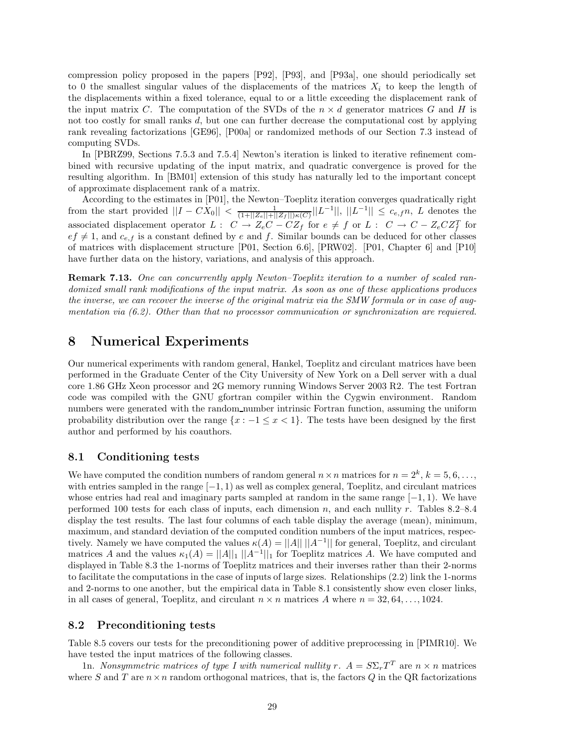compression policy proposed in the papers [P92], [P93], and [P93a], one should periodically set to 0 the smallest singular values of the displacements of the matrices  $X_i$  to keep the length of the displacements within a fixed tolerance, equal to or a little exceeding the displacement rank of the input matrix *C*. The computation of the SVDs of the  $n \times d$  generator matrices *G* and *H* is not too costly for small ranks *d*, but one can further decrease the computational cost by applying rank revealing factorizations [GE96], [P00a] or randomized methods of our Section 7.3 instead of computing SVDs.

In [PBRZ99, Sections 7.5.3 and 7.5.4] Newton's iteration is linked to iterative refinement combined with recursive updating of the input matrix, and quadratic convergence is proved for the resulting algorithm. In [BM01] extension of this study has naturally led to the important concept of approximate displacement rank of a matrix.

According to the estimates in [P01], the Newton–Toeplitz iteration converges quadratically right from the start provided ||*I* − *CX*0|| *<* <sup>1</sup> (1+||*Z*e||+||*Z*<sup>f</sup> ||)*κ*(*C*) ||*L*−1||, ||*L*−1|| ≤ *<sup>c</sup>e,fn*, *<sup>L</sup>* denotes the associated displacement operator  $L: C \to Z_eC - CZ_f$  for  $e \neq f$  or  $L: C \to C - Z_eCZ_f^T$  for  $ef \neq 1$ , and  $c_{e,f}$  is a constant defined by *e* and *f*. Similar bounds can be deduced for other classes of matrices with displacement structure [P01, Section 6.6], [PRW02]. [P01, Chapter 6] and [P10] have further data on the history, variations, and analysis of this approach.

**Remark 7.13.** *One can concurrently apply Newton–Toeplitz iteration to a number of scaled randomized small rank modifications of the input matrix. As soon as one of these applications produces the inverse, we can recover the inverse of the original matrix via the SMW formula or in case of augmentation via (6.2). Other than that no processor communication or synchronization are requiered.*

## **8 Numerical Experiments**

Our numerical experiments with random general, Hankel, Toeplitz and circulant matrices have been performed in the Graduate Center of the City University of New York on a Dell server with a dual core 1.86 GHz Xeon processor and 2G memory running Windows Server 2003 R2. The test Fortran code was compiled with the GNU gfortran compiler within the Cygwin environment. Random numbers were generated with the random number intrinsic Fortran function, assuming the uniform probability distribution over the range  $\{x : -1 \leq x < 1\}$ . The tests have been designed by the first author and performed by his coauthors.

## **8.1 Conditioning tests**

We have computed the condition numbers of random general  $n \times n$  matrices for  $n = 2^k$ ,  $k = 5, 6, \ldots$ , with entries sampled in the range [−1*,* 1) as well as complex general, Toeplitz, and circulant matrices whose entries had real and imaginary parts sampled at random in the same range [−1*,* 1). We have performed 100 tests for each class of inputs, each dimension *n*, and each nullity *r*. Tables 8.2–8.4 display the test results. The last four columns of each table display the average (mean), minimum, maximum, and standard deviation of the computed condition numbers of the input matrices, respectively. Namely we have computed the values  $\kappa(A) = ||A|| ||A^{-1}||$  for general, Toeplitz, and circulant matrices *A* and the values  $\kappa_1(A) = ||A||_1 ||A^{-1}||_1$  for Toeplitz matrices *A*. We have computed and displayed in Table 8.3 the 1-norms of Toeplitz matrices and their inverses rather than their 2-norms to facilitate the computations in the case of inputs of large sizes. Relationships (2.2) link the 1-norms and 2-norms to one another, but the empirical data in Table 8.1 consistently show even closer links, in all cases of general, Toeplitz, and circulant  $n \times n$  matrices A where  $n = 32, 64, \ldots, 1024$ .

## **8.2 Preconditioning tests**

Table 8.5 covers our tests for the preconditioning power of additive preprocessing in [PIMR10]. We have tested the input matrices of the following classes.

1n. *Nonsymmetric matrices of type I with numerical nullity*  $r$ *.*  $A = S \Sigma_r T^T$  are  $n \times n$  matrices where *S* and *T* are  $n \times n$  random orthogonal matrices, that is, the factors *Q* in the QR factorizations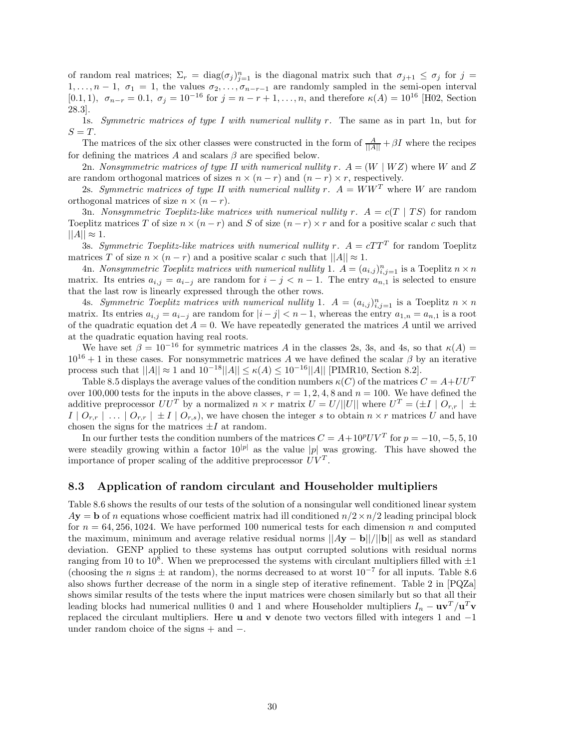of random real matrices;  $\Sigma_r = \text{diag}(\sigma_j)_{j=1}^n$  is the diagonal matrix such that  $\sigma_{j+1} \leq \sigma_j$  for  $j =$ 1,..., $n-1$ ,  $\sigma_1 = 1$ , the values  $\sigma_2, \ldots, \sigma_{n-r-1}$  are randomly sampled in the semi-open interval [0.1, 1],  $\sigma_{n-r} = 0.1$ ,  $\sigma_j = 10^{-16}$  for  $j = n-r+1, \ldots, n$ , and therefore  $\kappa(A) = 10^{16}$  [H02, Section 28.3].

1s. *Symmetric matrices of type I with numerical nullity r.* The same as in part 1n, but for  $S = T$ .

The matrices of the six other classes were constructed in the form of  $\frac{A}{||A||} + \beta I$  where the recipes for defining the matrices  $A$  and scalars  $\beta$  are specified below.

2n. *Nonsymmetric matrices of type II with numerical nullity*  $r \cdot A = (W \mid WZ)$  where  $W$  and  $Z$ are random orthogonal matrices of sizes  $n \times (n - r)$  and  $(n - r) \times r$ , respectively.

2s. *Symmetric matrices of type II with numerical nullity*  $r$ *.*  $A = WW^T$  where W are random orthogonal matrices of size  $n \times (n - r)$ .

3n. *Nonsymmetric Toeplitz-like matrices with numerical nullity*  $r \cdot A = c(T | TS)$  *for random* Toeplitz matrices *T* of size  $n \times (n - r)$  and *S* of size  $(n - r) \times r$  and for a positive scalar *c* such that  $||A|| \approx 1.$ 

3s. *Symmetric Toeplitz-like matrices with numerical nullity*  $r$ *.*  $A = cTT^{T}$  for random Toeplitz matrices *T* of size  $n \times (n - r)$  and a positive scalar *c* such that  $||A|| \approx 1$ .

4n. *Nonsymmetric Toeplitz matrices with numerical nullity* 1.  $A = (a_{i,j})_{i,j=1}^n$  is a Toeplitz  $n \times n$ matrix. Its entries  $a_{i,j} = a_{i-j}$  are random for  $i - j < n - 1$ . The entry  $a_{n,1}$  is selected to ensure that the last row is linearly expressed through the other rows.

4s. *Symmetric Toeplitz matrices with numerical nullity* 1.  $A = (a_{i,j})_{i,j=1}^n$  is a Toeplitz  $n \times n$ matrix. Its entries  $a_{i,j} = a_{i-j}$  are random for  $|i - j| < n - 1$ , whereas the entry  $a_{1,n} = a_{n,1}$  is a root of the quadratic equation det  $A = 0$ . We have repeatedly generated the matrices A until we arrived at the quadratic equation having real roots.

We have set  $\beta = 10^{-16}$  for symmetric matrices *A* in the classes 2s, 3s, and 4s, so that  $\kappa(A) =$  $10^{16} + 1$  in these cases. For nonsymmetric matrices *A* we have defined the scalar  $\beta$  by an iterative process such that  $||A|| \approx 1$  and  $10^{-18}||A|| \leq \kappa(A) \leq 10^{-16}||A||$  [PIMR10, Section 8.2].

Table 8.5 displays the average values of the condition numbers  $\kappa(C)$  of the matrices  $C = A + U U^T$ over 100,000 tests for the inputs in the above classes,  $r = 1, 2, 4, 8$  and  $n = 100$ . We have defined the additive preprocessor  $UU^T$  by a normalized  $n \times r$  matrix  $U = U/||U||$  where  $U^T = (\pm I \mid O_{r,r}) \pm \sqrt{O_{r,r}}$  $I \mid O_{r,r} \mid ... \mid O_{r,r} \mid \pm I \mid O_{r,s}$ , we have chosen the integer *s* to obtain  $n \times r$  matrices *U* and have chosen the signs for the matrices  $\pm I$  at random.

In our further tests the condition numbers of the matrices  $C = A + 10^p UV^T$  for  $p = -10, -5, 5, 10$ were steadily growing within a factor  $10^{|p|}$  as the value |p| was growing. This have showed the importance of proper scaling of the additive preprocessor  $UV<sup>T</sup>$ .

## **8.3 Application of random circulant and Householder multipliers**

Table 8.6 shows the results of our tests of the solution of a nonsingular well conditioned linear system  $A$ **y** = **b** of *n* equations whose coefficient matrix had ill conditioned  $n/2 \times n/2$  leading principal block for  $n = 64,256,1024$ . We have performed 100 numerical tests for each dimension *n* and computed the maximum, minimum and average relative residual norms ||*A***y** − **b**||*/*||**b**|| as well as standard deviation. GENP applied to these systems has output corrupted solutions with residual norms ranging from 10 to 10<sup>8</sup>. When we preprocessed the systems with circulant multipliers filled with  $\pm 1$ (choosing the *n* signs  $\pm$  at random), the norms decreased to at worst  $10^{-7}$  for all inputs. Table 8.6 also shows further decrease of the norm in a single step of iterative refinement. Table 2 in [PQZa] shows similar results of the tests where the input matrices were chosen similarly but so that all their leading blocks had numerical nullities 0 and 1 and where Householder multipliers  $I_n - \mathbf{u}\mathbf{v}^T/\mathbf{u}^T\mathbf{v}$ replaced the circulant multipliers. Here **u** and **v** denote two vectors filled with integers 1 and −1 under random choice of the signs + and −.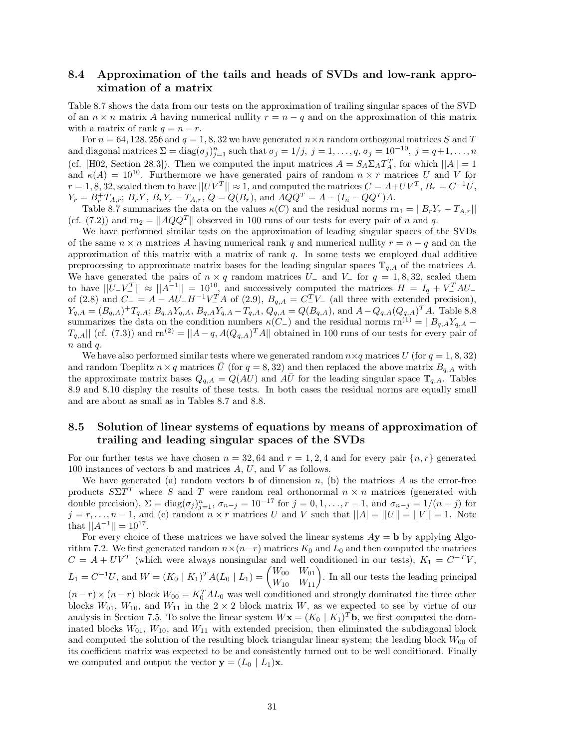## **8.4 Approximation of the tails and heads of SVDs and low-rank approximation of a matrix**

Table 8.7 shows the data from our tests on the approximation of trailing singular spaces of the SVD of an  $n \times n$  matrix A having numerical nullity  $r = n - q$  and on the approximation of this matrix with a matrix of rank  $q = n - r$ .

For  $n = 64, 128, 256$  and  $q = 1, 8, 32$  we have generated  $n \times n$  random orthogonal matrices *S* and *T* and diagonal matrices  $\Sigma = \text{diag}(\sigma_j)_{j=1}^n$  such that  $\sigma_j = 1/j$ ,  $j = 1, \ldots, q$ ,  $\sigma_j = 10^{-10}$ ,  $j = q+1, \ldots, n$ (cf. [H02, Section 28.3]). Then we computed the input matrices  $A = S_A \Sigma_A T_A^T$ , for which  $||A|| = 1$ and  $\kappa(A) = 10^{10}$ . Furthermore we have generated pairs of random  $n \times r$  matrices *U* and *V* for  $r = 1, 8, 32$ , scaled them to have  $||UV^T|| \approx 1$ , and computed the matrices  $C = A + UV^T$ ,  $B_r = C^{-1}U$ ,  $Y_r = B_r^+ T_{A,r}; B_r Y, B_r Y_r - T_{A,r}, Q = Q(B_r)$ , and  $A Q Q^T = A - (I_n - Q Q^T) A$ .

Table 8.7 summarizes the data on the values  $\kappa(C)$  and the residual norms rn<sub>1</sub> =  $||B_rY_r - T_{A,r}||$ (cf. (7.2)) and  $\text{rn}_2 = ||AQQ^T||$  observed in 100 runs of our tests for every pair of *n* and *q*.

We have performed similar tests on the approximation of leading singular spaces of the SVDs of the same  $n \times n$  matrices A having numerical rank q and numerical nullity  $r = n - q$  and on the approximation of this matrix with a matrix of rank *q*. In some tests we employed dual additive preprocessing to approximate matrix bases for the leading singular spaces  $\mathbb{T}_{q,A}$  of the matrices A. We have generated the pairs of  $n \times q$  random matrices  $U_{-}$  and  $V_{-}$  for  $q = 1, 8, 32$ , scaled them to have  $||U-V^T|| \approx ||A^{-1}|| = 10^{10}$ , and successively computed the matrices  $H = I_q + V^T A U_q$ of (2.8) and  $C = A - AU - H^{-1}V_{-}^{T}A$  of (2.9),  $B_{q,A} = C_{-}^{T}V_{-}$  (all three with extended precision),  $Y_{q,A} = (B_{q,A})^+ T_{q,A}; B_{q,A} Y_{q,A}, B_{q,A} Y_{q,A} - T_{q,A}, Q_{q,A} = Q(B_{q,A}),$  and  $A - Q_{q,A} (Q_{q,A})^T A$ . Table 8.8 summarizes the data on the condition numbers  $\kappa$ (*C*−) and the residual norms rn<sup>(1)</sup> =  $||B_{q,A}Y_{q,A} T_{q,A}$ || (cf. (7.3)) and rn<sup>(2)</sup> =  $||A-q, A(Q_{q,A})^T A||$  obtained in 100 runs of our tests for every pair of *n* and *q*.

We have also performed similar tests where we generated random  $n \times q$  matrices *U* (for  $q = 1, 8, 32$ ) and random Toeplitz  $n \times q$  matrices  $\bar{U}$  (for  $q = 8, 32$ ) and then replaced the above matrix  $B_{q,A}$  with the approximate matrix bases  $Q_{q,A} = Q(AU)$  and  $A\overline{U}$  for the leading singular space  $\mathbb{T}_{q,A}$ . Tables 8.9 and 8.10 display the results of these tests. In both cases the residual norms are equally small and are about as small as in Tables 8.7 and 8.8.

## **8.5 Solution of linear systems of equations by means of approximation of trailing and leading singular spaces of the SVDs**

For our further tests we have chosen  $n = 32,64$  and  $r = 1,2,4$  and for every pair  $\{n, r\}$  generated 100 instances of vectors **b** and matrices *A*, *U*, and *V* as follows.

We have generated (a) random vectors **b** of dimension  $n$ , (b) the matrices  $A$  as the error-free products  $S\Sigma T^T$  where *S* and *T* were random real orthonormal  $n \times n$  matrices (generated with double precision),  $\Sigma = \text{diag}(\sigma_j)_{j=1}^n$ ,  $\sigma_{n-j} = 10^{-17}$  for  $j = 0, 1, \ldots, r-1$ , and  $\sigma_{n-j} = 1/(n-j)$  for  $j = r, \ldots, n - 1$ , and (c) random  $n \times r$  matrices *U* and *V* such that  $||A| = ||U|| = ||V|| = 1$ . Note that  $||A^{-1}|| = 10^{17}$ .

For every choice of these matrices we have solved the linear systems  $Ay = b$  by applying Algorithm 7.2. We first generated random  $n \times (n-r)$  matrices  $K_0$  and  $L_0$  and then computed the matrices  $C = A + UV^T$  (which were always nonsingular and well conditioned in our tests),  $K_1 = C^{-T}V$ ,  $L_1 = C^{-1}U$ , and  $W = (K_0 | K_1)^\text{T} A(L_0 | L_1) = \begin{pmatrix} W_{00} & W_{01} \\ W_{10} & W_{11} \end{pmatrix}$ . In all our tests the leading principal  $(n-r) \times (n-r)$  block  $W_{00} = K_0^T A L_0$  was well conditioned and strongly dominated the three other blocks  $W_{01}$ ,  $W_{10}$ , and  $W_{11}$  in the 2 × 2 block matrix *W*, as we expected to see by virtue of our analysis in Section 7.5. To solve the linear system  $W\mathbf{x} = (K_0 | K_1)^T\mathbf{b}$ , we first computed the dominated blocks  $W_{01}$ ,  $W_{10}$ , and  $W_{11}$  with extended precision, then eliminated the subdiagonal block and computed the solution of the resulting block triangular linear system; the leading block  $W_{00}$  of its coefficient matrix was expected to be and consistently turned out to be well conditioned. Finally we computed and output the vector  $\mathbf{y} = (L_0 \mid L_1)\mathbf{x}$ .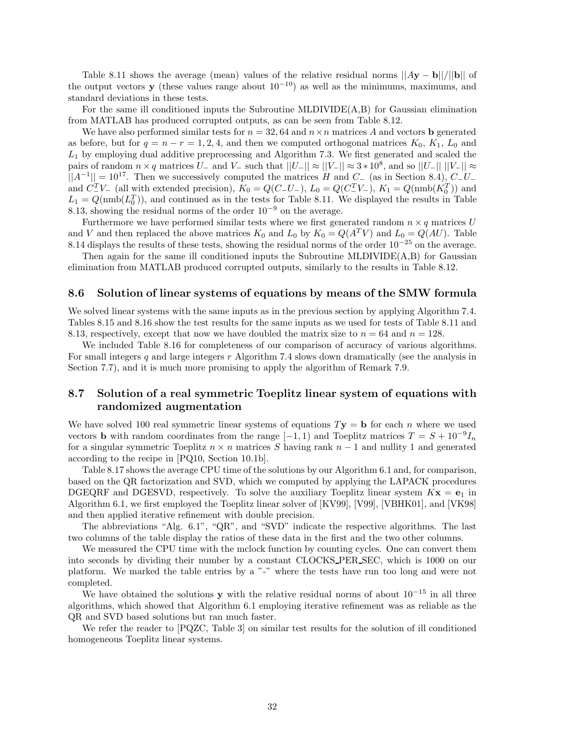Table 8.11 shows the average (mean) values of the relative residual norms  $||Ay - b||/||b||$  of the output vectors **y** (these values range about  $10^{-10}$ ) as well as the minimums, maximums, and standard deviations in these tests.

For the same ill conditioned inputs the Subroutine MLDIVIDE(A,B) for Gaussian elimination from MATLAB has produced corrupted outputs, as can be seen from Table 8.12.

We have also performed similar tests for  $n = 32, 64$  and  $n \times n$  matrices A and vectors **b** generated as before, but for  $q = n - r = 1, 2, 4$ , and then we computed orthogonal matrices  $K_0, K_1, L_0$  and *L*<sup>1</sup> by employing dual additive preprocessing and Algorithm 7.3. We first generated and scaled the pairs of random  $n \times q$  matrices  $U_{-}$  and  $V_{-}$  such that  $||U_{-}|| \approx ||V_{-}|| \approx 3 * 10^{8}$ , and so  $||U_{-}|| ||V_{-}|| \approx$  $||A^{-1}|| = 10^{17}$ . Then we successively computed the matrices *H* and *C*− (as in Section 8.4), *C*−*U*− and  $C_{-V-}^T$  (all with extended precision),  $K_0 = Q(C_{-}U_{-})$ ,  $L_0 = Q(C_{-}^T V_{-})$ ,  $K_1 = Q(\text{nmb}(K_0^T))$  and  $L_1 = Q(\text{nmb}(L_0^T))$ , and continued as in the tests for Table 8.11. We displayed the results in Table 8.13, showing the residual norms of the order  $10^{-9}$  on the average.

Furthermore we have performed similar tests where we first generated random  $n \times q$  matrices *U* and *V* and then replaced the above matrices  $K_0$  and  $L_0$  by  $K_0 = Q(A^T V)$  and  $L_0 = Q(AU)$ . Table 8.14 displays the results of these tests, showing the residual norms of the order  $10^{-25}$  on the average.

Then again for the same ill conditioned inputs the Subroutine MLDIVIDE(A,B) for Gaussian elimination from MATLAB produced corrupted outputs, similarly to the results in Table 8.12.

### **8.6 Solution of linear systems of equations by means of the SMW formula**

We solved linear systems with the same inputs as in the previous section by applying Algorithm 7.4. Tables 8.15 and 8.16 show the test results for the same inputs as we used for tests of Table 8.11 and 8.13, respectively, except that now we have doubled the matrix size to  $n = 64$  and  $n = 128$ .

We included Table 8.16 for completeness of our comparison of accuracy of various algorithms. For small integers *q* and large integers *r* Algorithm 7.4 slows down dramatically (see the analysis in Section 7.7), and it is much more promising to apply the algorithm of Remark 7.9.

## **8.7 Solution of a real symmetric Toeplitz linear system of equations with randomized augmentation**

We have solved 100 real symmetric linear systems of equations  $T$ **y** = **b** for each *n* where we used vectors **b** with random coordinates from the range  $[-1, 1)$  and Toeplitz matrices  $T = S + 10^{-9}I_n$ for a singular symmetric Toeplitz  $n \times n$  matrices *S* having rank  $n-1$  and nullity 1 and generated according to the recipe in [PQ10, Section 10.1b].

Table 8.17 shows the average CPU time of the solutions by our Algorithm 6.1 and, for comparison, based on the QR factorization and SVD, which we computed by applying the LAPACK procedures DGEQRF and DGESVD, respectively. To solve the auxiliary Toeplitz linear system  $Kx = e_1$  in Algorithm 6.1, we first employed the Toeplitz linear solver of [KV99], [V99], [VBHK01], and [VK98] and then applied iterative refinement with double precision.

The abbreviations "Alg. 6.1", "QR", and "SVD" indicate the respective algorithms. The last two columns of the table display the ratios of these data in the first and the two other columns.

We measured the CPU time with the mclock function by counting cycles. One can convert them into seconds by dividing their number by a constant CLOCKS PER SEC, which is 1000 on our platform. We marked the table entries by a "-" where the tests have run too long and were not completed.

We have obtained the solutions **y** with the relative residual norms of about  $10^{-15}$  in all three algorithms, which showed that Algorithm 6.1 employing iterative refinement was as reliable as the QR and SVD based solutions but ran much faster.

We refer the reader to [PQZC, Table 3] on similar test results for the solution of ill conditioned homogeneous Toeplitz linear systems.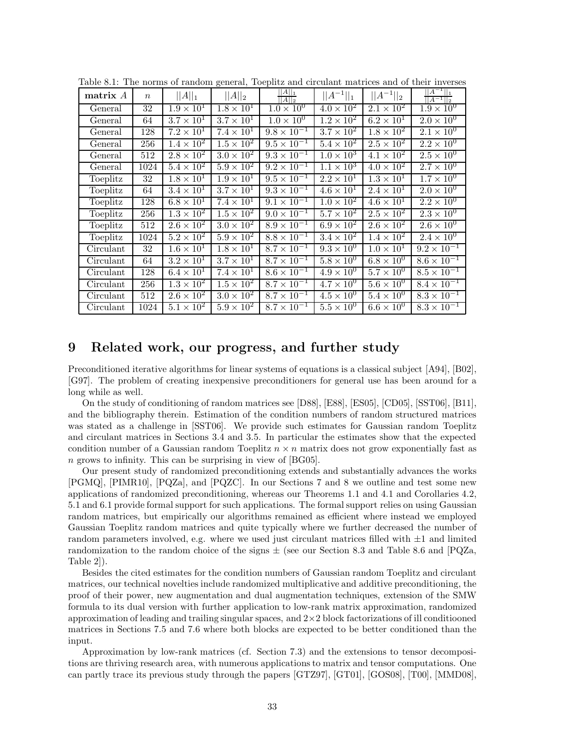| matrix A              | $\boldsymbol{n}$ | $  A  _1$           | $  A  _2$           | $\frac{  A  _1}{  A  _2}$ | $  A^{-1}  _1$               | $  A^{-1}  _2$      | $  A^{-1}  _1$<br>$  A^{-1}  _2$ |
|-----------------------|------------------|---------------------|---------------------|---------------------------|------------------------------|---------------------|----------------------------------|
| General               | 32               | $1.9 \times 10^{1}$ | $1.8 \times 10^{1}$ | $1.0 \times 10^{0}$       | $4.0 \times 10^2$            | $2.1 \times 10^{2}$ | $1.9 \times 10^{0}$              |
| General               | 64               | $3.7 \times 10^1$   | $3.7 \times 10^{1}$ | $1.0 \times 10^{0}$       | $\overline{1.2 \times 10^2}$ | $6.2 \times 10^{1}$ | $2.0 \times 10^{0}$              |
| General               | 128              | $7.2 \times 10^{1}$ | $7.4 \times 10^{1}$ | $9.8 \times 10^{-1}$      | $3.7 \times 10^2$            | $1.8 \times 10^2$   | $2.1 \times 10^{0}$              |
| General               | 256              | $1.4 \times 10^2$   | $1.5 \times 10^{2}$ | $9.5 \times 10^{-1}$      | $5.4 \times 10^{2}$          | $2.5 \times 10^{2}$ | $2.2 \times 10^{0}$              |
| General               | 512              | $2.8 \times 10^{2}$ | $3.0 \times 10^2$   | $9.3 \times 10^{-1}$      | $1.0 \times 10^{3}$          | $4.1 \times 10^{2}$ | $2.5 \times 10^{0}$              |
| General               | 1024             | $5.4 \times 10^{2}$ | $5.9 \times 10^{2}$ | $9.2 \times 10^{-1}$      | $1.1 \times 10^{3}$          | $4.0 \times 10^{2}$ | $2.7 \times 10^{0}$              |
| Toeplitz              | 32               | $1.8 \times 10^{1}$ | $1.9 \times 10^{1}$ | $9.5 \times 10^{-1}$      | $2.2 \times 10^1$            | $1.3 \times 10^{1}$ | $1.7 \times 10^{0}$              |
| $Toeplit\overline{z}$ | 64               | $3.4 \times 10^{1}$ | $3.7 \times 10^{1}$ | $9.3 \times 10^{-1}$      | $4.6 \times 10^{1}$          | $2.4 \times 10^{1}$ | $2.0 \times 10^{0}$              |
| Toeplitz              | 128              | $6.8 \times 10^1$   | $7.4 \times 10^{1}$ | $9.1 \times 10^{-1}$      | $1.0 \times 10^{2}$          | $4.6 \times 10^{1}$ | $2.2 \times 10^{0}$              |
| Toeplitz              | 256              | $1.3 \times 10^2$   | $1.5 \times 10^2$   | $9.0 \times 10^{-1}$      | $5.7 \times 10^2$            | $2.5 \times 10^{2}$ | $2.3 \times 10^{0}$              |
| Toeplitz              | 512              | $2.6 \times 10^2$   | $3.0 \times 10^2$   | $8.9 \times 10^{-1}$      | $6.9 \times 10^2$            | $2.6 \times 10^2$   | $2.6 \times 10^{0}$              |
| Toeplitz              | 1024             | $5.2 \times 10^2$   | $5.9 \times 10^2$   | $8.8 \times 10^{-1}$      | $3.4 \times 10^2$            | $1.4 \times 10^{2}$ | $2.4 \times 10^{0}$              |
| Circulant             | 32               | $1.6 \times 10^{1}$ | $1.8 \times 10^{1}$ | $8.7 \times 10^{-1}$      | $9.3 \times 10^{0}$          | $1.0 \times 10^{1}$ | $9.2 \times 10^{-1}$             |
| Circulant             | 64               | $3.2 \times 10^{1}$ | $3.7 \times 10^{1}$ | $8.7 \times 10^{-1}$      | $5.8 \times 10^{0}$          | $6.8 \times 10^{0}$ | $8.6 \times 10^{-1}$             |
| Circulant             | 128              | $6.4 \times 10^1$   | $7.4 \times 10^{1}$ | $8.6 \times 10^{-1}$      | $4.9 \times 10^{0}$          | $5.7 \times 10^{0}$ | $8.5 \times 10^{-1}$             |
| Circulant             | 256              | $1.3 \times 10^2$   | $1.5 \times 10^2$   | $8.7 \times 10^{-1}$      | $4.7 \times 10^{0}$          | $5.6 \times 10^{0}$ | $8.4 \times 10^{-1}$             |
| Circulant             | 512              | $2.6 \times 10^2$   | $3.0 \times 10^2$   | $8.7 \times 10^{-1}$      | $4.5 \times 10^{0}$          | $5.4 \times 10^{0}$ | $8.3 \times 10^{-1}$             |
| Circulant             | 1024             | $5.1 \times 10^2$   | $5.9 \times 10^{2}$ | $8.7 \times 10^{-1}$      | $5.5 \times 10^{0}$          | $6.6 \times 10^{0}$ | $8.3 \times 10^{-1}$             |

Table 8.1: The norms of random general, Toeplitz and circulant matrices and of their inverses

## **9 Related work, our progress, and further study**

Preconditioned iterative algorithms for linear systems of equations is a classical subject [A94], [B02], [G97]. The problem of creating inexpensive preconditioners for general use has been around for a long while as well.

On the study of conditioning of random matrices see [D88], [E88], [ES05], [CD05], [SST06], [B11], and the bibliography therein. Estimation of the condition numbers of random structured matrices was stated as a challenge in [SST06]. We provide such estimates for Gaussian random Toeplitz and circulant matrices in Sections 3.4 and 3.5. In particular the estimates show that the expected condition number of a Gaussian random Toeplitz  $n \times n$  matrix does not grow exponentially fast as *n* grows to infinity. This can be surprising in view of [BG05].

Our present study of randomized preconditioning extends and substantially advances the works [PGMQ], [PIMR10], [PQZa], and [PQZC]. In our Sections 7 and 8 we outline and test some new applications of randomized preconditioning, whereas our Theorems 1.1 and 4.1 and Corollaries 4.2, 5.1 and 6.1 provide formal support for such applications. The formal support relies on using Gaussian random matrices, but empirically our algorithms remained as efficient where instead we employed Gaussian Toeplitz random matrices and quite typically where we further decreased the number of random parameters involved, e.g. where we used just circulant matrices filled with  $\pm 1$  and limited randomization to the random choice of the signs  $\pm$  (see our Section 8.3 and Table 8.6 and [PQZa, Table 2]).

Besides the cited estimates for the condition numbers of Gaussian random Toeplitz and circulant matrices, our technical novelties include randomized multiplicative and additive preconditioning, the proof of their power, new augmentation and dual augmentation techniques, extension of the SMW formula to its dual version with further application to low-rank matrix approximation, randomized approximation of leading and trailing singular spaces, and  $2\times 2$  block factorizations of ill conditiooned matrices in Sections 7.5 and 7.6 where both blocks are expected to be better conditioned than the input.

Approximation by low-rank matrices (cf. Section 7.3) and the extensions to tensor decompositions are thriving research area, with numerous applications to matrix and tensor computations. One can partly trace its previous study through the papers [GTZ97], [GT01], [GOS08], [T00], [MMD08],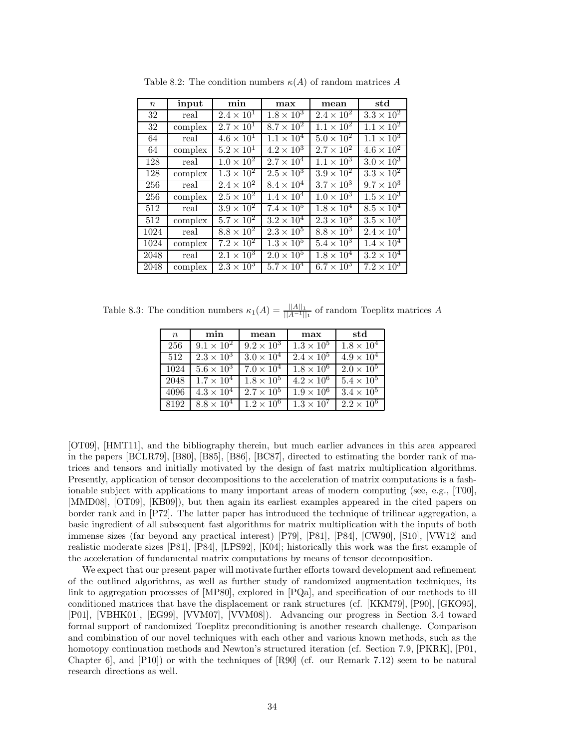| $\boldsymbol{n}$ | input   | min                 | max                 | mean                | std                 |
|------------------|---------|---------------------|---------------------|---------------------|---------------------|
| 32               | real    | $2.4 \times 10^{1}$ | $1.8 \times 10^{3}$ | $2.4 \times 10^{2}$ | $3.3 \times 10^2$   |
| 32               | complex | $2.7 \times 10^{1}$ | $8.7 \times 10^{2}$ | $1.1 \times 10^{2}$ | $1.1 \times 10^{2}$ |
| 64               | real    | $4.6 \times 10^{1}$ | $1.1 \times 10^{4}$ | $5.0 \times 10^2$   | $1.1 \times 10^{3}$ |
| 64               | complex | $5.2 \times 10^{1}$ | $4.2 \times 10^3$   | $2.7 \times 10^{2}$ | $4.6 \times 10^2$   |
| 128              | real    | $1.0 \times 10^{2}$ | $2.7 \times 10^{4}$ | $1.1 \times 10^{3}$ | $3.0 \times 10^{3}$ |
| 128              | complex | $1.3 \times 10^{2}$ | $2.5 \times 10^{3}$ | $3.9 \times 10^{2}$ | $3.3 \times 10^2$   |
| 256              | real    | $2.4 \times 10^{2}$ | $8.4 \times 10^{4}$ | $3.7 \times 10^3$   | $9.7 \times 10^{3}$ |
| 256              | complex | $2.5 \times 10^2$   | $1.4 \times 10^{4}$ | $1.0 \times 10^3$   | $1.5 \times 10^3$   |
| 512              | real    | $3.9 \times 10^{2}$ | $7.4 \times 10^5$   | $1.8 \times 10^{4}$ | $8.5 \times 10^4$   |
| 512              | complex | $5.7 \times 10^2$   | $3.2 \times 10^{4}$ | $2.3 \times 10^3$   | $3.5 \times 10^3$   |
| 1024             | real    | $8.8 \times 10^2$   | $2.3 \times 10^5$   | $8.8 \times 10^3$   | $2.4 \times 10^{4}$ |
| 1024             | complex | $7.2 \times 10^2$   | $1.3 \times 10^{5}$ | $5.4 \times 10^{3}$ | $1.4 \times 10^{4}$ |
| 2048             | real    | $2.1 \times 10^{3}$ | $2.0 \times 10^5$   | $1.8 \times 10^4$   | $3.2 \times 10^{4}$ |
| 2048             | complex | $2.3 \times 10^3$   | $5.7 \times 10^{4}$ | $6.7 \times 10^3$   | $7.2 \times 10^{3}$ |

Table 8.2: The condition numbers  $\kappa(A)$  of random matrices A

Table 8.3: The condition numbers  $\kappa_1(A) = \frac{||A||_1}{||A^{-1}||_1}$  of random Toeplitz matrices A

| $\boldsymbol{n}$ | min                 | mean                | max                 | std                 |
|------------------|---------------------|---------------------|---------------------|---------------------|
| 256              | $9.1 \times 10^{2}$ | $9.2 \times 10^{3}$ | $1.3 \times 10^5$   | $1.8 \times 10^{4}$ |
| 512              | $2.3 \times 10^{3}$ | $3.0 \times 10^{4}$ | $2.4 \times 10^{5}$ | $4.9 \times 10^{4}$ |
| 1024             | $5.6 \times 10^3$   | $7.0 \times 10^{4}$ | $1.8 \times 10^{6}$ | $2.0 \times 10^{5}$ |
| 2048             | $1.7 \times 10^{4}$ | $1.8 \times 10^5$   | $4.2 \times 10^{6}$ | $5.4 \times 10^5$   |
| 4096             | $4.3 \times 10^4$   | $2.7 \times 10^{5}$ | $1.9 \times 10^{6}$ | $3.4 \times 10^{5}$ |
| 8192             | $8.8 \times 10^4$   | $1.2 \times 10^6$   | $1.3 \times 10^7$   | $2.2 \times 10^6$   |

[OT09], [HMT11], and the bibliography therein, but much earlier advances in this area appeared in the papers [BCLR79], [B80], [B85], [B86], [BC87], directed to estimating the border rank of matrices and tensors and initially motivated by the design of fast matrix multiplication algorithms. Presently, application of tensor decompositions to the acceleration of matrix computations is a fashionable subject with applications to many important areas of modern computing (see, e.g., [T00], [MMD08], [OT09], [KB09]), but then again its earliest examples appeared in the cited papers on border rank and in [P72]. The latter paper has introduced the technique of trilinear aggregation, a basic ingredient of all subsequent fast algorithms for matrix multiplication with the inputs of both immense sizes (far beyond any practical interest) [P79], [P81], [P84], [CW90], [S10], [VW12] and realistic moderate sizes [P81], [P84], [LPS92], [K04]; historically this work was the first example of the acceleration of fundamental matrix computations by means of tensor decomposition.

We expect that our present paper will motivate further efforts toward development and refinement of the outlined algorithms, as well as further study of randomized augmentation techniques, its link to aggregation processes of [MP80], explored in [PQa], and specification of our methods to ill conditioned matrices that have the displacement or rank structures (cf. [KKM79], [P90], [GKO95], [P01], [VBHK01], [EG99], [VVM07], [VVM08]). Advancing our progress in Section 3.4 toward formal support of randomized Toeplitz preconditioning is another research challenge. Comparison and combination of our novel techniques with each other and various known methods, such as the homotopy continuation methods and Newton's structured iteration (cf. Section 7.9, [PKRK], [P01, Chapter 6], and [P10]) or with the techniques of [R90] (cf. our Remark 7.12) seem to be natural research directions as well.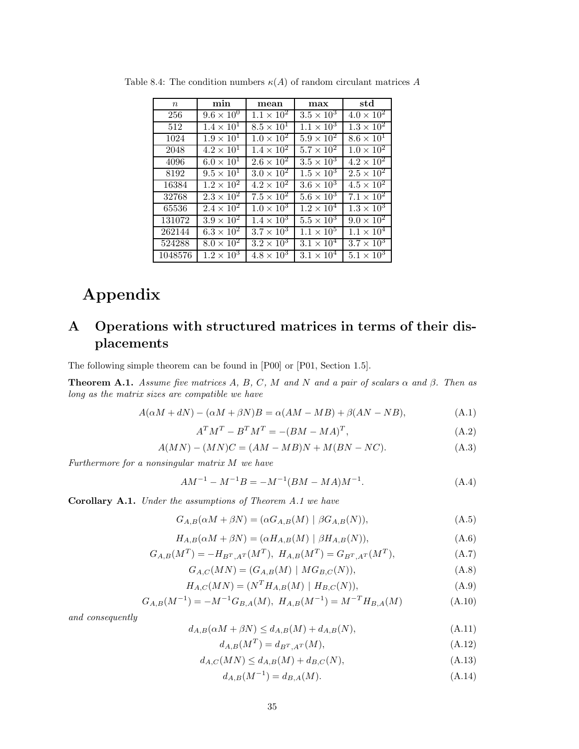| $\, n$  | min                 | mean                         | max                        | std                 |
|---------|---------------------|------------------------------|----------------------------|---------------------|
| 256     | $9.6 \times 10^{0}$ | $1.1 \times 10^{2}$          | $3.5 \times 10^3$          | $4.0 \times 10^{2}$ |
| 512     | $1.4 \times 10^{1}$ | $8.5 \times 10^{1}$          | $1.1 \times 10^{3}$        | $1.3 \times 10^2$   |
| 1024    | $1.9 \times 10^{1}$ | $1.0 \times 10^{2}$          | $5.9 \times 10^{2}$        | $8.6 \times 10^{1}$ |
| 2048    | $4.2 \times 10^{1}$ | $1.4 \times 10^{2}$          | $5.7 \times 10^{2}$        | $1.0 \times 10^{2}$ |
| 4096    | $6.0 \times 10^{1}$ | $2.6 \times 10^2$            | $3.5 \times 10^3$          | $4.2 \times 10^2$   |
| 8192    | $9.5 \times 10^{1}$ | $3.0 \times 10^{2}$          | $1.5 \times 10^{3}$        | $2.5 \times 10^2$   |
| 16384   | $1.2 \times 10^{2}$ | $4.2 \times \overline{10^2}$ | $3.6 \times 10^{3}$        | $4.5 \times 10^{2}$ |
| 32768   | $2.3 \times 10^{2}$ | $7.5 \times 10^{2}$          | $5.6 \times 10^{3}$        | $7.1 \times 10^{2}$ |
| 65536   | $2.4 \times 10^{2}$ | $1.0 \times 10^3$            | $1.2 \times 10^{4}$        | $1.3 \times 10^3$   |
| 131072  | $3.9 \times 10^2$   | $1.4 \times 10^3$            | $5.5 \times 10^{3}$        | $9.0 \times 10^{2}$ |
| 262144  | $6.3 \times 10^{2}$ | $3.7 \times 10^3$            | $1.1 \times 10^{5}$        | $1.1 \times 10^{4}$ |
| 524288  | $8.0 \times 10^{2}$ | $3.2 \times 10^3$            | $3.\overline{1\times10^4}$ | $3.7 \times 10^3$   |
| 1048576 | $1.2 \times 10^{3}$ | $4.8 \times 10^3$            | $3.\overline{1\times10^4}$ | $5.1 \times 10^{3}$ |

Table 8.4: The condition numbers  $\kappa(A)$  of random circulant matrices A

# **Appendix**

## **A Operations with structured matrices in terms of their displacements**

The following simple theorem can be found in [P00] or [P01, Section 1.5].

**Theorem A.1.** *Assume five matrices A, B, C, M and N and a pair of scalars*  $\alpha$  *and*  $\beta$ *. Then as long as the matrix sizes are compatible we have*

$$
A(\alpha M + dN) - (\alpha M + \beta N)B = \alpha (AM - MB) + \beta (AN - NB), \tag{A.1}
$$

$$
A^T M^T - B^T M^T = -(BM - MA)^T,\tag{A.2}
$$

$$
A(MN) - (MN)C = (AM - MB)N + M(BN - NC). \tag{A.3}
$$

*Furthermore for a nonsingular matrix M we have*

$$
AM^{-1} - M^{-1}B = -M^{-1}(BM - MA)M^{-1}.
$$
\n(A.4)

**Corollary A.1.** *Under the assumptions of Theorem A.1 we have*

$$
G_{A,B}(\alpha M + \beta N) = (\alpha G_{A,B}(M) | \beta G_{A,B}(N)),
$$
\n(A.5)

$$
H_{A,B}(\alpha M + \beta N) = (\alpha H_{A,B}(M) \mid \beta H_{A,B}(N)),\tag{A.6}
$$

$$
G_{A,B}(M^T) = -H_{B^T,A^T}(M^T), H_{A,B}(M^T) = G_{B^T,A^T}(M^T),
$$
\n(A.7)

$$
G_{A,C}(MN) = (G_{A,B}(M) | MG_{B,C}(N)),
$$
\n(A.8)

$$
H_{A,C}(MN) = (N^T H_{A,B}(M) | H_{B,C}(N)),
$$
\n(A.9)

$$
G_{A,B}(M^{-1}) = -M^{-1}G_{B,A}(M), H_{A,B}(M^{-1}) = M^{-T}H_{B,A}(M)
$$
\n(A.10)

*and consequently*

$$
d_{A,B}(\alpha M + \beta N) \le d_{A,B}(M) + d_{A,B}(N),\tag{A.11}
$$

$$
d_{A,B}(M^T) = d_{B^T,A^T}(M),
$$
\n(A.12)

$$
d_{A,C}(MN) \le d_{A,B}(M) + d_{B,C}(N),\tag{A.13}
$$

$$
d_{A,B}(M^{-1}) = d_{B,A}(M). \tag{A.14}
$$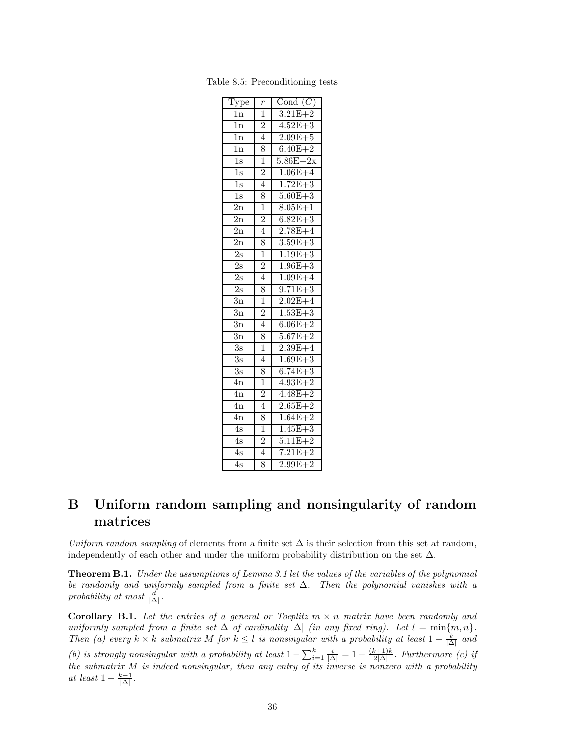| $\overline{\text{Type}}$ | $\boldsymbol{r}$ | Cond $(C)$  |
|--------------------------|------------------|-------------|
| 1n                       | $\overline{1}$   | $3.21E + 2$ |
| $\overline{1n}$          | $\frac{2}{4}$    | $4.52E + 3$ |
| $\overline{1n}$          |                  | $2.09E + 5$ |
| $\overline{1n}$          | 8                | $6.40E + 2$ |
| $\overline{1s}$          | $\overline{1}$   | $5.86E+2x$  |
| $\overline{1s}$          | $\overline{2}$   | $1.06E + 4$ |
| $\overline{1s}$          | $\overline{4}$   | $1.72E + 3$ |
| $\overline{1s}$          | 8                | $5.60E + 3$ |
| $\overline{2n}$          | $\overline{1}$   | $8.05E + 1$ |
| $\overline{2n}$          | $\overline{2}$   | $6.82E + 3$ |
| $\overline{2n}$          | $\overline{4}$   | $2.78E + 4$ |
| $\overline{2n}$          | 8                | $3.59E + 3$ |
| $\overline{2s}$          | $\overline{1}$   | $1.19E + 3$ |
| 2s                       | $\overline{2}$   | $1.96E + 3$ |
| $\overline{2s}$          | $\overline{4}$   | $1.09E + 4$ |
| 2s                       | 8                | $9.71E + 3$ |
| $\overline{3n}$          | $\overline{1}$   | $2.02E + 4$ |
| $\overline{3n}$          | $\overline{2}$   | $1.53E + 3$ |
| $\overline{3n}$          | $\overline{4}$   | $6.06E + 2$ |
| $\overline{3n}$          | 8                | $5.67E + 2$ |
| $\overline{3s}$          | $\overline{1}$   | $2.39E + 4$ |
| 3s                       | $\overline{4}$   | $1.69E + 3$ |
| $\overline{3s}$          | 8                | $6.74E + 3$ |
| $\overline{4n}$          | $\overline{1}$   | $4.93E + 2$ |
| $\overline{4n}$          | $\overline{2}$   | $4.48E + 2$ |
| $\overline{4n}$          | $\overline{4}$   | $2.65E + 2$ |
| $\overline{4n}$          | 8                | $1.64E + 2$ |
| 4s                       | $\overline{1}$   | $1.45E + 3$ |
| 4s                       | $\frac{2}{4}$    | $5.11E + 2$ |
| $\overline{4s}$          |                  | $7.21E + 2$ |
| 4s                       | 8                | $2.99E + 2$ |

Table 8.5: Preconditioning tests

## **B Uniform random sampling and nonsingularity of random matrices**

*Uniform random sampling* of elements from a finite set  $\Delta$  is their selection from this set at random, independently of each other and under the uniform probability distribution on the set  $\Delta$ .

**Theorem B.1.** *Under the assumptions of Lemma 3.1 let the values of the variables of the polynomial be randomly and uniformly sampled from a finite set* ∆*. Then the polynomial vanishes with a*  $\text{probability at most } \frac{d}{|\Delta|}.$ 

**Corollary B.1.** Let the entries of a general or Toeplitz  $m \times n$  matrix have been randomly and *uniformly sampled from a finite set*  $\Delta$  *of cardinality*  $|\Delta|$  *(in any fixed ring). Let*  $l = \min\{m, n\}$ *. Then* (a) every  $k \times k$  *submatrix*  $M$  *for*  $k \leq l$  *is nonsingular with a probability at least*  $1 - \frac{k}{|\Delta|}$  *and (b) is strongly nonsingular with a probability at least*  $1 - \sum_{i=1}^{k} \frac{i}{|\Delta|} = 1 - \frac{(k+1)k}{2|\Delta|}$ . Furthermore *(c) if the submatrix M is indeed nonsingular, then any entry of its inverse is nonzero with a probability at least*  $1 - \frac{k-1}{|\Delta|}$ .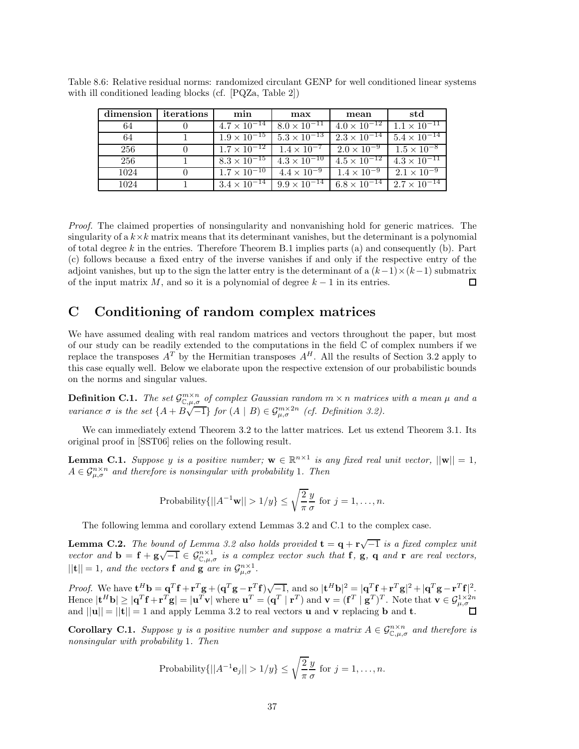| dimension | iterations | min | max                                                                                        | mean                  | std                              |
|-----------|------------|-----|--------------------------------------------------------------------------------------------|-----------------------|----------------------------------|
| 64        |            |     | $4.7 \times 10^{-14}$   $8.0 \times 10^{-11}$                                              | $4.0 \times 10^{-12}$ | $1.1 \times 10^{-11}$            |
| 64        |            |     | $1.9 \times 10^{-15}$ $5.3 \times 10^{-13}$                                                | $2.3 \times 10^{-14}$ | $5.4 \times \overline{10^{-14}}$ |
| 256       |            |     | $1.7 \times 10^{-12}$   $1.4 \times 10^{-7}$   $2.0 \times 10^{-9}$   $1.5 \times 10^{-8}$ |                       |                                  |
| 256       |            |     | $8.3 \times 10^{-15}$ $4.3 \times 10^{-10}$ $4.5 \times 10^{-12}$                          |                       | $4.3 \times 10^{-11}$            |
| 1024      |            |     | $1.7 \times 10^{-10}$   $4.4 \times 10^{-9}$   $1.4 \times 10^{-9}$   $2.1 \times 10^{-9}$ |                       |                                  |
| 1024      |            |     | $3.4 \times 10^{-14}$ $9.9 \times 10^{-14}$ 6.8 $\times 10^{-14}$ 2.7 $\times 10^{-14}$    |                       |                                  |

Table 8.6: Relative residual norms: randomized circulant GENP for well conditioned linear systems with ill conditioned leading blocks (cf. [PQZa, Table 2])

*Proof.* The claimed properties of nonsingularity and nonvanishing hold for generic matrices. The singularity of a  $k \times k$  matrix means that its determinant vanishes, but the determinant is a polynomial of total degree *k* in the entries. Therefore Theorem B.1 implies parts (a) and consequently (b). Part (c) follows because a fixed entry of the inverse vanishes if and only if the respective entry of the adjoint vanishes, but up to the sign the latter entry is the determinant of a  $(k-1)\times(k-1)$  submatrix of the input matrix *M*, and so it is a polynomial of degree  $k - 1$  in its entries. 口

## **C Conditioning of random complex matrices**

We have assumed dealing with real random matrices and vectors throughout the paper, but most of our study can be readily extended to the computations in the field  $\mathbb C$  of complex numbers if we replace the transposes  $A<sup>T</sup>$  by the Hermitian transposes  $A<sup>H</sup>$ . All the results of Section 3.2 apply to this case equally well. Below we elaborate upon the respective extension of our probabilistic bounds on the norms and singular values.

**Definition C.1.** The set  $\mathcal{G}_{\mathbb{C},\mu,\sigma}^{m\times n}$  of complex Gaussian random  $m \times n$  matrices with a mean  $\mu$  and a variance  $\sigma$  is the set  $\{A + B\sqrt{-1}\}$  for  $(A \mid B) \in \mathcal{G}_{\mu,\sigma}^{m\times 2n}$  (cf. Definition 3.2).

We can immediately extend Theorem 3.2 to the latter matrices. Let us extend Theorem 3.1. Its original proof in [SST06] relies on the following result.

**Lemma C.1.** *Suppose y is a positive number;*  $\mathbf{w} \in \mathbb{R}^{n \times 1}$  *is any fixed real unit vector,*  $||\mathbf{w}|| = 1$ *,*  $A \in \mathcal{G}_{\mu,\sigma}^{n \times n}$  *and therefore is nonsingular with probability* 1*. Then* 

Probability
$$
\{||A^{-1}\mathbf{w}|| > 1/y\} \le \sqrt{\frac{2}{\pi}} \frac{y}{\sigma}
$$
 for  $j = 1, ..., n$ .

The following lemma and corollary extend Lemmas 3.2 and C.1 to the complex case.

**Lemma C.2.** *The bound of Lemma 3.2 also holds provided*  $\mathbf{t} = \mathbf{q} + \mathbf{r} \sqrt{-1}$  *is a fixed complex unit vector and*  $\mathbf{b} = \mathbf{f} + \mathbf{g}\sqrt{-1} \in \mathcal{G}_{\mathbb{C},\mu,\sigma}^{n\times1}$  *is a complex vector such that* **f**, **g**, **q** *and* **r** *are real vectors,*  $||{\bf t}|| = 1$ *, and the vectors* **f** *and* **g** *are in*  $\mathcal{G}_{\mu,\sigma}^{n\times1}$ .

*Proof.* We have  $\mathbf{t}^H \mathbf{b} = \mathbf{q}^T \mathbf{f} + \mathbf{r}^T \mathbf{g} + (\mathbf{q}^T \mathbf{g} - \mathbf{r}^T \mathbf{f}) \sqrt{-1}$ , and so  $|\mathbf{t}^H \mathbf{b}|^2 = |\mathbf{q}^T \mathbf{f} + \mathbf{r}^T \mathbf{g}|^2 + |\mathbf{q}^T \mathbf{g} - \mathbf{r}^T \mathbf{f}|^2$ . Hence  $|\mathbf{t}^H \mathbf{b}| \geq |\mathbf{q}^T \mathbf{f} + \mathbf{r}^T \mathbf{g}| = |\mathbf{u}^T \mathbf{v}| \text{ where } \mathbf{u}^T = (\mathbf{q}^T \mid \mathbf{r}^T) \text{ and } \mathbf{v} = (\mathbf{f}^T \mid \mathbf{g}^T)^T.$  Note that  $\mathbf{v} \in \mathcal{G}_{\mu, \sigma}^{1 \times 2n}$ and  $||\mathbf{u}|| = ||\mathbf{t}|| = 1$  and apply Lemma 3.2 to real vectors **u** and **v** replacing **b** and **t**.

**Corollary C.1.** *Suppose y is a positive number and suppose a matrix*  $A \in \mathcal{G}_{\mathbb{C},\mu,\sigma}^{n \times n}$  *and therefore is nonsingular with probability* 1*. Then*

Probability
$$
\{||A^{-1}\mathbf{e}_j|| > 1/y\} \le \sqrt{\frac{2}{\pi}} \frac{y}{\sigma}
$$
 for  $j = 1, ..., n$ .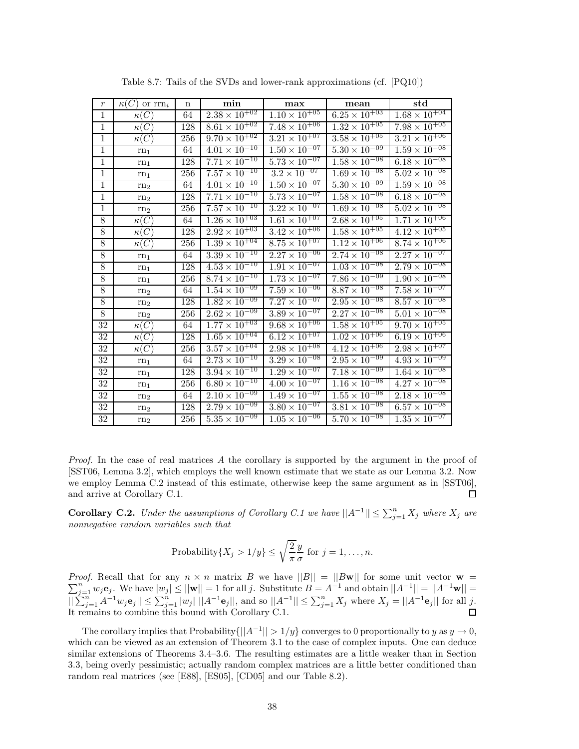| $\,r\,$        | $\kappa(C)$ or $\text{rrn}_i$ | $\mathbf n$ | min                               | max                               | mean                              | std                               |
|----------------|-------------------------------|-------------|-----------------------------------|-----------------------------------|-----------------------------------|-----------------------------------|
| $\overline{1}$ | $\kappa(C)$                   | 64          | $2.38 \times 10^{+02}$            | $1.10 \times 10^{+05}$            | $6.25 \times 10^{+03}$            | $1.68 \times 10^{+04}$            |
| $\mathbf{1}$   | $\kappa(C)$                   | 128         | $8.61 \times 10^{+02}$            | $7.48 \times 10^{+06}$            | $1.32 \times 10^{+05}$            | $7.\overline{98 \times 10^{+05}}$ |
| $\mathbf{1}$   | $\kappa(C)$                   | 256         | $9.70 \times 10^{+02}$            | $3.21 \times 10^{+07}$            | $3.58 \times 10^{+05}$            | $3.21 \times 10^{+06}$            |
| $\,1$          | $rn_1$                        | 64          | $4.01 \times 10^{-10}$            | $1.50 \times 10^{-07}$            | $5.\overline{30 \times 10^{-09}}$ | $1.59 \times 10^{-08}$            |
| $\mathbf{1}$   | rn <sub>1</sub>               | 128         | $7.71 \times 10^{-10}$            | $5.73 \times 10^{-07}$            | $1.58 \times 10^{-08}$            | $6.\overline{18 \times 10^{-08}}$ |
| 1              | rn <sub>1</sub>               | 256         | $7.57 \times 10^{-10}$            | $3.2 \times 10^{-07}$             | $1.69 \times 10^{-08}$            | $5.02 \times 10^{-08}$            |
| $\,1$          | rn <sub>2</sub>               | 64          | $4.01 \times 10^{-10}$            | $1.50 \times 10^{-07}$            | $5.30 \times 10^{-09}$            | $1.59 \times 10^{-08}$            |
| $\mathbf{1}$   | rn <sub>2</sub>               | 128         | $7.71 \times 10^{-10}$            | $5.73 \times 10^{-07}$            | $1.\overline{58 \times 10^{-08}}$ | $6.18 \times 10^{-08}$            |
| $\mathbf{1}$   | rn <sub>2</sub>               | 256         | $7.57 \times 10^{-10}$            | $3.22 \times 10^{-07}$            | $1.69 \times 10^{-08}$            | $5.02 \times 10^{-08}$            |
| $8\,$          | $\kappa(C)$                   | 64          | $1.26 \times 10^{+03}$            | $1.61 \times 10^{+07}$            | $2.68 \times 10^{+05}$            | $1.71 \times 10^{+06}$            |
| $\overline{8}$ | $\kappa(C)$                   | 128         | $2.92 \times 10^{+03}$            | $3.\overline{42 \times 10^{+06}}$ | $1.\overline{58 \times 10^{+05}}$ | $4.12 \times 10^{+05}$            |
| 8              | $\kappa(C)$                   | 256         | $1.39 \times 10^{+04}$            | $8.75 \times 10^{+07}$            | $1.12 \times 10^{+06}$            | $8.74 \times 10^{+06}$            |
| 8              | $rn_1$                        | 64          | $3.\overline{39} \times 10^{-10}$ | $2.27 \times 10^{-06}$            | $2.74 \times 10^{-08}$            | $2.27 \times 10^{-07}$            |
| 8              | $rn_1$                        | 128         | $4.53 \times 10^{-10}$            | $1.91 \times 10^{-07}$            | $1.03 \times 10^{-08}$            | $2.79 \times 10^{-08}$            |
| $\overline{8}$ | $rn_1$                        | 256         | $8.\overline{74 \times 10^{-10}}$ | $1.73 \times 10^{-07}$            | $7.\overline{86 \times 10^{-09}}$ | $1.90 \times 10^{-08}$            |
| 8              | rn <sub>2</sub>               | 64          | $1.54 \times 10^{-09}$            | $7.59 \times 10^{-06}$            | $8.87 \times 10^{-08}$            | $7.58 \times 10^{-07}$            |
| 8              | rn <sub>2</sub>               | 128         | $1.82 \times 10^{-09}$            | $7.27 \times 10^{-07}$            | $2.95 \times 10^{-08}$            | $8.57 \times 10^{-08}$            |
| $\overline{8}$ | rn <sub>2</sub>               | 256         | $2.62 \times 10^{-09}$            | $3.89 \times 10^{-07}$            | $2.27 \times 10^{-08}$            | $5.01 \times 10^{-08}$            |
| $32\,$         | $\kappa(C)$                   | 64          | $1.77 \times 10^{+03}$            | $9.68 \times 10^{+06}$            | $1.58 \times 10^{+05}$            | $9.70 \times 10^{+05}$            |
| 32             | $\kappa(C)$                   | 128         | $1.\overline{65 \times 10^{+04}}$ | $6.12 \times 10^{+07}$            | $1.\overline{02 \times 10^{+06}}$ | $6.19 \times 10^{+06}$            |
| $32\,$         | $\kappa(C)$                   | 256         | $3.57 \times 10^{+04}$            | $2.98 \times 10^{+08}$            | $4.12 \times 10^{+06}$            | $2.98 \times 10^{+07}$            |
| 32             | rn <sub>1</sub>               | 64          | $2.73 \times 10^{-10}$            | $3.29 \times 10^{-08}$            | $2.95 \times 10^{-09}$            | $4.93 \times 10^{-09}$            |
| 32             | $rn_1$                        | 128         | $3.94 \times 10^{-10}$            | $1.29 \times 10^{-07}$            | $7.\overline{18 \times 10^{-09}}$ | $1.64 \times 10^{-08}$            |
| 32             | rn <sub>1</sub>               | 256         | $6.\overline{80 \times 10^{-10}}$ | $4.00 \times 10^{-07}$            | $1.\overline{16 \times 10^{-08}}$ | $4.27 \times 10^{-08}$            |
| 32             | rn <sub>2</sub>               | 64          | $2.10 \times 10^{-09}$            | $1.49 \times 10^{-07}$            | $1.55 \times 10^{-08}$            | $2.18 \times 10^{-08}$            |
| 32             | rn <sub>2</sub>               | 128         | $2.79 \times 10^{-09}$            | $3.80 \times 10^{-07}$            | $3.\overline{81 \times 10^{-08}}$ | $6.57 \times 10^{-08}$            |
| 32             | rn <sub>2</sub>               | 256         | $5.35 \times 10^{-09}$            | $1.\overline{05 \times 10^{-06}}$ | $5.70 \times 10^{-08}$            | $1.\overline{35 \times 10^{-07}}$ |

Table 8.7: Tails of the SVDs and lower-rank approximations (cf. [PQ10])

*Proof.* In the case of real matrices A the corollary is supported by the argument in the proof of [SST06, Lemma 3.2], which employs the well known estimate that we state as our Lemma 3.2. Now we employ Lemma C.2 instead of this estimate, otherwise keep the same argument as in [SST06], and arrive at Corollary C.1.  $\Box$ 

**Corollary C.2.** *Under the assumptions of Corollary C.1 we have*  $||A^{-1}|| \le \sum_{j=1}^{n} X_j$  *where*  $X_j$  *are nonnegative random variables such that*

Probability{
$$
X_j > 1/y
$$
}  $\leq \sqrt{\frac{2}{\pi}} \frac{y}{\sigma}$  for  $j = 1, ..., n$ .

*Proof.* Recall that for any  $n \times n$  matrix *B* we have  $||B|| = ||B\mathbf{w}||$  for some unit vector  $\mathbf{w} = \sum_{n=0}^{n} a_n \log \log |a_n| \leq ||\mathbf{w}|| = 1$  for all *i*. Substitute  $B = 4^{-1}$  and obtain  $||A^{-1}|| = ||A^{-1}\mathbf{w}|| =$  $\sum_{j=1}^{n} w_j \mathbf{e}_j$ . We have  $|w_j| \le ||\mathbf{w}|| = 1$  for all *j*. Substitute  $B = A^{-1}$  and obtain  $||A^{-1}|| = ||A^{-1}\mathbf{w}|| =$  $||\sum_{j=1}^{n} A^{-1}w_j \mathbf{e}_j|| \leq \sum_{j=1}^{n} |w_j| ||A^{-1} \mathbf{e}_j||$ , and so  $||A^{-1}|| \leq \sum_{j=1}^{n} X_j$  where  $X_j = ||A^{-1} \mathbf{e}_j||$  for all j. It remains to combine this bound with Corollary C.1.

The corollary implies that Probability $\{|A^{-1}|| > 1/y\}$  converges to 0 proportionally to *y* as  $y \to 0$ , which can be viewed as an extension of Theorem 3.1 to the case of complex inputs. One can deduce similar extensions of Theorems 3.4–3.6. The resulting estimates are a little weaker than in Section 3.3, being overly pessimistic; actually random complex matrices are a little better conditioned than random real matrices (see [E88], [ES05], [CD05] and our Table 8.2).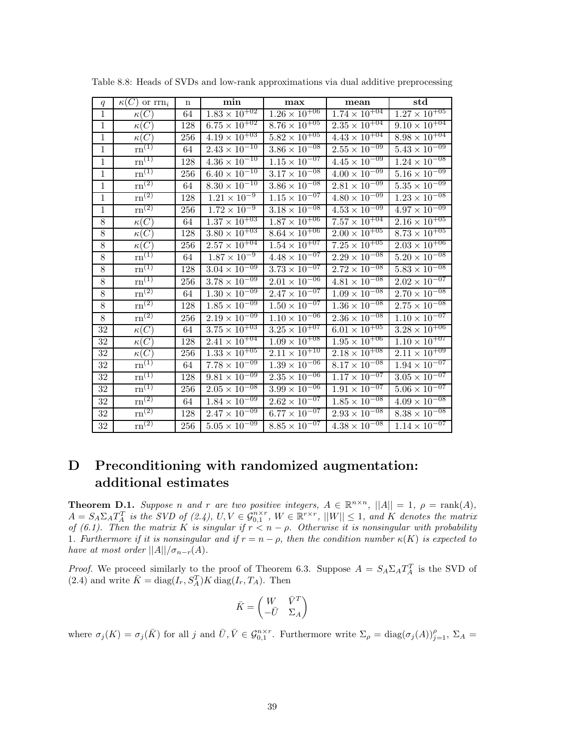| q              | $\kappa(C)$ or $\text{rrn}_i$  | $\mathbf n$ | min                               | max                               | mean                              | $_{\rm std}$                    |
|----------------|--------------------------------|-------------|-----------------------------------|-----------------------------------|-----------------------------------|---------------------------------|
| $\mathbf{1}$   | $\kappa(C)$                    | 64          | $1.\overline{83 \times 10^{+02}}$ | $1.26 \times 10^{+06}$            | $1.\overline{74 \times 10^{+04}}$ | $1.27 \times 10^{+05}$          |
| $\mathbf{1}$   | $\kappa(C)$                    | 128         | $6.75 \times 10^{+02}$            | $8.76 \times 10^{+05}$            | $2.\overline{35 \times 10^{+04}}$ | $9.10 \times 10^{+04}$          |
| $\mathbf{1}$   | $\kappa(C)$                    | 256         | $4.19 \times 10^{+03}$            | $5.82 \times 10^{+05}$            | $4.43 \times 10^{+04}$            | $8.98\times10^{+04}$            |
| $\mathbf{1}$   | $\text{rn}^{(1)}$              | 64          | $2.43 \times 10^{-10}$            | $3.86 \times 10^{-08}$            | $2.\overline{55 \times 10^{-09}}$ | $5.43\times\overline{10^{-09}}$ |
| $\mathbf{1}$   | $\mathrm{rn}^{(1)}$            | 128         | $4.36 \times 10^{-10}$            | $1.\overline{15 \times 10^{-07}}$ | $4.45 \times 10^{-09}$            | $1.24 \times 10^{-08}$          |
| $\mathbf{1}$   | $\overline{\mathrm{rn}^{(1)}}$ | 256         | $6.40 \times 10^{-10}$            | $3.17\times10^{-08}$              | $4.00 \times 10^{-09}$            | $5.16\times10^{-09}$            |
| $\mathbf{1}$   | $\mathrm{rn}^{\left(2\right)}$ | 64          | $8.30 \times 10^{-10}$            | $3.86 \times 10^{-08}$            | $2.81 \times 10^{-09}$            | $5.35\times\overline{10^{-09}}$ |
| $\mathbf{1}$   | $\rm{rn}^{(2)}$                | 128         | $1.21 \times 10^{-9}$             | $1.\overline{15 \times 10^{-07}}$ | $4.80 \times 10^{-09}$            | $1.23 \times 10^{-08}$          |
| $\mathbf{1}$   | $\overline{\text{rn}}^{(2)}$   | 256         | $1.72 \times 10^{-9}$             | $3.18 \times 10^{-08}$            | $4.53 \times 10^{-09}$            | $4.97 \times 10^{-09}$          |
| $8\,$          | $\overline{\kappa(C)}$         | 64          | $1.37 \times 10^{+03}$            | $1.87 \times 10^{+06}$            | $7.57 \times 10^{+04}$            | $2.16 \times 10^{+05}$          |
| $8\,$          | $\kappa(C)$                    | 128         | $3.80 \times 10^{+03}$            | $8.64 \times 10^{+06}$            | $2.00 \times 10^{+05}$            | $8.73 \times 10^{+05}$          |
| $\overline{8}$ | $\kappa(C)$                    | 256         | $2.57 \times 10^{+04}$            | $1.54 \times 10^{+07}$            | $7.\overline{25 \times 10^{+05}}$ | $2.03 \times 10^{+06}$          |
| 8              | $rn^{(1)}$                     | 64          | $1.87 \times 10^{-9}$             | $4.48 \times 10^{-07}$            | $2.29 \times 10^{-08}$            | $5.20 \times 10^{-08}$          |
| $8\,$          | $\mathrm{rn}^{(1)}$            | 128         | $3.04 \times \overline{10^{-09}}$ | $3.73 \times 10^{-07}$            | $2.72 \times 10^{-08}$            | $5.83 \times 10^{-08}$          |
| 8              | $\mathrm{rn}^{(1)}$            | 256         | $3.78 \times 10^{-09}$            | $2.01 \times 10^{-\overline{06}}$ | $4.81 \times 10^{-08}$            | $2.02\times10^{-07}$            |
| 8              | $\mathrm{rn}^{\left(2\right)}$ | 64          | $1.30 \times 10^{-09}$            | $2.47 \times 10^{-07}$            | $1.09 \times 10^{-08}$            | $2.70 \times 10^{-08}$          |
| $8\,$          | $\overline{\mathrm{rn}}^{(2)}$ | 128         | $1.85 \times \overline{10^{-09}}$ | $1.50 \times 10^{-07}$            | $1.36 \times 10^{-08}$            | $2.75 \times 10^{-08}$          |
| $8\,$          | $\mathrm{rn}^{(2)}$            | 256         | $2.19 \times 10^{-09}$            | $1.10 \times 10^{-06}$            | $2.36 \times 10^{-08}$            | $1.10 \times 10^{-07}$          |
| $32\,$         | $\kappa(C)$                    | 64          | $3.75 \times 10^{+03}$            | $3.25 \times 10^{+07}$            | $6.01 \times 10^{+05}$            | $3.28 \times 10^{+06}$          |
| 32             | $\kappa(C)$                    | 128         | $2.4\overline{1\times10^{+04}}$   | $1.09 \times 10^{+08}$            | $1.95 \times 10^{+06}$            | $1.10 \times 10^{+07}$          |
| 32             | $\kappa(C)$                    | 256         | $1.33 \times \overline{10^{+05}}$ | $2.11 \times \overline{10^{+10}}$ | $2.18 \times \overline{10^{+08}}$ | $2.11 \times 10^{+09}$          |
| 32             | $rn^{(1)}$                     | 64          | $7.78 \times 10^{-09}$            | $1.39 \times 10^{-06}$            | $8.17 \times 10^{-08}$            | $1.94 \times 10^{-07}$          |
| 32             | $\mathrm{rn}^{(1)}$            | 128         | $9.81 \times 10^{-09}$            | $2.35 \times 10^{-06}$            | $1.17 \times 10^{-07}$            | $3.05 \times 10^{-07}$          |
| $32\,$         | $\mathrm{rn}^{(1)}$            | 256         | $2.05\times\overline{10^{-08}}$   | $3.99 \times 10^{-06}$            | $1.91 \times 10^{-07}$            | $5.06 \times 10^{-07}$          |
| 32             | $\mathrm{rn}^{\left(2\right)}$ | 64          | $1.84 \times 10^{-09}$            | $2.62\times10^{-07}$              | $1.85 \times 10^{-08}$            | $4.09 \times 10^{-08}$          |
| 32             | $\mathrm{rn}^{\left(2\right)}$ | 128         | $2.47 \times 10^{-09}$            | $6.77\times\overline{10^{-07}}$   | $2.93 \times 10^{-08}$            | $8.38 \times 10^{-08}$          |
| 32             | $\mathrm{rn}^{(2)}$            | 256         | $5.05 \times 10^{-09}$            | $8.85 \times 10^{-07}$            | $4.38 \times 10^{-08}$            | $1.14 \times 10^{-07}$          |

Table 8.8: Heads of SVDs and low-rank approximations via dual additive preprocessing

## **D Preconditioning with randomized augmentation: additional estimates**

**Theorem D.1.** *Suppose n* and *r* are two positive integers,  $A \in \mathbb{R}^{n \times n}$ ,  $||A|| = 1$ ,  $\rho = \text{rank}(A)$ ,  $A = S_A \Sigma_A T_A^T$  is the SVD of (2.4),  $U, V \in \mathcal{G}_{0,1}^{n \times r}$ ,  $W \in \mathbb{R}^{r \times r}$ ,  $||W|| \leq 1$ , and K denotes the matrix *of (6.1). Then the matrix*  $K$  *is singular if*  $r < n - \rho$ . Otherwise it is nonsingular with probability 1*. Furthermore if it is nonsingular and if*  $r = n - \rho$ *, then the condition number*  $\kappa(K)$  *is expected to have at most order*  $||A||/\sigma_{n-r}(A)$ *.* 

*Proof.* We proceed similarly to the proof of Theorem 6.3. Suppose  $A = S_A \Sigma_A T_A^T$  is the SVD of  $(2.4)$  and write  $\bar{K} = \text{diag}(I_r, S_A^T)K \text{diag}(I_r, T_A)$ . Then

$$
\bar{K} = \begin{pmatrix} W & \bar{V}^T \\ -\bar{U} & \Sigma_A \end{pmatrix}
$$

where  $\sigma_j(K) = \sigma_j(\bar{K})$  for all j and  $\bar{U}, \bar{V} \in \mathcal{G}_{0,1}^{n \times r}$ . Furthermore write  $\Sigma_\rho = \text{diag}(\sigma_j(A))_{j=1}^\rho$ ,  $\Sigma_A =$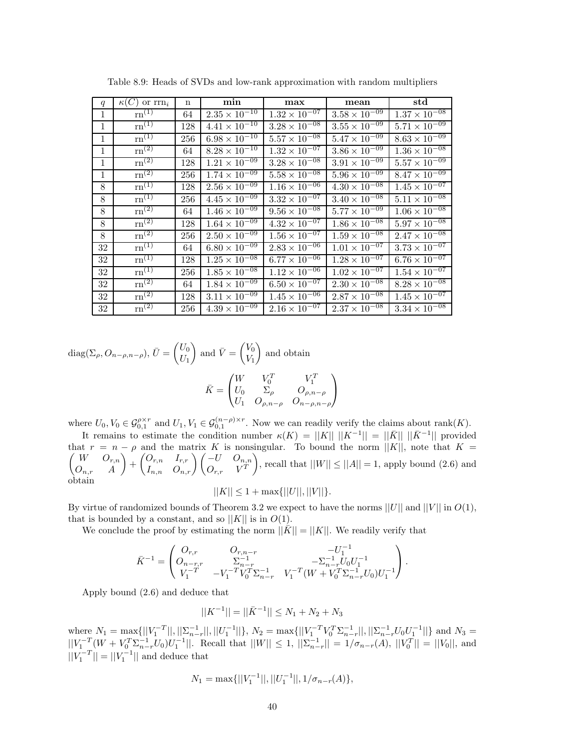| q            | $\kappa(C)$ or $\text{rrn}_i$             | n   | min                    | max                               | mean                              | $_{\rm std}$                      |
|--------------|-------------------------------------------|-----|------------------------|-----------------------------------|-----------------------------------|-----------------------------------|
| $\mathbf{1}$ | $\mathrm{rn}^{(1)}$                       | 64  | $2.35 \times 10^{-10}$ | $1.32 \times 10^{-\overline{07}}$ | $3.58 \times 10^{-09}$            | $1.37 \times 10^{-08}$            |
| 1            | $\mathrm{rn}^{(1)}$                       | 128 | $4.41 \times 10^{-10}$ | $3.28 \times 10^{-\overline{08}}$ | $3.55 \times 10^{-\overline{09}}$ | $5.71 \times 10^{-09}$            |
| $\mathbf{1}$ | $\overline{\mathrm{rn}}^{(1)}$            | 256 | $6.98 \times 10^{-10}$ | $5.57 \times 10^{-08}$            | $5.47 \times 10^{-09}$            | $8.63 \times 10^{-09}$            |
| 1            | $\rm{rn}^{(2)}$                           | 64  | $8.28 \times 10^{-10}$ | $1.32 \times 10^{-07}$            | $3.86 \times 10^{-09}$            | $1.36 \times 10^{-08}$            |
| 1            | $\overline{\mathrm{rn}}^{\left(2\right)}$ | 128 | $1.21 \times 10^{-09}$ | $3.28 \times 10^{-08}$            | $3.91 \times 10^{-09}$            | $5.57 \times 10^{-09}$            |
| 1            | $rm^{(2)}$                                | 256 | $1.74 \times 10^{-09}$ | $5.58 \times 10^{-08}$            | $5.96 \times 10^{-09}$            | $8.47 \times 10^{-09}$            |
| 8            | $\mathrm{rn}^{(1)}$                       | 128 | $2.56 \times 10^{-09}$ | $1.16 \times 10^{-06}$            | $4.30 \times 10^{-08}$            | $1.\overline{45 \times 10^{-07}}$ |
| 8            | $\mathrm{rn}^{(1)}$                       | 256 | $4.45 \times 10^{-09}$ | $3.32 \times 10^{-07}$            | $3.40 \times 10^{-08}$            | $5.11 \times 10^{-08}$            |
| 8            | $\rm{rn}^{(2)}$                           | 64  | $1.46 \times 10^{-09}$ | $9.56 \times 10^{-08}$            | $5.77 \times 10^{-09}$            | $1.06 \times 10^{-08}$            |
| 8            | $\overline{\mathrm{rn}^{\left(2\right)}}$ | 128 | $1.64 \times 10^{-09}$ | $4.32 \times 10^{-07}$            | $1.86 \times 10^{-08}$            | $5.97 \times 10^{-08}$            |
| 8            | $\mathrm{rn}^{\left(2\right)}$            | 256 | $2.50 \times 10^{-09}$ | $1.56 \times 10^{-07}$            | $1.59 \times 10^{-08}$            | $2.47 \times 10^{-08}$            |
| 32           | $\overline{\mathrm{rn}}^{(1)}$            | 64  | $6.80 \times 10^{-09}$ | $2.83 \times 10^{-06}$            | $1.01 \times 10^{-07}$            | $3.73 \times 10^{-07}$            |
| 32           | $\mathrm{rn}^{(1)}$                       | 128 | $1.25 \times 10^{-08}$ | $6.77 \times 10^{-06}$            | $1.28 \times 10^{-07}$            | $6.76 \times 10^{-07}$            |
| 32           | $\mathrm{rn}^{(1)}$                       | 256 | $1.85 \times 10^{-08}$ | $1.12 \times 10^{-\overline{06}}$ | $1.02 \times 10^{-07}$            | $1.54 \times 10^{-07}$            |
| 32           | $\overline{\mathrm{rn}^{(2)}}$            | 64  | $1.84 \times 10^{-09}$ | $6.50 \times 10^{-07}$            | $2.30 \times 10^{-08}$            | $8.28 \times 10^{-08}$            |
| 32           | $\mathrm{rn}^{(2)}$                       | 128 | $3.11 \times 10^{-09}$ | $1.45 \times 10^{-06}$            | $2.87 \times 10^{-08}$            | $1.45 \times 10^{-07}$            |
| 32           | $\overline{\text{rn}^{(2)}}$              | 256 | $4.39 \times 10^{-09}$ | $2.16 \times 10^{-07}$            | $2.37 \times 10^{-08}$            | $3.34 \times 10^{-08}$            |

Table 8.9: Heads of SVDs and low-rank approximation with random multipliers

 $diag(\Sigma_{\rho}, O_{n-\rho,n-\rho}), \bar{U} = \begin{pmatrix} U_0 \\ U_1 \end{pmatrix}$ *U*<sup>1</sup> and  $\bar{V} = \begin{pmatrix} V_0 \\ V \end{pmatrix}$ *V*1 and obtain  $\bar{K} =$  $\sqrt{ }$  $\mathcal{L}$  $W$   $V_0^T$   $V_1^T$  $U_0$   $\Sigma_\rho$   $O_{\rho,n-\rho}$ *U*<sup>1</sup> *Oρ,n*−*<sup>ρ</sup> O<sup>n</sup>*−*ρ,n*−*<sup>ρ</sup>*

where  $U_0, V_0 \in \mathcal{G}_{0,1}^{\rho \times r}$  and  $U_1, V_1 \in \mathcal{G}_{0,1}^{(n-\rho)\times r}$ . Now we can readily verify the claims about rank(*K*).

 $\setminus$  $\overline{1}$ 

It remains to estimate the condition number  $\kappa(K) = ||K|| \, ||K^{-1}|| = ||\bar{K}|| \, ||\bar{K}^{-1}||$  provided that  $\sqrt{2}$  $r = n - \rho$  and the matrix *K* is nonsingular. To bound the norm  $||K||$ , note that  $K =$ *W Or,n On,r A*  $\left( \begin{matrix} O_{r,n} & I_{r,r} \ I_{n,n} & O_{n,r} \end{matrix} \right) \left( \begin{matrix} -U & O_{n,n} \ O_{r,r} & V^T \end{matrix} \right)$  $O_{r,r}$   $V^T$ , recall that  $||W|| \le ||A|| = 1$ , apply bound (2.6) and obtain

$$
||K|| \le 1 + \max{||U||, ||V||}.
$$

By virtue of randomized bounds of Theorem 3.2 we expect to have the norms  $||U||$  and  $||V||$  in  $O(1)$ , that is bounded by a constant, and so  $||K||$  is in  $O(1)$ .

We conclude the proof by estimating the norm  $||\bar{K}|| = ||K||$ . We readily verify that

$$
\bar{K}^{-1} = \begin{pmatrix} O_{r,r} & O_{r,n-r} & -U_1^{-1} \\ O_{n-r,r} & \Sigma_{n-r}^{-1} & -\Sigma_{n-r}^{-1} U_0 U_1^{-1} \\ V_1^{-T} & -V_1^{-T} V_0^T \Sigma_{n-r}^{-1} & V_1^{-T} (W + V_0^T \Sigma_{n-r}^{-1} U_0) U_1^{-1} \end{pmatrix}.
$$

Apply bound (2.6) and deduce that

$$
||K^{-1}|| = ||\bar{K}^{-1}|| \leq N_1 + N_2 + N_3
$$

where  $N_1 = \max\{||V_1^{-T}||, ||\sum_{n-r}^{-1}||, ||U_1^{-1}||\}, N_2 = \max\{||V_1^{-T}V_0^T\Sigma_{n-r}^{-1}||, ||\sum_{n-r}^{-1}U_0U_1^{-1}||\}$  and  $N_3 =$  $||V_1^{-T}(W + V_0^T \Sigma_{n-r}^{-1} U_0)U_1^{-1}||.$  Recall that  $||W|| \le 1$ ,  $||\Sigma_{n-r}^{-1}|| = 1/\sigma_{n-r}(A)$ ,  $||V_0^T|| = ||V_0||$ , and  $||V_1^{-T}|| = ||V_1^{-1}||$  and deduce that

$$
N_1=\max\{||V_1^{-1}||,||U_1^{-1}||,1/\sigma_{n-r}(A)\},\
$$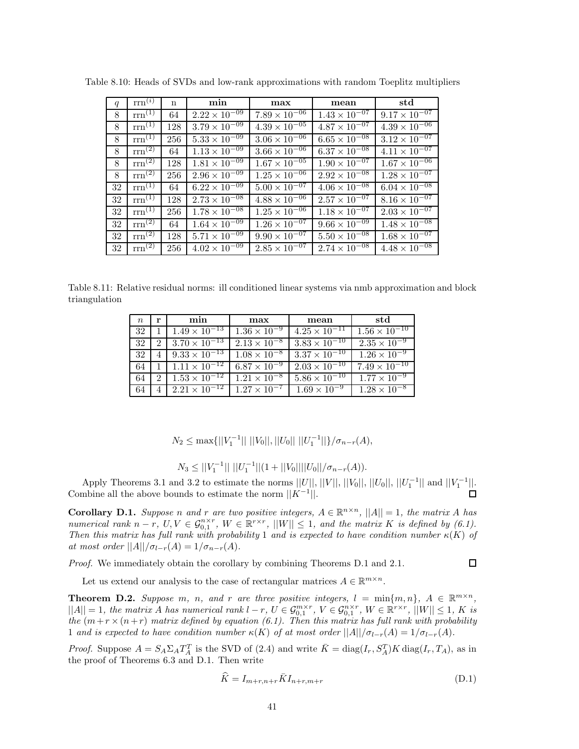| q  | $\text{rrn}^{(i)}$ | $\mathbf n$ | min                               | max                    | mean                              | std                    |
|----|--------------------|-------------|-----------------------------------|------------------------|-----------------------------------|------------------------|
| 8  | $rm^{(1)}$         | 64          | $2.22 \times 10^{-09}$            | $7.89 \times 10^{-06}$ | $1.43 \times 10^{-07}$            | $9.17 \times 10^{-07}$ |
| 8  | $rm^{(1)}$         | 128         | $3.79 \times 10^{-09}$            | $4.39 \times 10^{-05}$ | $4.87 \times 10^{-07}$            | $4.39 \times 10^{-06}$ |
| 8  | $rm^{(1)}$         | 256         | $5.33 \times 10^{-\overline{09}}$ | $3.06 \times 10^{-06}$ | $6.65 \times 10^{-08}$            | $3.12 \times 10^{-07}$ |
| 8  | $\text{rrn}^{(2)}$ | 64          | $1.13 \times 10^{-09}$            | $3.66 \times 10^{-06}$ | $6.37 \times 10^{-08}$            | $4.11 \times 10^{-07}$ |
| 8  | $rm^{(2)}$         | 128         | $1.81 \times 10^{-09}$            | $1.67 \times 10^{-05}$ | $1.90 \times 10^{-\overline{07}}$ | $1.67 \times 10^{-06}$ |
| 8  | $rm^{(2)}$         | 256         | $2.96 \times 10^{-09}$            | $1.25 \times 10^{-06}$ | $2.92 \times 10^{-08}$            | $1.28 \times 10^{-07}$ |
| 32 | $rm^{(1)}$         | 64          | $6.22 \times 10^{-09}$            | $5.00 \times 10^{-07}$ | $4.06 \times 10^{-08}$            | $6.04 \times 10^{-08}$ |
| 32 | $rm^{(1)}$         | 128         | $2.73 \times 10^{-08}$            | $4.88 \times 10^{-06}$ | $2.57 \times 10^{-07}$            | $8.16 \times 10^{-07}$ |
| 32 | $rm^{(1)}$         | 256         | $1.78 \times 10^{-08}$            | $1.25 \times 10^{-06}$ | $1.18 \times 10^{-07}$            | $2.03 \times 10^{-07}$ |
| 32 | $rm^{(2)}$         | 64          | $1.64 \times 10^{-09}$            | $1.26 \times 10^{-07}$ | $9.66 \times 10^{-09}$            | $1.48 \times 10^{-08}$ |
| 32 | $\text{rrn}^{(2)}$ | 128         | $5.71 \times 10^{-09}$            | $9.90 \times 10^{-07}$ | $5.50 \times 10^{-08}$            | $1.68 \times 10^{-07}$ |
| 32 | $rm^{(2)}$         | 256         | $4.02 \times 10^{-09}$            | $2.85 \times 10^{-07}$ | $2.74 \times 10^{-08}$            | $4.48 \times 10^{-08}$ |

Table 8.10: Heads of SVDs and low-rank approximations with random Toeplitz multipliers

Table 8.11: Relative residual norms: ill conditioned linear systems via nmb approximation and block triangulation

| $n_{\rm c}$ | r                           | min                    | max                   | mean                   | std                    |
|-------------|-----------------------------|------------------------|-----------------------|------------------------|------------------------|
| 32          |                             | $1.49 \times 10^{-13}$ | $1.36 \times 10^{-9}$ | $4.25 \times 10^{-11}$ | $1.56 \times 10^{-10}$ |
| 32          | $\mathfrak{D}$              | $3.70 \times 10^{-13}$ | $2.13 \times 10^{-8}$ | $3.83 \times 10^{-10}$ | $2.35 \times 10^{-9}$  |
| 32          |                             | $9.33 \times 10^{-13}$ | $1.08 \times 10^{-8}$ | $3.37 \times 10^{-10}$ | $1.26 \times 10^{-9}$  |
| 64          |                             | $1.11 \times 10^{-12}$ | $6.87 \times 10^{-9}$ | $2.03 \times 10^{-10}$ | $7.49 \times 10^{-10}$ |
| 64          | $\mathcal{D}_{\mathcal{L}}$ | $1.53 \times 10^{-12}$ | $1.21 \times 10^{-8}$ | $5.86 \times 10^{-10}$ | $1.77 \times 10^{-9}$  |
| 64          |                             | $2.21 \times 10^{-12}$ | $1.27 \times 10^{-7}$ | $1.69 \times 10^{-9}$  | $1.28 \times 10^{-8}$  |

 $N_2 \le \max\{||V_1^{-1}|| \, ||V_0||, ||U_0|| \, ||U_1^{-1}||\}/\sigma_{n-r}(A)$ ,

$$
N_3 \le ||V_1^{-1}|| \, ||U_1^{-1}|| (1+||V_0|| ||U_0||/\sigma_{n-r}(A)).
$$

Apply Theorems 3.1 and 3.2 to estimate the norms  $||U||, ||V||, ||V_0||, ||U_0||, ||U_1^{-1}||$  and  $||V_1^{-1}||$ . Combine all the above bounds to estimate the norm  $||K^{-1}||$ .

**Corollary D.1.** Suppose *n* and *r* are two positive integers,  $A \in \mathbb{R}^{n \times n}$ ,  $||A|| = 1$ , the matrix *A* has *numerical rank*  $n - r$ ,  $U, V \in \mathcal{G}_{0,1}^{n \times r}$ ,  $W \in \mathbb{R}^{r \times r}$ ,  $||W|| \leq 1$ , and the matrix  $K$  is defined by (6.1). *Then this matrix has full rank with probability* 1 *and is expected to have condition number*  $\kappa$ (*K*) *of at most order*  $||A|| / \sigma_{l-r}(A) = 1 / \sigma_{n-r}(A)$ .

*Proof.* We immediately obtain the corollary by combining Theorems D.1 and 2.1.

 $\Box$ 

Let us extend our analysis to the case of rectangular matrices  $A \in \mathbb{R}^{m \times n}$ .

**Theorem D.2.** Suppose *m*, *n*, and *r* are three positive integers,  $l = \min\{m, n\}$ ,  $A \in \mathbb{R}^{m \times n}$ ,  $||A|| = 1$ , the matrix A has numerical rank  $l - r$ ,  $U \in \mathcal{G}_{0,1}^{m \times r}$ ,  $V \in \mathcal{G}_{0,1}^{n \times r}$ ,  $W \in \mathbb{R}^{r \times r}$ ,  $||W|| \leq 1$ , K is *the*  $(m+r \times (n+r)$  *matrix defined by equation* (6.1). Then this matrix has full rank with probability 1 *and is expected to have condition number*  $\kappa(K)$  *of at most order*  $||A||/\sigma_{l-r}(A) = 1/\sigma_{l-r}(A)$ *.* 

*Proof.* Suppose  $A = S_A \Sigma_A T_A^T$  is the SVD of (2.4) and write  $\overline{K} = \text{diag}(I_r, S_A^T)K \text{diag}(I_r, T_A)$ , as in the proof of Theorems 6.3 and D.1. Then write

$$
\widehat{K} = I_{m+r,n+r} \bar{K} I_{n+r,m+r}
$$
\n(D.1)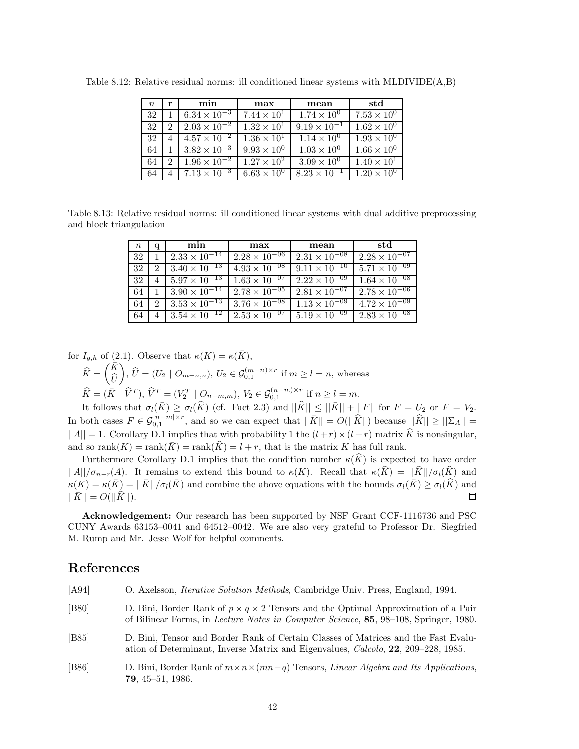| $n_{\rm c}$ | r             | min                          | max                  | mean                  | std                           |
|-------------|---------------|------------------------------|----------------------|-----------------------|-------------------------------|
| 32          |               | $6.34 \times 10^{-3}$        | $7.44 \times 10^{1}$ | $1.74 \times 10^{0}$  | $7.53 \times 10^{0}$          |
| 32          | $\mathcal{D}$ | $2.03 \times 10^{-2}$        | $1.32 \times 10^{1}$ | $9.19 \times 10^{-1}$ | $1.62 \times 10^{0}$          |
| 32          |               | $4.57 \times 10^{-2}$        | $1.36 \times 10^{1}$ | $1.14 \times 10^{0}$  | $\overline{1.93 \times 10^0}$ |
| 64          |               | $3.82 \times 10^{-3}$        | $9.93 \times 10^{0}$ | $1.03 \times 10^{0}$  | $1.66 \times 10^{0}$          |
| 64          | 2             | $\sqrt{1.96} \times 10^{-2}$ | $1.27 \times 10^{2}$ | $3.09 \times 10^{0}$  | $1.40 \times 10^{1}$          |
| 64          |               | $7.13 \times 10^{-3}$        | $6.63 \times 10^{0}$ | $8.23 \times 10^{-1}$ | $1.20 \times 10^{0}$          |

Table 8.12: Relative residual norms: ill conditioned linear systems with MLDIVIDE(A,B)

Table 8.13: Relative residual norms: ill conditioned linear systems with dual additive preprocessing and block triangulation

| $\,n$ | q | min                    | max                    | mean                   | std                    |
|-------|---|------------------------|------------------------|------------------------|------------------------|
| 32    |   | $2.33 \times 10^{-14}$ | $2.28 \times 10^{-06}$ | $2.31 \times 10^{-08}$ | $2.28 \times 10^{-07}$ |
| 32    | 2 | $3.40 \times 10^{-13}$ | $4.93 \times 10^{-08}$ | $9.11 \times 10^{-10}$ | $5.71 \times 10^{-09}$ |
| 32    |   | $5.97 \times 10^{-13}$ | $1.63 \times 10^{-07}$ | $2.22 \times 10^{-09}$ | $1.64 \times 10^{-08}$ |
| 64    |   | $3.90 \times 10^{-14}$ | $2.78 \times 10^{-05}$ | $2.81 \times 10^{-07}$ | $2.78 \times 10^{-06}$ |
| 64    | 2 | $3.53 \times 10^{-13}$ | $3.76 \times 10^{-08}$ | $1.13 \times 10^{-09}$ | $4.72 \times 10^{-09}$ |
| 64    |   | $3.54 \times 10^{-12}$ | $2.53 \times 10^{-07}$ | $5.19 \times 10^{-09}$ | $2.83 \times 10^{-08}$ |

for 
$$
I_{g,h}
$$
 of (2.1). Observe that  $\kappa(K) = \kappa(\bar{K})$ ,  
\n
$$
\widehat{K} = \begin{pmatrix} \bar{K} \\ \widehat{U} \end{pmatrix}, \widehat{U} = (U_2 \mid O_{m-n,n}), U_2 \in \mathcal{G}_{0,1}^{(m-n)\times r} \text{ if } m \ge l = n, \text{ whereas}
$$
\n
$$
\widehat{K} = (\bar{K} \mid \widehat{V}^T), \widehat{V}^T = (V_2^T \mid O_{n-m,m}), V_2 \in \mathcal{G}_{0,1}^{(n-m)\times r} \text{ if } n \ge l = m.
$$

It follows that  $\sigma_l(\bar{K}) \geq \sigma_l(\hat{K})$  (cf. Fact 2.3) and  $||\hat{K}|| \leq ||\bar{K}|| + ||F||$  for  $F = U_2$  or  $F = V_2$ . In both cases  $F \in \mathcal{G}_{0,1}^{|n-m| \times r}$ , and so we can expect that  $||\bar{K}|| = O(||\widehat{K}||)$  because  $||\widehat{K}|| \geq ||\Sigma_A||$  =  $||A|| = 1$ . Corollary D.1 implies that with probability 1 the  $(l + r) \times (l + r)$  matrix  $\hat{K}$  is nonsingular, and so  $\text{rank}(K) = \text{rank}(\overline{K}) = \text{rank}(\widehat{K}) = l + r$ , that is the matrix *K* has full rank.

Furthermore Corollary D.1 implies that the condition number  $\kappa(\hat{K})$  is expected to have order  $||A||/\sigma_{n-r}(A)$ . It remains to extend this bound to  $\kappa(K)$ . Recall that  $\kappa(\widehat{K}) = ||\widehat{K}||/\sigma_{l}(\widehat{K})$  and  $\kappa(K) = \kappa(\bar{K}) = ||\bar{K}||/\sigma_l(\bar{K})$  and combine the above equations with the bounds  $\sigma_l(\bar{K}) \geq \sigma_l(\hat{K})$  and  $||\bar{K}|| = O(||\hat{K}||)$ .  $||\bar{K}|| = O(||\bar{K}||).$ 

**Acknowledgement:** Our research has been supported by NSF Grant CCF-1116736 and PSC CUNY Awards 63153–0041 and 64512–0042. We are also very grateful to Professor Dr. Siegfried M. Rump and Mr. Jesse Wolf for helpful comments.

## **References**

| [A94]          | O. Axelsson, <i>Iterative Solution Methods</i> , Cambridge Univ. Press, England, 1994.                                                                                                                |
|----------------|-------------------------------------------------------------------------------------------------------------------------------------------------------------------------------------------------------|
| [ <b>B80</b> ] | D. Bini, Border Rank of $p \times q \times 2$ Tensors and the Optimal Approximation of a Pair<br>of Bilinear Forms, in <i>Lecture Notes in Computer Science</i> , <b>85</b> , 98–108, Springer, 1980. |
| [ <b>B85</b> ] | D. Bini, Tensor and Border Rank of Certain Classes of Matrices and the Fast Evalu-<br>ation of Determinant, Inverse Matrix and Eigenvalues, Calcolo, 22, 209-228, 1985.                               |
| [ <b>B86</b> ] | D. Bini, Border Rank of $m \times n \times (mn-q)$ Tensors, <i>Linear Algebra and Its Applications</i> ,<br><b>79.</b> 45–51. 1986.                                                                   |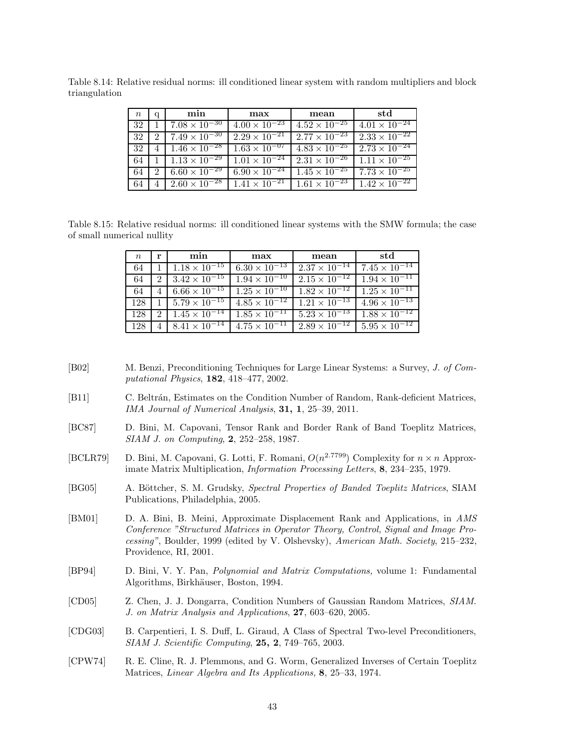Table 8.14: Relative residual norms: ill conditioned linear system with random multipliers and block triangulation

| $\,n$ | a             | min                           | max                    | mean                                          | std                                           |
|-------|---------------|-------------------------------|------------------------|-----------------------------------------------|-----------------------------------------------|
| 32    |               | $7.08 \times 10^{-30}$        | $4.00 \times 10^{-23}$ | $4.52 \times 10^{-25}$                        | $4.01 \times 10^{-24}$                        |
| 32    | $\mathcal{D}$ | $7.49 \times 10^{-30}$        | $2.29 \times 10^{-21}$ | $2.77 \times 10^{-23}$                        | $2.33 \times 10^{-22}$                        |
| 32    | 4             | $1.46 \times 10^{-28}$        | $1.63 \times 10^{-07}$ | $4.83 \times 10^{-25}$                        | $2.73 \times 10^{-24}$                        |
| 64    |               | $1.13 \times 10^{-29}$        | $1.01 \times 10^{-24}$ |                                               | $2.31 \times 10^{-26}$ 1.11 $\times 10^{-25}$ |
| 64    | $-2$          | $6.60 \times 10^{-29}$        | $6.90 \times 10^{-24}$ | $1.45 \times 10^{-25}$                        | $17.73 \times 10^{-25}$                       |
|       |               | $4 \mid 2.60 \times 10^{-28}$ | $1.41 \times 10^{-21}$ | $1.61 \times 10^{-23}$ $1.42 \times 10^{-22}$ |                                               |

Table 8.15: Relative residual norms: ill conditioned linear systems with the SMW formula; the case of small numerical nullity

| $n_{\rm c}$ | r | min                             | max                    | mean                     | std                                           |
|-------------|---|---------------------------------|------------------------|--------------------------|-----------------------------------------------|
| 64          |   | $1.18 \times 10^{-15}$          | $6.30 \times 10^{-13}$ | $2.37 \times 10^{-14}$   | $7.45 \times 10^{-14}$                        |
| 64          |   | 2 $3.42 \times 10^{-15}$        | $1.94 \times 10^{-10}$ | $2.15 \times 10^{-12}$   | $1.94 \times 10^{-11}$                        |
| 64          |   | $4\frac{6.66\times10^{-15}}{2}$ | $1.25 \times 10^{-10}$ | $1.82 \times 10^{-12}$   | $1.25 \times 10^{-11}$                        |
| 128         |   | $1 \mid 5.79 \times 10^{-15}$   | $4.85 \times 10^{-12}$ |                          | $1.21 \times 10^{-13}$ $4.96 \times 10^{-13}$ |
| 128         |   | 2 $\sqrt{1.45 \times 10^{-14}}$ | $1.85 \times 10^{-11}$ | $1.5.23 \times 10^{-13}$ | $1.88 \times 10^{-12}$                        |
| 128         |   | $4 \mid 8.41 \times 10^{-14}$   | $4.75 \times 10^{-11}$ | $2.89 \times 10^{-12}$   | $5.95 \times 10^{-12}$                        |

- [B02] M. Benzi, Preconditioning Techniques for Large Linear Systems: a Survey, *J. of Computational Physics*, **182**, 418–477, 2002.
- [B11] C. Beltrán, Estimates on the Condition Number of Random, Rank-deficient Matrices, *IMA Journal of Numerical Analysis*, **31, 1**, 25–39, 2011.
- [BC87] D. Bini, M. Capovani, Tensor Rank and Border Rank of Band Toeplitz Matrices, *SIAM J. on Computing*, **2**, 252–258, 1987.
- [BCLR79] D. Bini, M. Capovani, G. Lotti, F. Romani,  $O(n^{2.7799})$  Complexity for  $n \times n$  Approximate Matrix Multiplication, *Information Processing Letters*, **8**, 234–235, 1979.
- [BG05] A. Böttcher, S. M. Grudsky, *Spectral Properties of Banded Toeplitz Matrices*, SIAM Publications, Philadelphia, 2005.
- [BM01] D. A. Bini, B. Meini, Approximate Displacement Rank and Applications, in *AMS Conference "Structured Matrices in Operator Theory, Control, Signal and Image Processing"*, Boulder, 1999 (edited by V. Olshevsky), *American Math. Society*, 215–232, Providence, RI, 2001.
- [BP94] D. Bini, V. Y. Pan, *Polynomial and Matrix Computations,* volume 1: Fundamental Algorithms, Birkhäuser, Boston, 1994.
- [CD05] Z. Chen, J. J. Dongarra, Condition Numbers of Gaussian Random Matrices, *SIAM. J. on Matrix Analysis and Applications*, **27**, 603–620, 2005.
- [CDG03] B. Carpentieri, I. S. Duff, L. Giraud, A Class of Spectral Two-level Preconditioners, *SIAM J. Scientific Computing*, **25, 2**, 749–765, 2003.
- [CPW74] R. E. Cline, R. J. Plemmons, and G. Worm, Generalized Inverses of Certain Toeplitz Matrices, *Linear Algebra and Its Applications,* **8**, 25–33, 1974.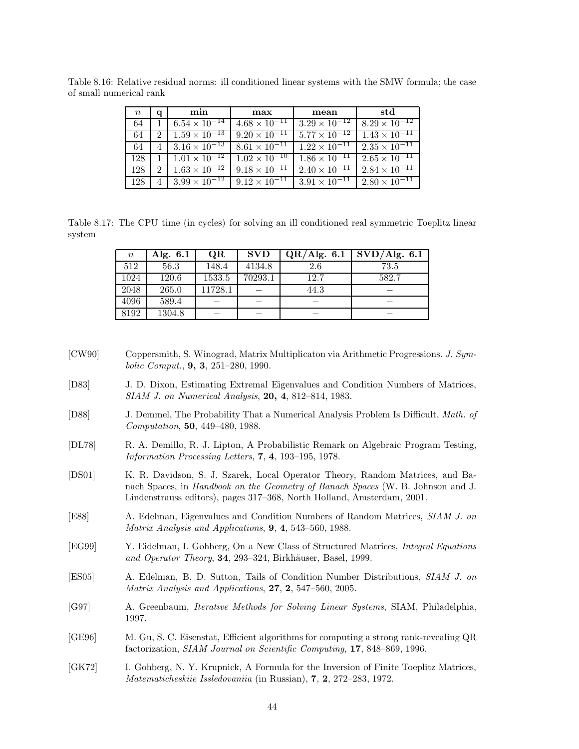| $\, n$ | a             | min                                                     | max                    | mean                   | std                    |
|--------|---------------|---------------------------------------------------------|------------------------|------------------------|------------------------|
| 64     |               | $6.54 \times 10^{-14}$                                  | $4.68 \times 10^{-11}$ | $3.29 \times 10^{-12}$ | $8.29 \times 10^{-12}$ |
| 64     | $\mathcal{L}$ | $1.59 \times 10^{-13}$                                  | $9.20 \times 10^{-11}$ | $5.77 \times 10^{-12}$ | $1.43 \times 10^{-11}$ |
| 64     |               | $4 \mid 3.16 \times 10^{-13} \mid 8.61 \times 10^{-11}$ |                        | $1.22 \times 10^{-11}$ | $2.35 \times 10^{-11}$ |
| 128    |               | $1.01 \times 10^{-12}$ $1.02 \times 10^{-10}$           |                        | $1.86 \times 10^{-11}$ | $2.65 \times 10^{-11}$ |
| 128    | $2^{\circ}$   | $1.63 \times 10^{-12}$                                  | $9.18 \times 10^{-11}$ | $2.40 \times 10^{-11}$ | $2.84 \times 10^{-11}$ |
| 128    |               | $3.99 \times 10^{-12}$                                  | $9.12 \times 10^{-11}$ | $3.91 \times 10^{-11}$ | $2.80 \times 10^{-11}$ |

Table 8.16: Relative residual norms: ill conditioned linear systems with the SMW formula; the case of small numerical rank

Table 8.17: The CPU time (in cycles) for solving an ill conditioned real symmetric Toeplitz linear system

| $\, n$ | Alg. $6.1$ | <b>OR</b> | <b>SVD</b> | QR/Alg. 6.1 | $\overline{\rm SVD}/\rm{Alg.}$ 6.1 |
|--------|------------|-----------|------------|-------------|------------------------------------|
| 512    | 56.3       | 148.4     | 4134.8     | 2.6         | 73.5                               |
| 1024   | 120.6      | 1533.5    | 70293.1    | 12.7        | 582.7                              |
| 2048   | 265.0      | 11728.1   |            | 44.3        |                                    |
| 4096   | 589.4      |           |            |             |                                    |
| 8192   | 1304.8     |           |            |             |                                    |

- [CW90] Coppersmith, S. Winograd, Matrix Multiplicaton via Arithmetic Progressions. *J. Symbolic Comput.*, **9, 3**, 251–280, 1990.
- [D83] J. D. Dixon, Estimating Extremal Eigenvalues and Condition Numbers of Matrices, *SIAM J. on Numerical Analysis*, **20, 4**, 812–814, 1983.
- [D88] J. Demmel, The Probability That a Numerical Analysis Problem Is Difficult, *Math. of Computation*, **50**, 449–480, 1988.
- [DL78] R. A. Demillo, R. J. Lipton, A Probabilistic Remark on Algebraic Program Testing, *Information Processing Letters*, **7**, **4**, 193–195, 1978.
- [DS01] K. R. Davidson, S. J. Szarek, Local Operator Theory, Random Matrices, and Banach Spaces, in *Handbook on the Geometry of Banach Spaces* (W. B. Johnson and J. Lindenstrauss editors), pages 317–368, North Holland, Amsterdam, 2001.
- [E88] A. Edelman, Eigenvalues and Condition Numbers of Random Matrices, *SIAM J. on Matrix Analysis and Applications*, **9**, **4**, 543–560, 1988.
- [EG99] Y. Eidelman, I. Gohberg, On a New Class of Structured Matrices, *Integral Equations and Operator Theory*, **34**, 293–324, Birkhäuser, Basel, 1999.
- [ES05] A. Edelman, B. D. Sutton, Tails of Condition Number Distributions, *SIAM J. on Matrix Analysis and Applications*, **27**, **2**, 547–560, 2005.
- [G97] A. Greenbaum, *Iterative Methods for Solving Linear Systems*, SIAM, Philadelphia, 1997.
- [GE96] M. Gu, S. C. Eisenstat, Efficient algorithms for computing a strong rank-revealing QR factorization, *SIAM Journal on Scientific Computing*, **17**, 848–869, 1996.
- [GK72] I. Gohberg, N. Y. Krupnick, A Formula for the Inversion of Finite Toeplitz Matrices, *Matematicheskiie Issledovaniia* (in Russian), **7**, **2**, 272–283, 1972.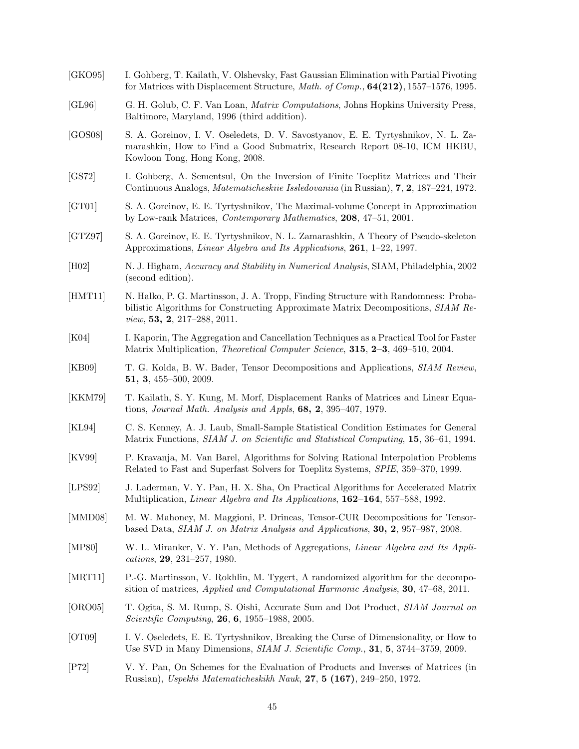- [GKO95] I. Gohberg, T. Kailath, V. Olshevsky, Fast Gaussian Elimination with Partial Pivoting for Matrices with Displacement Structure, *Math. of Comp.,* **64(212)**, 1557–1576, 1995.
- [GL96] G. H. Golub, C. F. Van Loan, *Matrix Computations*, Johns Hopkins University Press, Baltimore, Maryland, 1996 (third addition).
- [GOS08] S. A. Goreinov, I. V. Oseledets, D. V. Savostyanov, E. E. Tyrtyshnikov, N. L. Zamarashkin, How to Find a Good Submatrix, Research Report 08-10, ICM HKBU, Kowloon Tong, Hong Kong, 2008.
- [GS72] I. Gohberg, A. Sementsul, On the Inversion of Finite Toeplitz Matrices and Their Continuous Analogs, *Matematicheskiie Issledovaniia* (in Russian), **7**, **2**, 187–224, 1972.
- [GT01] S. A. Goreinov, E. E. Tyrtyshnikov, The Maximal-volume Concept in Approximation by Low-rank Matrices, *Contemporary Mathematics*, **208**, 47–51, 2001.
- [GTZ97] S. A. Goreinov, E. E. Tyrtyshnikov, N. L. Zamarashkin, A Theory of Pseudo-skeleton Approximations, *Linear Algebra and Its Applications*, **261**, 1–22, 1997.
- [H02] N. J. Higham, *Accuracy and Stability in Numerical Analysis*, SIAM, Philadelphia, 2002 (second edition).
- [HMT11] N. Halko, P. G. Martinsson, J. A. Tropp, Finding Structure with Randomness: Probabilistic Algorithms for Constructing Approximate Matrix Decompositions, *SIAM Review*, **53, 2**, 217–288, 2011.
- [K04] I. Kaporin, The Aggregation and Cancellation Techniques as a Practical Tool for Faster Matrix Multiplication, *Theoretical Computer Science*, **315**, **2–3**, 469–510, 2004.
- [KB09] T. G. Kolda, B. W. Bader, Tensor Decompositions and Applications, *SIAM Review*, **51, 3**, 455–500, 2009.
- [KKM79] T. Kailath, S. Y. Kung, M. Morf, Displacement Ranks of Matrices and Linear Equations, *Journal Math. Analysis and Appls*, **68, 2**, 395–407, 1979.
- [KL94] C. S. Kenney, A. J. Laub, Small-Sample Statistical Condition Estimates for General Matrix Functions, *SIAM J. on Scientific and Statistical Computing*, **15**, 36–61, 1994.
- [KV99] P. Kravanja, M. Van Barel, Algorithms for Solving Rational Interpolation Problems Related to Fast and Superfast Solvers for Toeplitz Systems, *SPIE*, 359–370, 1999.
- [LPS92] J. Laderman, V. Y. Pan, H. X. Sha, On Practical Algorithms for Accelerated Matrix Multiplication, *Linear Algebra and Its Applications*, **162–164**, 557–588, 1992.
- [MMD08] M. W. Mahoney, M. Maggioni, P. Drineas, Tensor-CUR Decompositions for Tensorbased Data, *SIAM J. on Matrix Analysis and Applications*, **30, 2**, 957–987, 2008.
- [MP80] W. L. Miranker, V. Y. Pan, Methods of Aggregations, *Linear Algebra and Its Applications*, **29**, 231–257, 1980.
- [MRT11] P.-G. Martinsson, V. Rokhlin, M. Tygert, A randomized algorithm for the decomposition of matrices, *Applied and Computational Harmonic Analysis*, **30**, 47–68, 2011.
- [ORO05] T. Ogita, S. M. Rump, S. Oishi, Accurate Sum and Dot Product, *SIAM Journal on Scientific Computing*, **26**, **6**, 1955–1988, 2005.
- [OT09] I. V. Oseledets, E. E. Tyrtyshnikov, Breaking the Curse of Dimensionality, or How to Use SVD in Many Dimensions, *SIAM J. Scientific Comp.*, **31**, **5**, 3744–3759, 2009.
- [P72] V. Y. Pan, On Schemes for the Evaluation of Products and Inverses of Matrices (in Russian), *Uspekhi Matematicheskikh Nauk*, **27**, **5 (167)**, 249–250, 1972.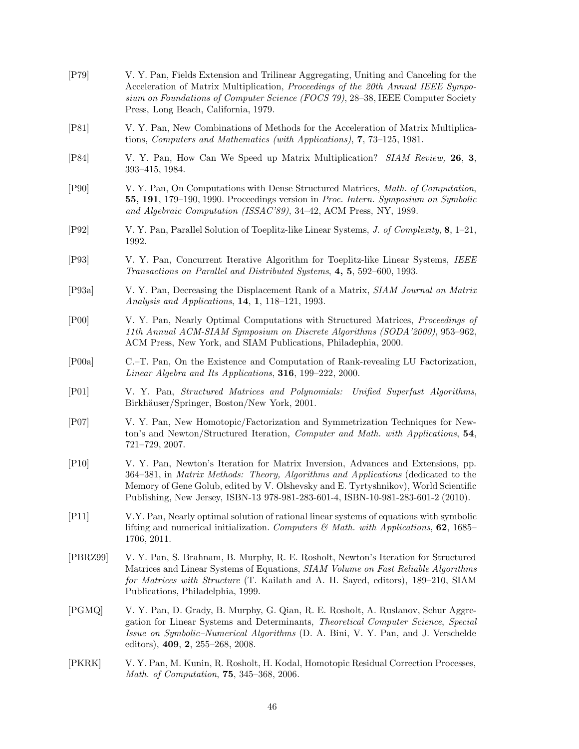| $[$ P79 $]$ | V. Y. Pan, Fields Extension and Trilinear Aggregating, Uniting and Canceling for the<br>Acceleration of Matrix Multiplication, Proceedings of the 20th Annual IEEE Sympo-<br>sium on Foundations of Computer Science (FOCS 79), 28-38, IEEE Computer Society<br>Press, Long Beach, California, 1979.                                             |
|-------------|--------------------------------------------------------------------------------------------------------------------------------------------------------------------------------------------------------------------------------------------------------------------------------------------------------------------------------------------------|
| [P81]       | V. Y. Pan, New Combinations of Methods for the Acceleration of Matrix Multiplica-<br>tions, Computers and Mathematics (with Applications), 7, 73-125, 1981.                                                                                                                                                                                      |
| [P84]       | V. Y. Pan, How Can We Speed up Matrix Multiplication? SIAM Review, 26, 3,<br>393-415, 1984.                                                                                                                                                                                                                                                      |
| [P90]       | V. Y. Pan, On Computations with Dense Structured Matrices, Math. of Computation,<br>55, 191, 179–190, 1990. Proceedings version in Proc. Intern. Symposium on Symbolic<br>and Algebraic Computation (ISSAC'89), 34-42, ACM Press, NY, 1989.                                                                                                      |
| [P92]       | V. Y. Pan, Parallel Solution of Toeplitz-like Linear Systems, J. of Complexity, 8, 1–21,<br>1992.                                                                                                                                                                                                                                                |
| [P93]       | V. Y. Pan, Concurrent Iterative Algorithm for Toeplitz-like Linear Systems, IEEE<br>Transactions on Parallel and Distributed Systems, 4, 5, 592–600, 1993.                                                                                                                                                                                       |
| [P93a]      | V. Y. Pan, Decreasing the Displacement Rank of a Matrix, SIAM Journal on Matrix<br>Analysis and Applications, 14, 1, 118-121, 1993.                                                                                                                                                                                                              |
| [PO0]       | V. Y. Pan, Nearly Optimal Computations with Structured Matrices, <i>Proceedings of</i><br>11th Annual ACM-SIAM Symposium on Discrete Algorithms (SODA'2000), 953-962,<br>ACM Press, New York, and SIAM Publications, Philadephia, 2000.                                                                                                          |
| [PO0a]      | C.–T. Pan, On the Existence and Computation of Rank-revealing LU Factorization,<br>Linear Algebra and Its Applications, 316, 199-222, 2000.                                                                                                                                                                                                      |
| $[$ P01 $]$ | V. Y. Pan, Structured Matrices and Polynomials: Unified Superfast Algorithms,<br>Birkhäuser/Springer, Boston/New York, 2001.                                                                                                                                                                                                                     |
| [P07]       | V. Y. Pan, New Homotopic/Factorization and Symmetrization Techniques for New-<br>ton's and Newton/Structured Iteration, Computer and Math. with Applications, 54,<br>721-729, 2007.                                                                                                                                                              |
| [P10]       | V. Y. Pan, Newton's Iteration for Matrix Inversion, Advances and Extensions, pp.<br>364–381, in Matrix Methods: Theory, Algorithms and Applications (dedicated to the<br>Memory of Gene Golub, edited by V. Olshevsky and E. Tyrtyshnikov), World Scientific<br>Publishing, New Jersey, ISBN-13 978-981-283-601-4, ISBN-10-981-283-601-2 (2010). |
| [P11]       | V.Y. Pan, Nearly optimal solution of rational linear systems of equations with symbolic<br>lifting and numerical initialization. Computers & Math. with Applications, 62, 1685–<br>1706, 2011.                                                                                                                                                   |
| [PBRZ99]    | V. Y. Pan, S. Brahnam, B. Murphy, R. E. Rosholt, Newton's Iteration for Structured<br>Matrices and Linear Systems of Equations, SIAM Volume on Fast Reliable Algorithms<br>for Matrices with Structure (T. Kailath and A. H. Sayed, editors), 189–210, SIAM<br>Publications, Philadelphia, 1999.                                                 |
| [PGMQ]      | V. Y. Pan, D. Grady, B. Murphy, G. Qian, R. E. Rosholt, A. Ruslanov, Schur Aggre-<br>gation for Linear Systems and Determinants, Theoretical Computer Science, Special<br><i>Issue on Symbolic–Numerical Algorithms</i> (D. A. Bini, V. Y. Pan, and J. Verschelde<br>editors), $409, 2, 255-268, 2008$ .                                         |
| [PKRK]      | V. Y. Pan, M. Kunin, R. Rosholt, H. Kodal, Homotopic Residual Correction Processes,<br>Math. of Computation, 75, 345-368, 2006.                                                                                                                                                                                                                  |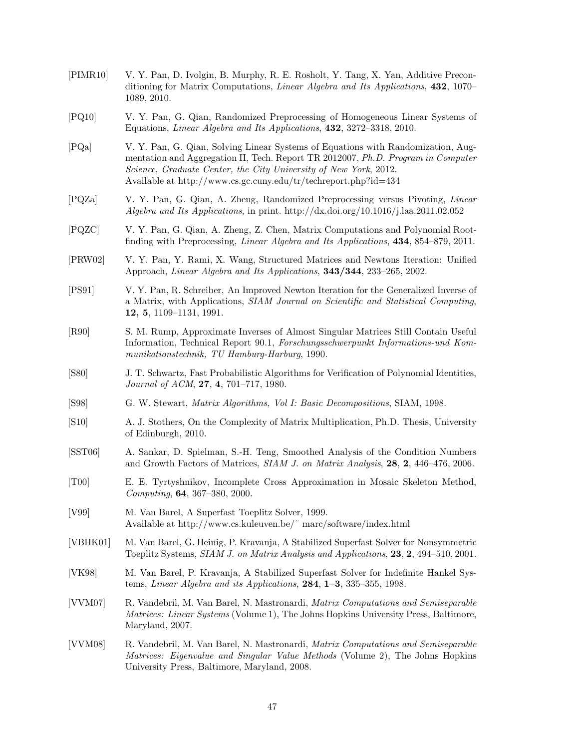[PIMR10] V. Y. Pan, D. Ivolgin, B. Murphy, R. E. Rosholt, Y. Tang, X. Yan, Additive Preconditioning for Matrix Computations, *Linear Algebra and Its Applications*, **432**, 1070– 1089, 2010. [PQ10] V. Y. Pan, G. Qian, Randomized Preprocessing of Homogeneous Linear Systems of Equations, *Linear Algebra and Its Applications*, **432**, 3272–3318, 2010. [PQa] V. Y. Pan, G. Qian, Solving Linear Systems of Equations with Randomization, Augmentation and Aggregation II, Tech. Report TR 2012007, *Ph.D. Program in Computer Science*, *Graduate Center, the City University of New York*, 2012. Available at http://www.cs.gc.cuny.edu/tr/techreport.php?id=434 [PQZa] V. Y. Pan, G. Qian, A. Zheng, Randomized Preprocessing versus Pivoting, *Linear Algebra and Its Applications*, in print. http://dx.doi.org/10.1016/j.laa.2011.02.052 [PQZC] V. Y. Pan, G. Qian, A. Zheng, Z. Chen, Matrix Computations and Polynomial Rootfinding with Preprocessing, *Linear Algebra and Its Applications*, **434**, 854–879, 2011. [PRW02] V. Y. Pan, Y. Rami, X. Wang, Structured Matrices and Newtons Iteration: Unified Approach, *Linear Algebra and Its Applications*, **343/344**, 233–265, 2002. [PS91] V. Y. Pan, R. Schreiber, An Improved Newton Iteration for the Generalized Inverse of a Matrix, with Applications, *SIAM Journal on Scientific and Statistical Computing*, **12, 5**, 1109–1131, 1991. [R90] S. M. Rump, Approximate Inverses of Almost Singular Matrices Still Contain Useful Information, Technical Report 90.1, *Forschungsschwerpunkt Informations-und Kommunikationstechnik, TU Hamburg-Harburg*, 1990. [S80] J. T. Schwartz, Fast Probabilistic Algorithms for Verification of Polynomial Identities, *Journal of ACM*, **27**, **4**, 701–717, 1980. [S98] G. W. Stewart, *Matrix Algorithms, Vol I: Basic Decompositions*, SIAM, 1998. [S10] A. J. Stothers, On the Complexity of Matrix Multiplication, Ph.D. Thesis, University of Edinburgh, 2010. [SST06] A. Sankar, D. Spielman, S.-H. Teng, Smoothed Analysis of the Condition Numbers and Growth Factors of Matrices, *SIAM J. on Matrix Analysis*, **28**, **2**, 446–476, 2006. [T00] E. E. Tyrtyshnikov, Incomplete Cross Approximation in Mosaic Skeleton Method, *Computing*, **64**, 367–380, 2000. [V99] M. Van Barel, A Superfast Toeplitz Solver, 1999. Available at http://www.cs.kuleuven.be/˜ marc/software/index.html [VBHK01] M. Van Barel, G. Heinig, P. Kravanja, A Stabilized Superfast Solver for Nonsymmetric Toeplitz Systems, *SIAM J. on Matrix Analysis and Applications*, **23**, **2**, 494–510, 2001. [VK98] M. Van Barel, P. Kravanja, A Stabilized Superfast Solver for Indefinite Hankel Systems, *Linear Algebra and its Applications*, **284**, **1–3**, 335–355, 1998. [VVM07] R. Vandebril, M. Van Barel, N. Mastronardi, *Matrix Computations and Semiseparable Matrices: Linear Systems* (Volume 1), The Johns Hopkins University Press, Baltimore, Maryland, 2007. [VVM08] R. Vandebril, M. Van Barel, N. Mastronardi, *Matrix Computations and Semiseparable Matrices: Eigenvalue and Singular Value Methods* (Volume 2), The Johns Hopkins University Press, Baltimore, Maryland, 2008.